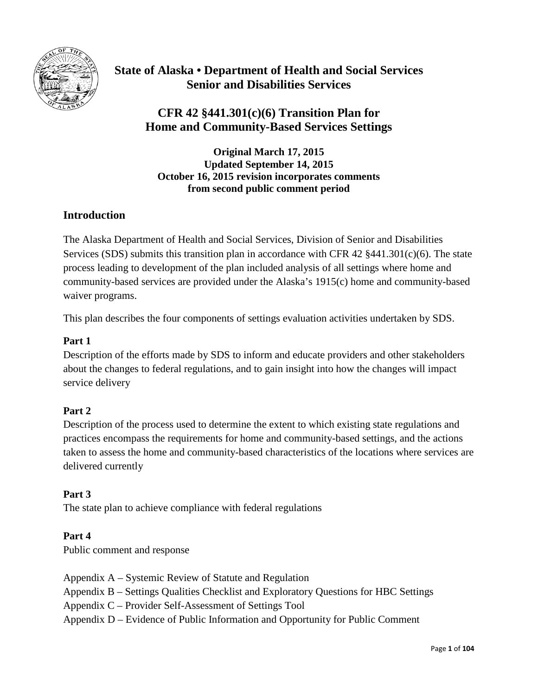

# **State of Alaska • Department of Health and Social Services Senior and Disabilities Services**

# **CFR 42 §441.301(c)(6) Transition Plan for Home and Community-Based Services Settings**

**Original March 17, 2015 Updated September 14, 2015 October 16, 2015 revision incorporates comments from second public comment period**

### **Introduction**

The Alaska Department of Health and Social Services, Division of Senior and Disabilities Services (SDS) submits this transition plan in accordance with CFR 42  $§441.301(c)(6)$ . The state process leading to development of the plan included analysis of all settings where home and community-based services are provided under the Alaska's 1915(c) home and community-based waiver programs.

This plan describes the four components of settings evaluation activities undertaken by SDS.

### **Part 1**

Description of the efforts made by SDS to inform and educate providers and other stakeholders about the changes to federal regulations, and to gain insight into how the changes will impact service delivery

### **Part 2**

Description of the process used to determine the extent to which existing state regulations and practices encompass the requirements for home and community-based settings, and the actions taken to assess the home and community-based characteristics of the locations where services are delivered currently

### **Part 3**

The state plan to achieve compliance with federal regulations

### **Part 4**

Public comment and response

- Appendix A Systemic Review of Statute and Regulation
- Appendix B Settings Qualities Checklist and Exploratory Questions for HBC Settings
- Appendix C Provider Self-Assessment of Settings Tool
- Appendix D Evidence of Public Information and Opportunity for Public Comment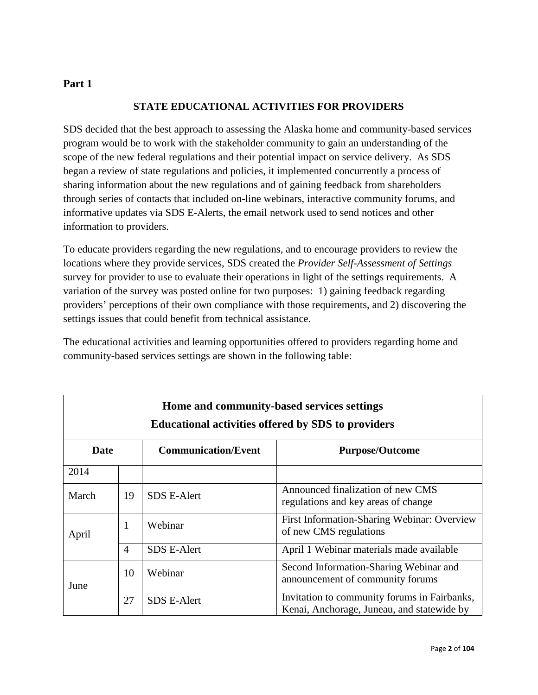### **STATE EDUCATIONAL ACTIVITIES FOR PROVIDERS**

SDS decided that the best approach to assessing the Alaska home and community-based services program would be to work with the stakeholder community to gain an understanding of the scope of the new federal regulations and their potential impact on service delivery. As SDS began a review of state regulations and policies, it implemented concurrently a process of sharing information about the new regulations and of gaining feedback from shareholders through series of contacts that included on-line webinars, interactive community forums, and informative updates via SDS E-Alerts, the email network used to send notices and other information to providers.

To educate providers regarding the new regulations, and to encourage providers to review the locations where they provide services, SDS created the *Provider Self-Assessment of Settings* survey for provider to use to evaluate their operations in light of the settings requirements. A variation of the survey was posted online for two purposes: 1) gaining feedback regarding providers' perceptions of their own compliance with those requirements, and 2) discovering the settings issues that could benefit from technical assistance.

The educational activities and learning opportunities offered to providers regarding home and community-based services settings are shown in the following table:

| Home and community-based services settings<br><b>Educational activities offered by SDS to providers</b> |                |                            |                                                                                            |  |
|---------------------------------------------------------------------------------------------------------|----------------|----------------------------|--------------------------------------------------------------------------------------------|--|
| Date                                                                                                    |                | <b>Communication/Event</b> | <b>Purpose/Outcome</b>                                                                     |  |
| 2014                                                                                                    |                |                            |                                                                                            |  |
| March                                                                                                   | 19             | <b>SDS E-Alert</b>         | Announced finalization of new CMS<br>regulations and key areas of change                   |  |
| April                                                                                                   | 1              | Webinar                    | First Information-Sharing Webinar: Overview<br>of new CMS regulations                      |  |
|                                                                                                         | $\overline{4}$ | <b>SDS E-Alert</b>         | April 1 Webinar materials made available                                                   |  |
| June                                                                                                    | 10             | Webinar                    | Second Information-Sharing Webinar and<br>announcement of community forums                 |  |
|                                                                                                         | 27             | <b>SDS E-Alert</b>         | Invitation to community forums in Fairbanks,<br>Kenai, Anchorage, Juneau, and statewide by |  |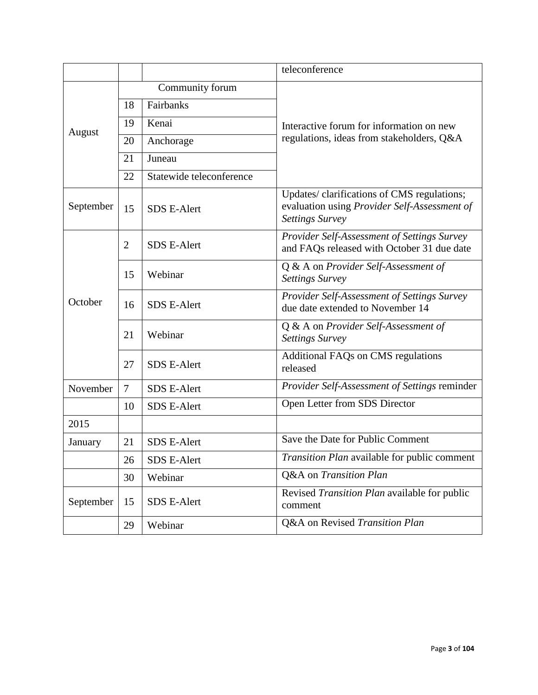|                                                                            |                 |                          | teleconference                                                                                                       |
|----------------------------------------------------------------------------|-----------------|--------------------------|----------------------------------------------------------------------------------------------------------------------|
|                                                                            | Community forum |                          |                                                                                                                      |
| August<br>September<br>October<br>November<br>2015<br>January<br>September | 18              | Fairbanks                |                                                                                                                      |
|                                                                            | 19              | Kenai                    | Interactive forum for information on new                                                                             |
|                                                                            | 20              | Anchorage                | regulations, ideas from stakeholders, Q&A                                                                            |
|                                                                            | 21              | Juneau                   |                                                                                                                      |
|                                                                            | 22              | Statewide teleconference |                                                                                                                      |
|                                                                            | 15              | <b>SDS E-Alert</b>       | Updates/clarifications of CMS regulations;<br>evaluation using Provider Self-Assessment of<br><b>Settings Survey</b> |
|                                                                            | $\overline{2}$  | <b>SDS E-Alert</b>       | Provider Self-Assessment of Settings Survey<br>and FAQs released with October 31 due date                            |
|                                                                            | 15              | Webinar                  | Q & A on Provider Self-Assessment of<br><b>Settings Survey</b>                                                       |
|                                                                            | 16              | <b>SDS E-Alert</b>       | Provider Self-Assessment of Settings Survey<br>due date extended to November 14                                      |
|                                                                            | 21              | Webinar                  | Q & A on Provider Self-Assessment of<br><b>Settings Survey</b>                                                       |
|                                                                            | 27              | <b>SDS E-Alert</b>       | Additional FAQs on CMS regulations<br>released                                                                       |
|                                                                            | $\overline{7}$  | <b>SDS E-Alert</b>       | Provider Self-Assessment of Settings reminder                                                                        |
|                                                                            | 10              | <b>SDS E-Alert</b>       | Open Letter from SDS Director                                                                                        |
|                                                                            |                 |                          |                                                                                                                      |
|                                                                            | 21              | <b>SDS E-Alert</b>       | Save the Date for Public Comment                                                                                     |
|                                                                            | 26              | <b>SDS E-Alert</b>       | Transition Plan available for public comment                                                                         |
|                                                                            | 30              | Webinar                  | Q&A on Transition Plan                                                                                               |
|                                                                            | 15              | SDS E-Alert              | Revised Transition Plan available for public<br>comment                                                              |
|                                                                            | 29              | Webinar                  | Q&A on Revised Transition Plan                                                                                       |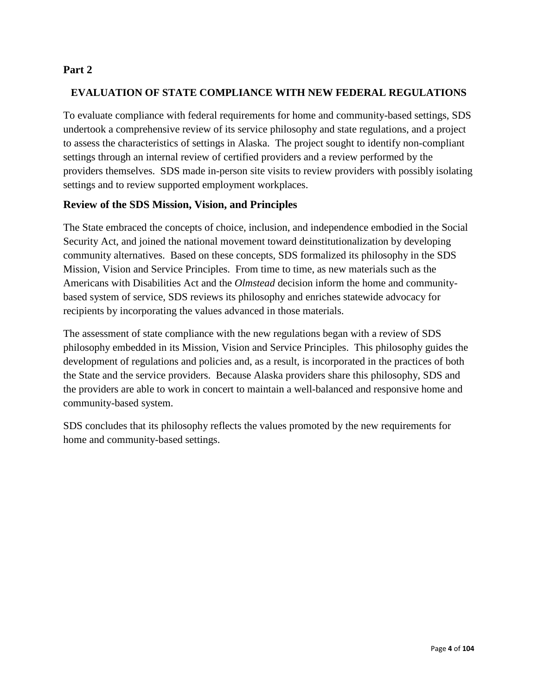#### **EVALUATION OF STATE COMPLIANCE WITH NEW FEDERAL REGULATIONS**

To evaluate compliance with federal requirements for home and community-based settings, SDS undertook a comprehensive review of its service philosophy and state regulations, and a project to assess the characteristics of settings in Alaska. The project sought to identify non-compliant settings through an internal review of certified providers and a review performed by the providers themselves. SDS made in-person site visits to review providers with possibly isolating settings and to review supported employment workplaces.

#### **Review of the SDS Mission, Vision, and Principles**

The State embraced the concepts of choice, inclusion, and independence embodied in the Social Security Act, and joined the national movement toward deinstitutionalization by developing community alternatives. Based on these concepts, SDS formalized its philosophy in the SDS Mission, Vision and Service Principles. From time to time, as new materials such as the Americans with Disabilities Act and the *Olmstead* decision inform the home and communitybased system of service, SDS reviews its philosophy and enriches statewide advocacy for recipients by incorporating the values advanced in those materials.

The assessment of state compliance with the new regulations began with a review of SDS philosophy embedded in its Mission, Vision and Service Principles. This philosophy guides the development of regulations and policies and, as a result, is incorporated in the practices of both the State and the service providers. Because Alaska providers share this philosophy, SDS and the providers are able to work in concert to maintain a well-balanced and responsive home and community-based system.

SDS concludes that its philosophy reflects the values promoted by the new requirements for home and community-based settings.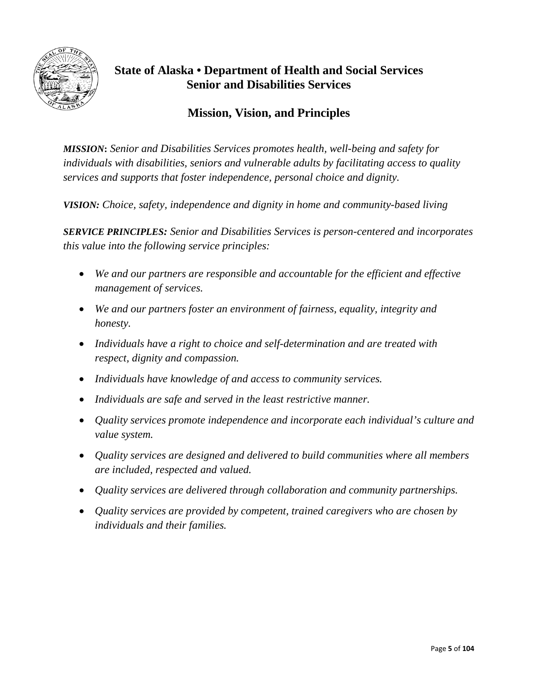

# **State of Alaska • Department of Health and Social Services Senior and Disabilities Services**

## **Mission, Vision, and Principles**

*MISSION***:** *Senior and Disabilities Services promotes health, well-being and safety for individuals with disabilities, seniors and vulnerable adults by facilitating access to quality services and supports that foster independence, personal choice and dignity.*

*VISION: Choice, safety, independence and dignity in home and community-based living*

*SERVICE PRINCIPLES: Senior and Disabilities Services is person-centered and incorporates this value into the following service principles:*

- *We and our partners are responsible and accountable for the efficient and effective management of services.*
- *We and our partners foster an environment of fairness, equality, integrity and honesty.*
- *Individuals have a right to choice and self-determination and are treated with respect, dignity and compassion.*
- *Individuals have knowledge of and access to community services.*
- *Individuals are safe and served in the least restrictive manner.*
- *Quality services promote independence and incorporate each individual's culture and value system.*
- *Quality services are designed and delivered to build communities where all members are included, respected and valued.*
- *Quality services are delivered through collaboration and community partnerships.*
- *Quality services are provided by competent, trained caregivers who are chosen by individuals and their families.*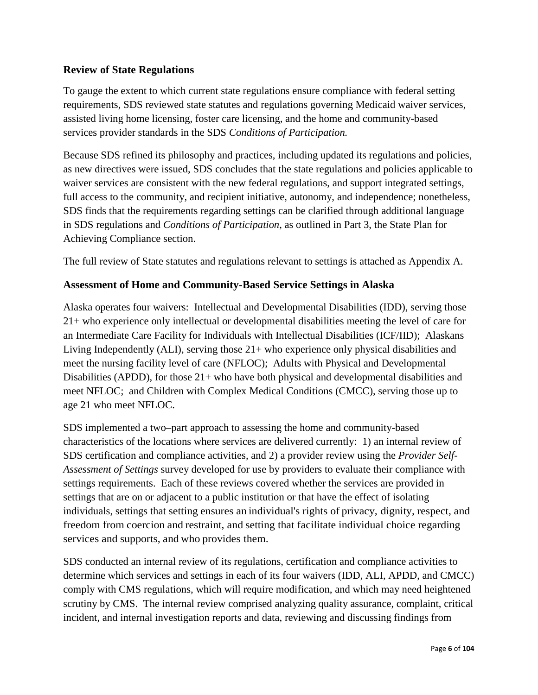### **Review of State Regulations**

To gauge the extent to which current state regulations ensure compliance with federal setting requirements, SDS reviewed state statutes and regulations governing Medicaid waiver services, assisted living home licensing, foster care licensing, and the home and community-based services provider standards in the SDS *Conditions of Participation.*

Because SDS refined its philosophy and practices, including updated its regulations and policies, as new directives were issued, SDS concludes that the state regulations and policies applicable to waiver services are consistent with the new federal regulations, and support integrated settings, full access to the community, and recipient initiative, autonomy, and independence; nonetheless, SDS finds that the requirements regarding settings can be clarified through additional language in SDS regulations and *Conditions of Participation*, as outlined in Part 3, the State Plan for Achieving Compliance section.

The full review of State statutes and regulations relevant to settings is attached as Appendix A.

### **Assessment of Home and Community-Based Service Settings in Alaska**

Alaska operates four waivers: Intellectual and Developmental Disabilities (IDD), serving those 21+ who experience only intellectual or developmental disabilities meeting the level of care for an Intermediate Care Facility for Individuals with Intellectual Disabilities (ICF/IID); Alaskans Living Independently  $(ALI)$ , serving those  $21+$  who experience only physical disabilities and meet the nursing facility level of care (NFLOC); Adults with Physical and Developmental Disabilities (APDD), for those 21+ who have both physical and developmental disabilities and meet NFLOC; and Children with Complex Medical Conditions (CMCC), serving those up to age 21 who meet NFLOC.

SDS implemented a two–part approach to assessing the home and community-based characteristics of the locations where services are delivered currently: 1) an internal review of SDS certification and compliance activities, and 2) a provider review using the *Provider Self-Assessment of Settings* survey developed for use by providers to evaluate their compliance with settings requirements. Each of these reviews covered whether the services are provided in settings that are on or adjacent to a public institution or that have the effect of isolating individuals, settings that setting ensures an individual's rights of privacy, dignity, respect, and freedom from coercion and restraint, and setting that facilitate individual choice regarding services and supports, and who provides them.

SDS conducted an internal review of its regulations, certification and compliance activities to determine which services and settings in each of its four waivers (IDD, ALI, APDD, and CMCC) comply with CMS regulations, which will require modification, and which may need heightened scrutiny by CMS. The internal review comprised analyzing quality assurance, complaint, critical incident, and internal investigation reports and data, reviewing and discussing findings from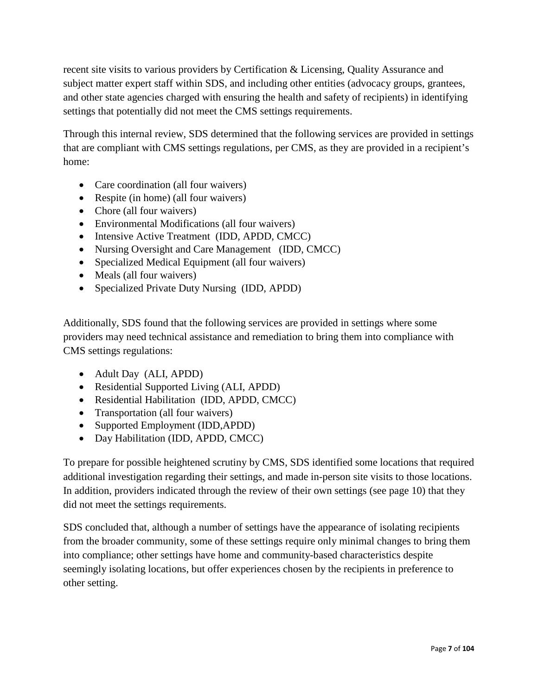recent site visits to various providers by Certification & Licensing, Quality Assurance and subject matter expert staff within SDS, and including other entities (advocacy groups, grantees, and other state agencies charged with ensuring the health and safety of recipients) in identifying settings that potentially did not meet the CMS settings requirements.

Through this internal review, SDS determined that the following services are provided in settings that are compliant with CMS settings regulations, per CMS, as they are provided in a recipient's home:

- Care coordination (all four waivers)
- Respite (in home) (all four waivers)
- Chore (all four waivers)
- Environmental Modifications (all four waivers)
- Intensive Active Treatment (IDD, APDD, CMCC)
- Nursing Oversight and Care Management (IDD, CMCC)
- Specialized Medical Equipment (all four waivers)
- Meals (all four waivers)
- Specialized Private Duty Nursing (IDD, APDD)

Additionally, SDS found that the following services are provided in settings where some providers may need technical assistance and remediation to bring them into compliance with CMS settings regulations:

- Adult Day (ALI, APDD)
- Residential Supported Living (ALI, APDD)
- Residential Habilitation (IDD, APDD, CMCC)
- Transportation (all four waivers)
- Supported Employment (IDD, APDD)
- Day Habilitation (IDD, APDD, CMCC)

To prepare for possible heightened scrutiny by CMS, SDS identified some locations that required additional investigation regarding their settings, and made in-person site visits to those locations. In addition, providers indicated through the review of their own settings (see page 10) that they did not meet the settings requirements.

SDS concluded that, although a number of settings have the appearance of isolating recipients from the broader community, some of these settings require only minimal changes to bring them into compliance; other settings have home and community-based characteristics despite seemingly isolating locations, but offer experiences chosen by the recipients in preference to other setting.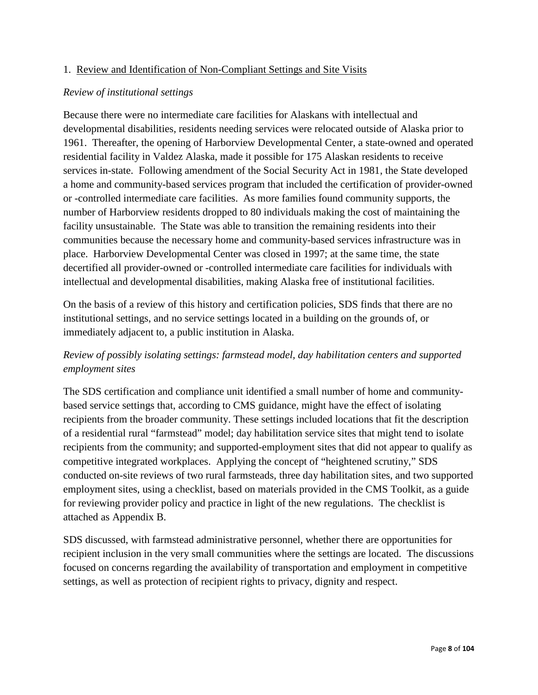#### 1. Review and Identification of Non-Compliant Settings and Site Visits

#### *Review of institutional settings*

Because there were no intermediate care facilities for Alaskans with intellectual and developmental disabilities, residents needing services were relocated outside of Alaska prior to 1961. Thereafter, the opening of Harborview Developmental Center, a state-owned and operated residential facility in Valdez Alaska, made it possible for 175 Alaskan residents to receive services in-state. Following amendment of the Social Security Act in 1981, the State developed a home and community-based services program that included the certification of provider-owned or -controlled intermediate care facilities. As more families found community supports, the number of Harborview residents dropped to 80 individuals making the cost of maintaining the facility unsustainable. The State was able to transition the remaining residents into their communities because the necessary home and community-based services infrastructure was in place. Harborview Developmental Center was closed in 1997; at the same time, the state decertified all provider-owned or -controlled intermediate care facilities for individuals with intellectual and developmental disabilities, making Alaska free of institutional facilities.

On the basis of a review of this history and certification policies, SDS finds that there are no institutional settings, and no service settings located in a building on the grounds of, or immediately adjacent to, a public institution in Alaska.

### *Review of possibly isolating settings: farmstead model, day habilitation centers and supported employment sites*

The SDS certification and compliance unit identified a small number of home and communitybased service settings that, according to CMS guidance, might have the effect of isolating recipients from the broader community. These settings included locations that fit the description of a residential rural "farmstead" model; day habilitation service sites that might tend to isolate recipients from the community; and supported-employment sites that did not appear to qualify as competitive integrated workplaces. Applying the concept of "heightened scrutiny," SDS conducted on-site reviews of two rural farmsteads, three day habilitation sites, and two supported employment sites, using a checklist, based on materials provided in the CMS Toolkit, as a guide for reviewing provider policy and practice in light of the new regulations. The checklist is attached as Appendix B.

SDS discussed, with farmstead administrative personnel, whether there are opportunities for recipient inclusion in the very small communities where the settings are located. The discussions focused on concerns regarding the availability of transportation and employment in competitive settings, as well as protection of recipient rights to privacy, dignity and respect.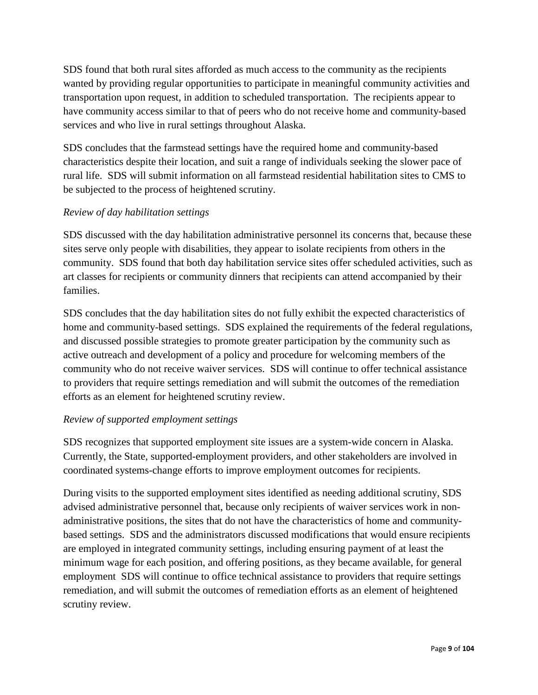SDS found that both rural sites afforded as much access to the community as the recipients wanted by providing regular opportunities to participate in meaningful community activities and transportation upon request, in addition to scheduled transportation. The recipients appear to have community access similar to that of peers who do not receive home and community-based services and who live in rural settings throughout Alaska.

SDS concludes that the farmstead settings have the required home and community-based characteristics despite their location, and suit a range of individuals seeking the slower pace of rural life. SDS will submit information on all farmstead residential habilitation sites to CMS to be subjected to the process of heightened scrutiny.

#### *Review of day habilitation settings*

SDS discussed with the day habilitation administrative personnel its concerns that, because these sites serve only people with disabilities, they appear to isolate recipients from others in the community. SDS found that both day habilitation service sites offer scheduled activities, such as art classes for recipients or community dinners that recipients can attend accompanied by their families.

SDS concludes that the day habilitation sites do not fully exhibit the expected characteristics of home and community-based settings. SDS explained the requirements of the federal regulations, and discussed possible strategies to promote greater participation by the community such as active outreach and development of a policy and procedure for welcoming members of the community who do not receive waiver services. SDS will continue to offer technical assistance to providers that require settings remediation and will submit the outcomes of the remediation efforts as an element for heightened scrutiny review.

#### *Review of supported employment settings*

SDS recognizes that supported employment site issues are a system-wide concern in Alaska. Currently, the State, supported-employment providers, and other stakeholders are involved in coordinated systems-change efforts to improve employment outcomes for recipients.

During visits to the supported employment sites identified as needing additional scrutiny, SDS advised administrative personnel that, because only recipients of waiver services work in nonadministrative positions, the sites that do not have the characteristics of home and communitybased settings. SDS and the administrators discussed modifications that would ensure recipients are employed in integrated community settings, including ensuring payment of at least the minimum wage for each position, and offering positions, as they became available, for general employment SDS will continue to office technical assistance to providers that require settings remediation, and will submit the outcomes of remediation efforts as an element of heightened scrutiny review.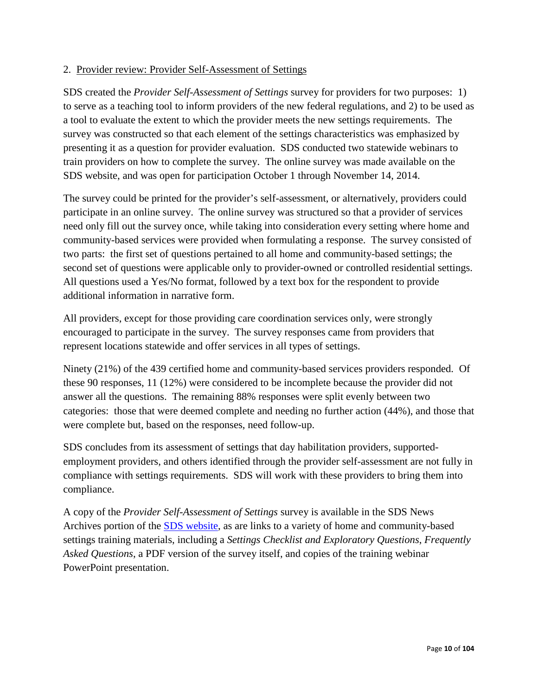#### 2. Provider review: Provider Self-Assessment of Settings

SDS created the *Provider Self-Assessment of Settings* survey for providers for two purposes: 1) to serve as a teaching tool to inform providers of the new federal regulations, and 2) to be used as a tool to evaluate the extent to which the provider meets the new settings requirements. The survey was constructed so that each element of the settings characteristics was emphasized by presenting it as a question for provider evaluation. SDS conducted two statewide webinars to train providers on how to complete the survey. The online survey was made available on the SDS website, and was open for participation October 1 through November 14, 2014.

The survey could be printed for the provider's self-assessment, or alternatively, providers could participate in an online survey. The online survey was structured so that a provider of services need only fill out the survey once, while taking into consideration every setting where home and community-based services were provided when formulating a response. The survey consisted of two parts: the first set of questions pertained to all home and community-based settings; the second set of questions were applicable only to provider-owned or controlled residential settings. All questions used a Yes/No format, followed by a text box for the respondent to provide additional information in narrative form.

All providers, except for those providing care coordination services only, were strongly encouraged to participate in the survey. The survey responses came from providers that represent locations statewide and offer services in all types of settings.

Ninety (21%) of the 439 certified home and community-based services providers responded. Of these 90 responses, 11 (12%) were considered to be incomplete because the provider did not answer all the questions. The remaining 88% responses were split evenly between two categories: those that were deemed complete and needing no further action (44%), and those that were complete but, based on the responses, need follow-up.

SDS concludes from its assessment of settings that day habilitation providers, supportedemployment providers, and others identified through the provider self-assessment are not fully in compliance with settings requirements. SDS will work with these providers to bring them into compliance.

A copy of the *Provider Self-Assessment of Settings* survey is available in the SDS News Archives portion of the [SDS website,](http://dhss.alaska.gov/dsds/Pages/default.aspx) as are links to a variety of home and community-based settings training materials, including a *Settings Checklist and Exploratory Questions*, *Frequently Asked Questions*, a PDF version of the survey itself, and copies of the training webinar PowerPoint presentation.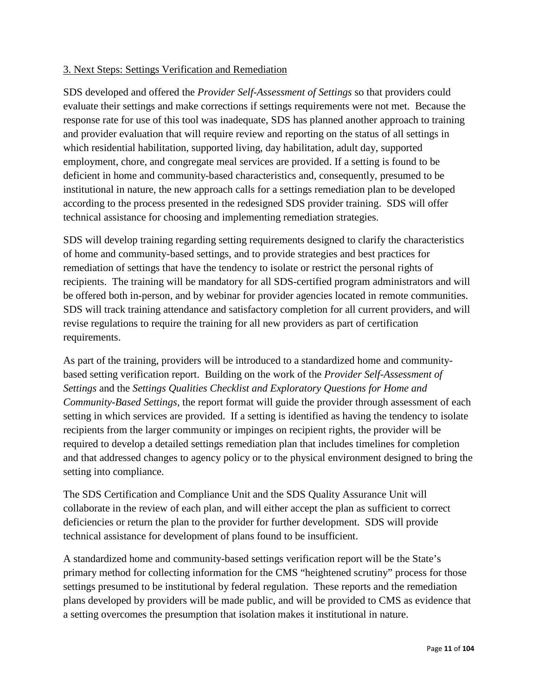#### 3. Next Steps: Settings Verification and Remediation

SDS developed and offered the *Provider Self-Assessment of Settings* so that providers could evaluate their settings and make corrections if settings requirements were not met. Because the response rate for use of this tool was inadequate, SDS has planned another approach to training and provider evaluation that will require review and reporting on the status of all settings in which residential habilitation, supported living, day habilitation, adult day, supported employment, chore, and congregate meal services are provided. If a setting is found to be deficient in home and community-based characteristics and, consequently, presumed to be institutional in nature, the new approach calls for a settings remediation plan to be developed according to the process presented in the redesigned SDS provider training. SDS will offer technical assistance for choosing and implementing remediation strategies.

SDS will develop training regarding setting requirements designed to clarify the characteristics of home and community-based settings, and to provide strategies and best practices for remediation of settings that have the tendency to isolate or restrict the personal rights of recipients. The training will be mandatory for all SDS-certified program administrators and will be offered both in-person, and by webinar for provider agencies located in remote communities. SDS will track training attendance and satisfactory completion for all current providers, and will revise regulations to require the training for all new providers as part of certification requirements.

As part of the training, providers will be introduced to a standardized home and communitybased setting verification report. Building on the work of the *Provider Self-Assessment of Settings* and the *Settings Qualities Checklist and Exploratory Questions for Home and Community-Based Settings*, the report format will guide the provider through assessment of each setting in which services are provided. If a setting is identified as having the tendency to isolate recipients from the larger community or impinges on recipient rights, the provider will be required to develop a detailed settings remediation plan that includes timelines for completion and that addressed changes to agency policy or to the physical environment designed to bring the setting into compliance.

The SDS Certification and Compliance Unit and the SDS Quality Assurance Unit will collaborate in the review of each plan, and will either accept the plan as sufficient to correct deficiencies or return the plan to the provider for further development. SDS will provide technical assistance for development of plans found to be insufficient.

A standardized home and community-based settings verification report will be the State's primary method for collecting information for the CMS "heightened scrutiny" process for those settings presumed to be institutional by federal regulation. These reports and the remediation plans developed by providers will be made public, and will be provided to CMS as evidence that a setting overcomes the presumption that isolation makes it institutional in nature.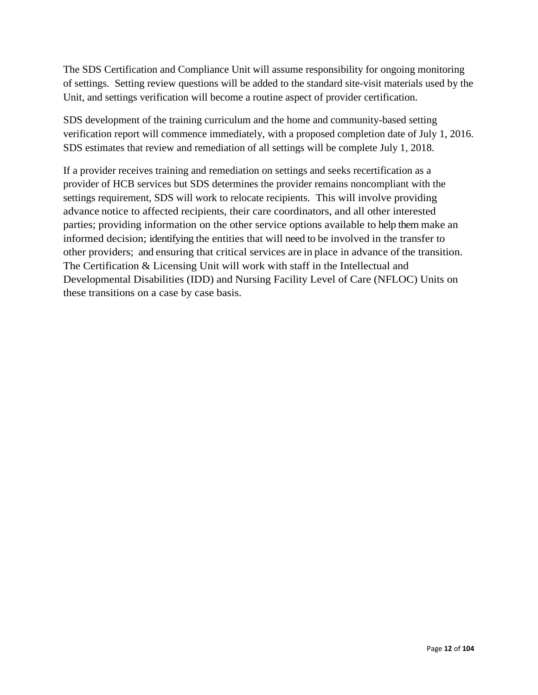The SDS Certification and Compliance Unit will assume responsibility for ongoing monitoring of settings. Setting review questions will be added to the standard site-visit materials used by the Unit, and settings verification will become a routine aspect of provider certification.

SDS development of the training curriculum and the home and community-based setting verification report will commence immediately, with a proposed completion date of July 1, 2016. SDS estimates that review and remediation of all settings will be complete July 1, 2018.

If a provider receives training and remediation on settings and seeks recertification as a provider of HCB services but SDS determines the provider remains noncompliant with the settings requirement, SDS will work to relocate recipients. This will involve providing advance notice to affected recipients, their care coordinators, and all other interested parties; providing information on the other service options available to help them make an informed decision; identifying the entities that will need to be involved in the transfer to other providers; and ensuring that critical services are in place in advance of the transition. The Certification & Licensing Unit will work with staff in the Intellectual and Developmental Disabilities (IDD) and Nursing Facility Level of Care (NFLOC) Units on these transitions on a case by case basis.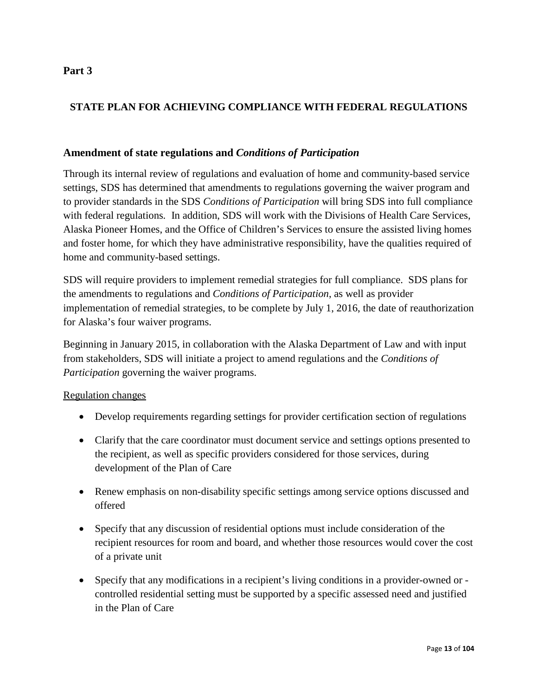### **STATE PLAN FOR ACHIEVING COMPLIANCE WITH FEDERAL REGULATIONS**

#### **Amendment of state regulations and** *Conditions of Participation*

Through its internal review of regulations and evaluation of home and community-based service settings, SDS has determined that amendments to regulations governing the waiver program and to provider standards in the SDS *Conditions of Participation* will bring SDS into full compliance with federal regulations*.* In addition, SDS will work with the Divisions of Health Care Services, Alaska Pioneer Homes, and the Office of Children's Services to ensure the assisted living homes and foster home, for which they have administrative responsibility, have the qualities required of home and community-based settings.

SDS will require providers to implement remedial strategies for full compliance. SDS plans for the amendments to regulations and *Conditions of Participation*, as well as provider implementation of remedial strategies, to be complete by July 1, 2016, the date of reauthorization for Alaska's four waiver programs.

Beginning in January 2015, in collaboration with the Alaska Department of Law and with input from stakeholders, SDS will initiate a project to amend regulations and the *Conditions of Participation* governing the waiver programs.

#### Regulation changes

- Develop requirements regarding settings for provider certification section of regulations
- Clarify that the care coordinator must document service and settings options presented to the recipient, as well as specific providers considered for those services, during development of the Plan of Care
- Renew emphasis on non-disability specific settings among service options discussed and offered
- Specify that any discussion of residential options must include consideration of the recipient resources for room and board, and whether those resources would cover the cost of a private unit
- Specify that any modifications in a recipient's living conditions in a provider-owned or controlled residential setting must be supported by a specific assessed need and justified in the Plan of Care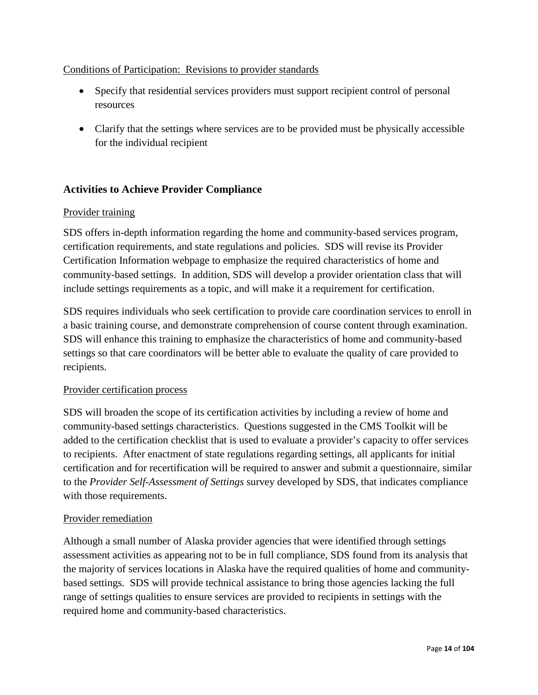### Conditions of Participation: Revisions to provider standards

- Specify that residential services providers must support recipient control of personal resources
- Clarify that the settings where services are to be provided must be physically accessible for the individual recipient

### **Activities to Achieve Provider Compliance**

#### Provider training

SDS offers in-depth information regarding the home and community-based services program, certification requirements, and state regulations and policies. SDS will revise its Provider Certification Information webpage to emphasize the required characteristics of home and community-based settings. In addition, SDS will develop a provider orientation class that will include settings requirements as a topic, and will make it a requirement for certification.

SDS requires individuals who seek certification to provide care coordination services to enroll in a basic training course, and demonstrate comprehension of course content through examination. SDS will enhance this training to emphasize the characteristics of home and community-based settings so that care coordinators will be better able to evaluate the quality of care provided to recipients.

#### Provider certification process

SDS will broaden the scope of its certification activities by including a review of home and community-based settings characteristics. Questions suggested in the CMS Toolkit will be added to the certification checklist that is used to evaluate a provider's capacity to offer services to recipients. After enactment of state regulations regarding settings, all applicants for initial certification and for recertification will be required to answer and submit a questionnaire, similar to the *Provider Self-Assessment of Settings* survey developed by SDS, that indicates compliance with those requirements.

#### Provider remediation

Although a small number of Alaska provider agencies that were identified through settings assessment activities as appearing not to be in full compliance, SDS found from its analysis that the majority of services locations in Alaska have the required qualities of home and communitybased settings. SDS will provide technical assistance to bring those agencies lacking the full range of settings qualities to ensure services are provided to recipients in settings with the required home and community-based characteristics.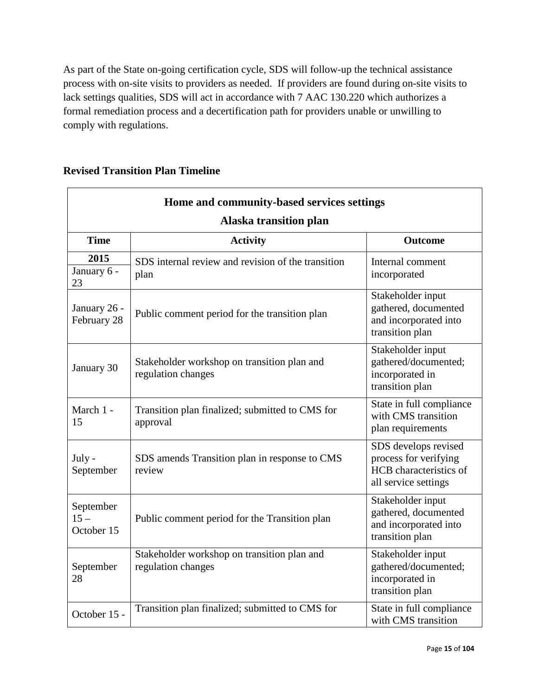As part of the State on-going certification cycle, SDS will follow-up the technical assistance process with on-site visits to providers as needed. If providers are found during on-site visits to lack settings qualities, SDS will act in accordance with 7 AAC 130.220 which authorizes a formal remediation process and a decertification path for providers unable or unwilling to comply with regulations.

| Home and community-based services settings<br>Alaska transition plan |                                                                   |                                                                                                 |  |
|----------------------------------------------------------------------|-------------------------------------------------------------------|-------------------------------------------------------------------------------------------------|--|
| <b>Time</b>                                                          | <b>Activity</b>                                                   | <b>Outcome</b>                                                                                  |  |
| 2015<br>January 6 -<br>23                                            | SDS internal review and revision of the transition<br>plan        | Internal comment<br>incorporated                                                                |  |
| January 26 -<br>February 28                                          | Public comment period for the transition plan                     | Stakeholder input<br>gathered, documented<br>and incorporated into<br>transition plan           |  |
| January 30                                                           | Stakeholder workshop on transition plan and<br>regulation changes | Stakeholder input<br>gathered/documented;<br>incorporated in<br>transition plan                 |  |
| March 1 -<br>15                                                      | Transition plan finalized; submitted to CMS for<br>approval       | State in full compliance<br>with CMS transition<br>plan requirements                            |  |
| July -<br>September                                                  | SDS amends Transition plan in response to CMS<br>review           | SDS develops revised<br>process for verifying<br>HCB characteristics of<br>all service settings |  |
| September<br>$15 -$<br>October 15                                    | Public comment period for the Transition plan                     | Stakeholder input<br>gathered, documented<br>and incorporated into<br>transition plan           |  |
| September<br>28                                                      | Stakeholder workshop on transition plan and<br>regulation changes | Stakeholder input<br>gathered/documented;<br>incorporated in<br>transition plan                 |  |
| October 15 -                                                         | Transition plan finalized; submitted to CMS for                   | State in full compliance<br>with CMS transition                                                 |  |

### **Revised Transition Plan Timeline**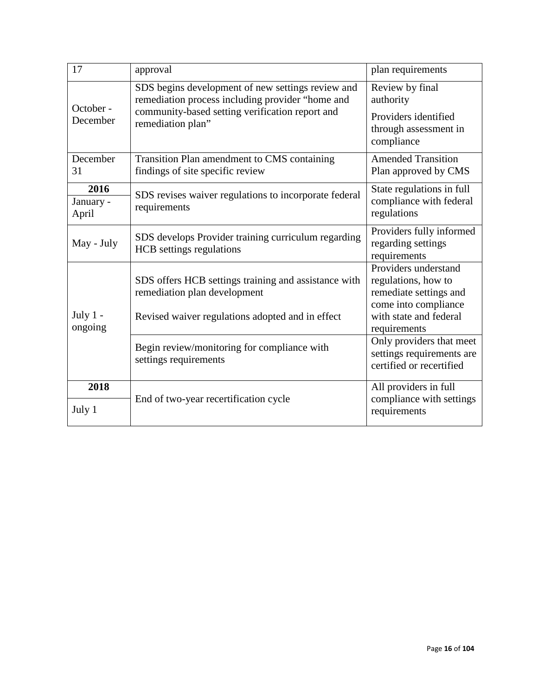| 17                         | approval                                                                                                                                                                                                         | plan requirements                                                                                                                                                                                                            |
|----------------------------|------------------------------------------------------------------------------------------------------------------------------------------------------------------------------------------------------------------|------------------------------------------------------------------------------------------------------------------------------------------------------------------------------------------------------------------------------|
| October -<br>December      | SDS begins development of new settings review and<br>remediation process including provider "home and<br>community-based setting verification report and<br>remediation plan"                                    | Review by final<br>authority<br>Providers identified<br>through assessment in<br>compliance                                                                                                                                  |
| December<br>31             | Transition Plan amendment to CMS containing<br>findings of site specific review                                                                                                                                  | <b>Amended Transition</b><br>Plan approved by CMS                                                                                                                                                                            |
| 2016<br>January -<br>April | SDS revises waiver regulations to incorporate federal<br>requirements                                                                                                                                            | State regulations in full<br>compliance with federal<br>regulations                                                                                                                                                          |
| May - July                 | SDS develops Provider training curriculum regarding<br><b>HCB</b> settings regulations                                                                                                                           | Providers fully informed<br>regarding settings<br>requirements                                                                                                                                                               |
| July $1 -$<br>ongoing      | SDS offers HCB settings training and assistance with<br>remediation plan development<br>Revised waiver regulations adopted and in effect<br>Begin review/monitoring for compliance with<br>settings requirements | Providers understand<br>regulations, how to<br>remediate settings and<br>come into compliance<br>with state and federal<br>requirements<br>Only providers that meet<br>settings requirements are<br>certified or recertified |
| 2018                       |                                                                                                                                                                                                                  | All providers in full                                                                                                                                                                                                        |
|                            | End of two-year recertification cycle                                                                                                                                                                            | compliance with settings                                                                                                                                                                                                     |
| July 1                     |                                                                                                                                                                                                                  | requirements                                                                                                                                                                                                                 |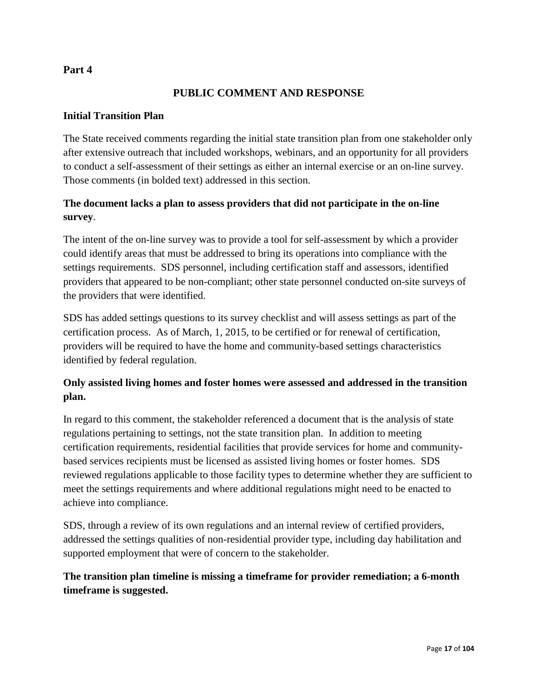### **PUBLIC COMMENT AND RESPONSE**

#### **Initial Transition Plan**

The State received comments regarding the initial state transition plan from one stakeholder only after extensive outreach that included workshops, webinars, and an opportunity for all providers to conduct a self-assessment of their settings as either an internal exercise or an on-line survey. Those comments (in bolded text) addressed in this section.

### **The document lacks a plan to assess providers that did not participate in the on-line survey**.

The intent of the on-line survey was to provide a tool for self-assessment by which a provider could identify areas that must be addressed to bring its operations into compliance with the settings requirements. SDS personnel, including certification staff and assessors, identified providers that appeared to be non-compliant; other state personnel conducted on-site surveys of the providers that were identified.

SDS has added settings questions to its survey checklist and will assess settings as part of the certification process. As of March, 1, 2015, to be certified or for renewal of certification, providers will be required to have the home and community-based settings characteristics identified by federal regulation.

### **Only assisted living homes and foster homes were assessed and addressed in the transition plan.**

In regard to this comment, the stakeholder referenced a document that is the analysis of state regulations pertaining to settings, not the state transition plan. In addition to meeting certification requirements, residential facilities that provide services for home and communitybased services recipients must be licensed as assisted living homes or foster homes. SDS reviewed regulations applicable to those facility types to determine whether they are sufficient to meet the settings requirements and where additional regulations might need to be enacted to achieve into compliance.

SDS, through a review of its own regulations and an internal review of certified providers, addressed the settings qualities of non-residential provider type, including day habilitation and supported employment that were of concern to the stakeholder.

### **The transition plan timeline is missing a timeframe for provider remediation; a 6-month timeframe is suggested.**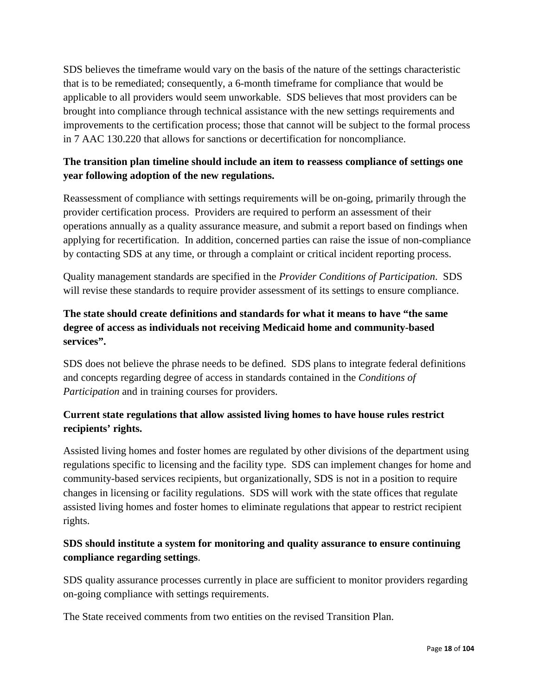SDS believes the timeframe would vary on the basis of the nature of the settings characteristic that is to be remediated; consequently, a 6-month timeframe for compliance that would be applicable to all providers would seem unworkable. SDS believes that most providers can be brought into compliance through technical assistance with the new settings requirements and improvements to the certification process; those that cannot will be subject to the formal process in 7 AAC 130.220 that allows for sanctions or decertification for noncompliance.

### **The transition plan timeline should include an item to reassess compliance of settings one year following adoption of the new regulations.**

Reassessment of compliance with settings requirements will be on-going, primarily through the provider certification process. Providers are required to perform an assessment of their operations annually as a quality assurance measure, and submit a report based on findings when applying for recertification. In addition, concerned parties can raise the issue of non-compliance by contacting SDS at any time, or through a complaint or critical incident reporting process.

Quality management standards are specified in the *Provider Conditions of Participation*. SDS will revise these standards to require provider assessment of its settings to ensure compliance.

### **The state should create definitions and standards for what it means to have "the same degree of access as individuals not receiving Medicaid home and community-based services".**

SDS does not believe the phrase needs to be defined. SDS plans to integrate federal definitions and concepts regarding degree of access in standards contained in the *Conditions of Participation* and in training courses for providers.

### **Current state regulations that allow assisted living homes to have house rules restrict recipients' rights.**

Assisted living homes and foster homes are regulated by other divisions of the department using regulations specific to licensing and the facility type. SDS can implement changes for home and community-based services recipients, but organizationally, SDS is not in a position to require changes in licensing or facility regulations. SDS will work with the state offices that regulate assisted living homes and foster homes to eliminate regulations that appear to restrict recipient rights.

### **SDS should institute a system for monitoring and quality assurance to ensure continuing compliance regarding settings**.

SDS quality assurance processes currently in place are sufficient to monitor providers regarding on-going compliance with settings requirements.

The State received comments from two entities on the revised Transition Plan.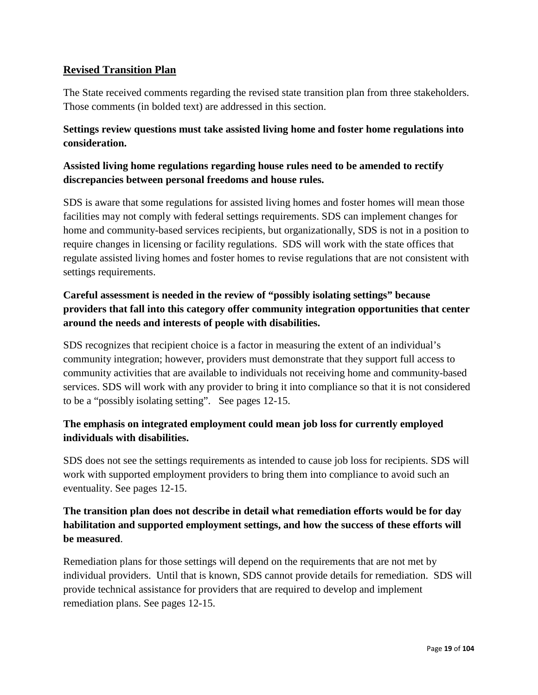### **Revised Transition Plan**

The State received comments regarding the revised state transition plan from three stakeholders. Those comments (in bolded text) are addressed in this section.

### **Settings review questions must take assisted living home and foster home regulations into consideration.**

### **Assisted living home regulations regarding house rules need to be amended to rectify discrepancies between personal freedoms and house rules.**

SDS is aware that some regulations for assisted living homes and foster homes will mean those facilities may not comply with federal settings requirements. SDS can implement changes for home and community-based services recipients, but organizationally, SDS is not in a position to require changes in licensing or facility regulations. SDS will work with the state offices that regulate assisted living homes and foster homes to revise regulations that are not consistent with settings requirements.

### **Careful assessment is needed in the review of "possibly isolating settings" because providers that fall into this category offer community integration opportunities that center around the needs and interests of people with disabilities.**

SDS recognizes that recipient choice is a factor in measuring the extent of an individual's community integration; however, providers must demonstrate that they support full access to community activities that are available to individuals not receiving home and community-based services. SDS will work with any provider to bring it into compliance so that it is not considered to be a "possibly isolating setting". See pages 12-15.

### **The emphasis on integrated employment could mean job loss for currently employed individuals with disabilities.**

SDS does not see the settings requirements as intended to cause job loss for recipients. SDS will work with supported employment providers to bring them into compliance to avoid such an eventuality. See pages 12-15.

### **The transition plan does not describe in detail what remediation efforts would be for day habilitation and supported employment settings, and how the success of these efforts will be measured**.

Remediation plans for those settings will depend on the requirements that are not met by individual providers. Until that is known, SDS cannot provide details for remediation. SDS will provide technical assistance for providers that are required to develop and implement remediation plans. See pages 12-15.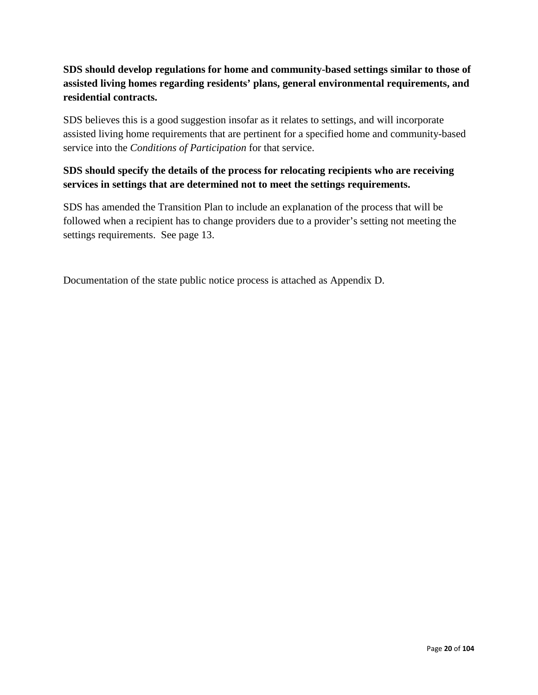### **SDS should develop regulations for home and community-based settings similar to those of assisted living homes regarding residents' plans, general environmental requirements, and residential contracts.**

SDS believes this is a good suggestion insofar as it relates to settings, and will incorporate assisted living home requirements that are pertinent for a specified home and community-based service into the *Conditions of Participation* for that service.

### **SDS should specify the details of the process for relocating recipients who are receiving services in settings that are determined not to meet the settings requirements.**

SDS has amended the Transition Plan to include an explanation of the process that will be followed when a recipient has to change providers due to a provider's setting not meeting the settings requirements. See page 13.

Documentation of the state public notice process is attached as Appendix D.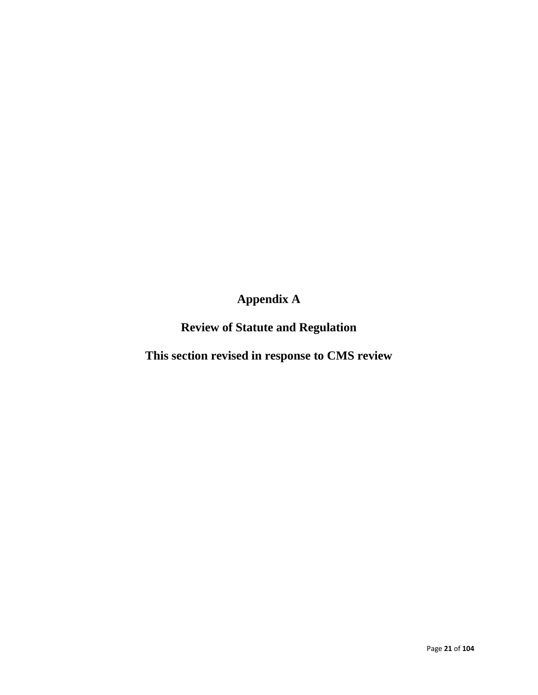# **Appendix A**

**Review of Statute and Regulation**

**This section revised in response to CMS review**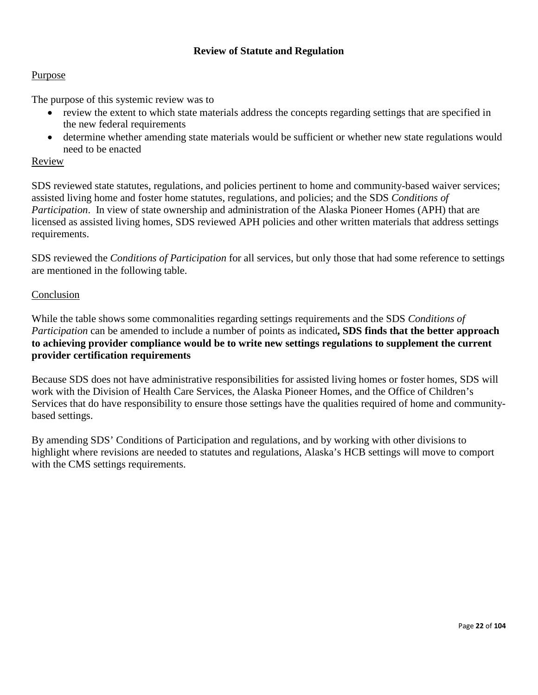#### **Review of Statute and Regulation**

#### Purpose

The purpose of this systemic review was to

- review the extent to which state materials address the concepts regarding settings that are specified in the new federal requirements
- determine whether amending state materials would be sufficient or whether new state regulations would need to be enacted

#### Review

SDS reviewed state statutes, regulations, and policies pertinent to home and community-based waiver services; assisted living home and foster home statutes, regulations, and policies; and the SDS *Conditions of Participation*. In view of state ownership and administration of the Alaska Pioneer Homes (APH) that are licensed as assisted living homes, SDS reviewed APH policies and other written materials that address settings requirements.

SDS reviewed the *Conditions of Participation* for all services, but only those that had some reference to settings are mentioned in the following table.

#### Conclusion

While the table shows some commonalities regarding settings requirements and the SDS *Conditions of Participation* can be amended to include a number of points as indicated**, SDS finds that the better approach to achieving provider compliance would be to write new settings regulations to supplement the current provider certification requirements**

Because SDS does not have administrative responsibilities for assisted living homes or foster homes, SDS will work with the Division of Health Care Services, the Alaska Pioneer Homes, and the Office of Children's Services that do have responsibility to ensure those settings have the qualities required of home and communitybased settings.

By amending SDS' Conditions of Participation and regulations, and by working with other divisions to highlight where revisions are needed to statutes and regulations, Alaska's HCB settings will move to comport with the CMS settings requirements.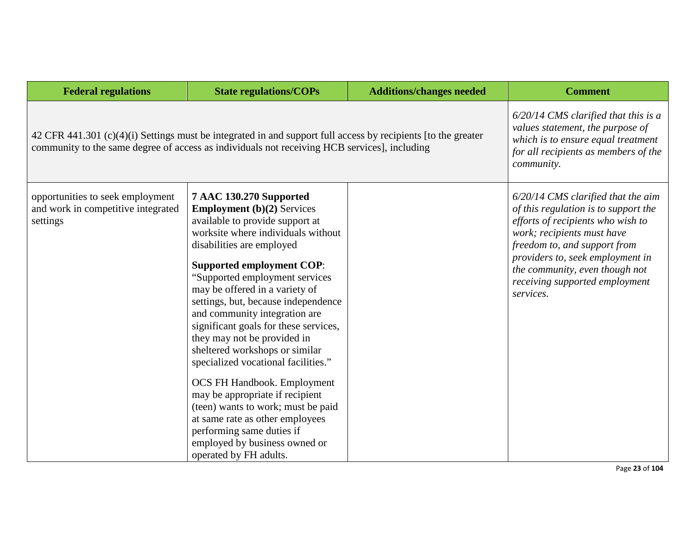| <b>Federal regulations</b>                                                                                                                                                                                    | <b>State regulations/COPs</b>                                                                                                                                                                                                                                                                                                                                                                                                                                                                                                                                                                                                                                                                                                                   | <b>Additions/changes needed</b> | <b>Comment</b>                                                                                                                                                                                                                                                                                       |
|---------------------------------------------------------------------------------------------------------------------------------------------------------------------------------------------------------------|-------------------------------------------------------------------------------------------------------------------------------------------------------------------------------------------------------------------------------------------------------------------------------------------------------------------------------------------------------------------------------------------------------------------------------------------------------------------------------------------------------------------------------------------------------------------------------------------------------------------------------------------------------------------------------------------------------------------------------------------------|---------------------------------|------------------------------------------------------------------------------------------------------------------------------------------------------------------------------------------------------------------------------------------------------------------------------------------------------|
| 42 CFR 441.301 (c)(4)(i) Settings must be integrated in and support full access by recipients [to the greater<br>community to the same degree of access as individuals not receiving HCB services], including | $6/20/14$ CMS clarified that this is a<br>values statement, the purpose of<br>which is to ensure equal treatment<br>for all recipients as members of the<br>community.                                                                                                                                                                                                                                                                                                                                                                                                                                                                                                                                                                          |                                 |                                                                                                                                                                                                                                                                                                      |
| opportunities to seek employment<br>and work in competitive integrated<br>settings                                                                                                                            | 7 AAC 130.270 Supported<br><b>Employment</b> $(b)(2)$ Services<br>available to provide support at<br>worksite where individuals without<br>disabilities are employed<br><b>Supported employment COP:</b><br>"Supported employment services<br>may be offered in a variety of<br>settings, but, because independence<br>and community integration are<br>significant goals for these services,<br>they may not be provided in<br>sheltered workshops or similar<br>specialized vocational facilities."<br><b>OCS FH Handbook. Employment</b><br>may be appropriate if recipient<br>(teen) wants to work; must be paid<br>at same rate as other employees<br>performing same duties if<br>employed by business owned or<br>operated by FH adults. |                                 | $6/20/14$ CMS clarified that the aim<br>of this regulation is to support the<br>efforts of recipients who wish to<br>work; recipients must have<br>freedom to, and support from<br>providers to, seek employment in<br>the community, even though not<br>receiving supported employment<br>services. |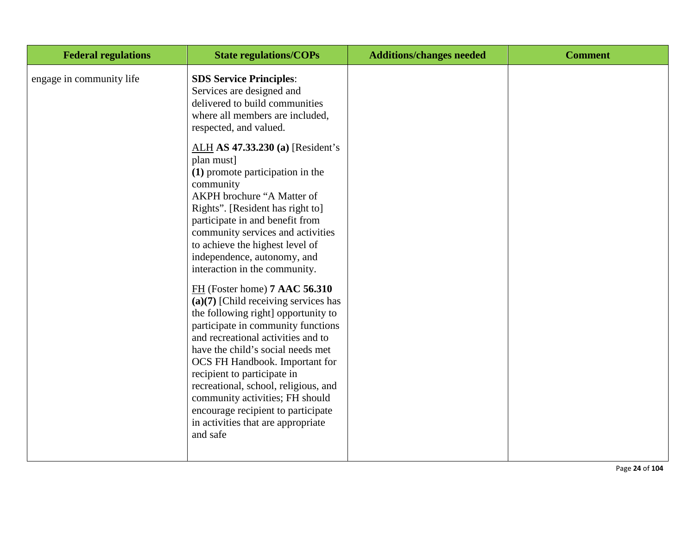| <b>Federal regulations</b> | <b>State regulations/COPs</b>                                                                                                                                                                                                                                                                                                                                                                                                                                                                                                                                                                                                                                                                                                                                                                                                                                                                                                                                                     | <b>Additions/changes needed</b> | <b>Comment</b> |
|----------------------------|-----------------------------------------------------------------------------------------------------------------------------------------------------------------------------------------------------------------------------------------------------------------------------------------------------------------------------------------------------------------------------------------------------------------------------------------------------------------------------------------------------------------------------------------------------------------------------------------------------------------------------------------------------------------------------------------------------------------------------------------------------------------------------------------------------------------------------------------------------------------------------------------------------------------------------------------------------------------------------------|---------------------------------|----------------|
| engage in community life   | <b>SDS Service Principles:</b><br>Services are designed and<br>delivered to build communities<br>where all members are included,<br>respected, and valued.<br>ALH AS 47.33.230 (a) [Resident's<br>plan must]<br>(1) promote participation in the<br>community<br>AKPH brochure "A Matter of<br>Rights". [Resident has right to]<br>participate in and benefit from<br>community services and activities<br>to achieve the highest level of<br>independence, autonomy, and<br>interaction in the community.<br>FH (Foster home) 7 AAC 56.310<br>$(a)(7)$ [Child receiving services has<br>the following right] opportunity to<br>participate in community functions<br>and recreational activities and to<br>have the child's social needs met<br>OCS FH Handbook. Important for<br>recipient to participate in<br>recreational, school, religious, and<br>community activities; FH should<br>encourage recipient to participate<br>in activities that are appropriate<br>and safe |                                 |                |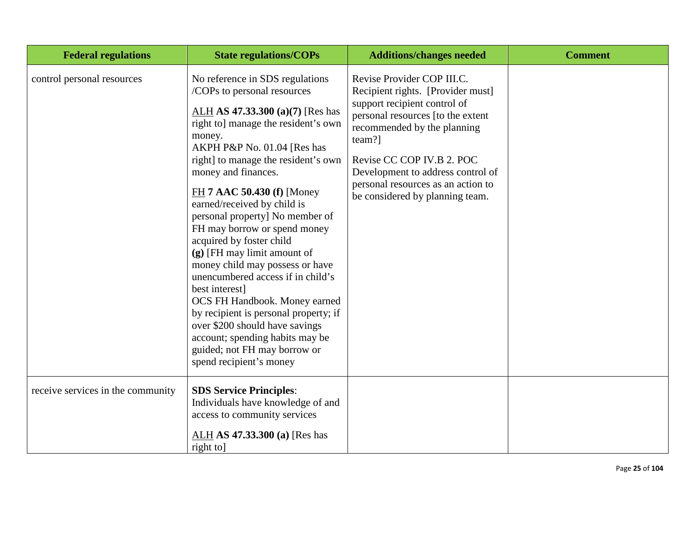| <b>Federal regulations</b>        | <b>State regulations/COPs</b>                                                                                                                                                                                                                                                                                                                                                                                                                                                                                                                                                                                                                                                                                                                     | <b>Additions/changes needed</b>                                                                                                                                                                                                                                                                                          | <b>Comment</b> |
|-----------------------------------|---------------------------------------------------------------------------------------------------------------------------------------------------------------------------------------------------------------------------------------------------------------------------------------------------------------------------------------------------------------------------------------------------------------------------------------------------------------------------------------------------------------------------------------------------------------------------------------------------------------------------------------------------------------------------------------------------------------------------------------------------|--------------------------------------------------------------------------------------------------------------------------------------------------------------------------------------------------------------------------------------------------------------------------------------------------------------------------|----------------|
| control personal resources        | No reference in SDS regulations<br>/COPs to personal resources<br>ALH AS 47.33.300 (a)(7) [Res has<br>right to] manage the resident's own<br>money.<br>AKPH P&P No. 01.04 [Res has<br>right] to manage the resident's own<br>money and finances.<br>$FH$ 7 AAC 50.430 (f) [Money<br>earned/received by child is<br>personal property] No member of<br>FH may borrow or spend money<br>acquired by foster child<br>(g) [FH may limit amount of<br>money child may possess or have<br>unencumbered access if in child's<br>best interest]<br>OCS FH Handbook. Money earned<br>by recipient is personal property; if<br>over \$200 should have savings<br>account; spending habits may be<br>guided; not FH may borrow or<br>spend recipient's money | Revise Provider COP III.C.<br>Recipient rights. [Provider must]<br>support recipient control of<br>personal resources [to the extent<br>recommended by the planning<br>team?]<br>Revise CC COP IV.B 2. POC<br>Development to address control of<br>personal resources as an action to<br>be considered by planning team. |                |
| receive services in the community | <b>SDS Service Principles:</b><br>Individuals have knowledge of and<br>access to community services<br>$ALH$ AS 47.33.300 (a) [Res has<br>right to                                                                                                                                                                                                                                                                                                                                                                                                                                                                                                                                                                                                |                                                                                                                                                                                                                                                                                                                          |                |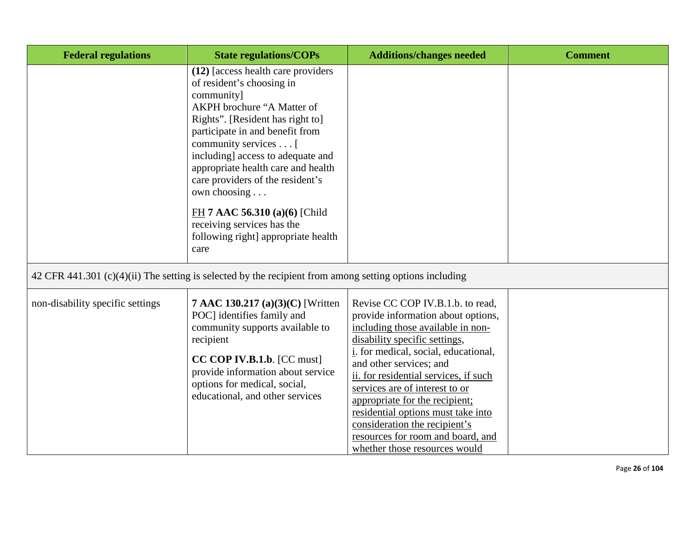| <b>Federal regulations</b>       | <b>State regulations/COPs</b>                                                                                                                                                                                                                                                                                                                                                                                                                           | <b>Additions/changes needed</b>                                                                                                                                                                                                                                                                                                                                                                                                                                                   | <b>Comment</b> |
|----------------------------------|---------------------------------------------------------------------------------------------------------------------------------------------------------------------------------------------------------------------------------------------------------------------------------------------------------------------------------------------------------------------------------------------------------------------------------------------------------|-----------------------------------------------------------------------------------------------------------------------------------------------------------------------------------------------------------------------------------------------------------------------------------------------------------------------------------------------------------------------------------------------------------------------------------------------------------------------------------|----------------|
|                                  | (12) [access health care providers<br>of resident's choosing in<br>community]<br>AKPH brochure "A Matter of<br>Rights". [Resident has right to]<br>participate in and benefit from<br>community services [<br>including] access to adequate and<br>appropriate health care and health<br>care providers of the resident's<br>own choosing<br>FH 7 AAC 56.310 (a)(6) [Child<br>receiving services has the<br>following right] appropriate health<br>care |                                                                                                                                                                                                                                                                                                                                                                                                                                                                                   |                |
|                                  | 42 CFR 441.301 (c)(4)(ii) The setting is selected by the recipient from among setting options including                                                                                                                                                                                                                                                                                                                                                 |                                                                                                                                                                                                                                                                                                                                                                                                                                                                                   |                |
| non-disability specific settings | 7 AAC 130.217 (a)(3)(C) [Written<br>POC] identifies family and<br>community supports available to<br>recipient<br>CC COP IV.B.1.b. [CC must]<br>provide information about service<br>options for medical, social,<br>educational, and other services                                                                                                                                                                                                    | Revise CC COP IV.B.1.b. to read,<br>provide information about options,<br>including those available in non-<br>disability specific settings,<br><i>i</i> . for medical, social, educational,<br>and other services; and<br>ii. for residential services, if such<br>services are of interest to or<br>appropriate for the recipient;<br>residential options must take into<br>consideration the recipient's<br>resources for room and board, and<br>whether those resources would |                |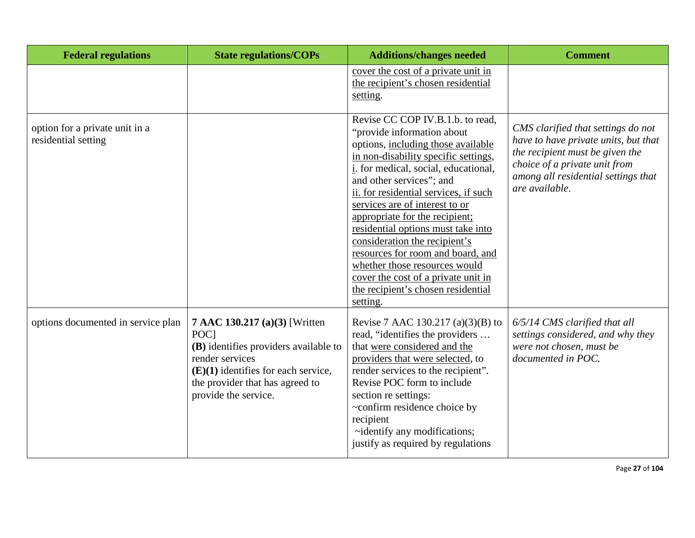| <b>Federal regulations</b>                            | <b>State regulations/COPs</b>                                                                                                                                                                         | <b>Additions/changes needed</b>                                                                                                                                                                                                                                                                                                                                                                                                                                                                                                                                     | <b>Comment</b>                                                                                                                                                                                          |
|-------------------------------------------------------|-------------------------------------------------------------------------------------------------------------------------------------------------------------------------------------------------------|---------------------------------------------------------------------------------------------------------------------------------------------------------------------------------------------------------------------------------------------------------------------------------------------------------------------------------------------------------------------------------------------------------------------------------------------------------------------------------------------------------------------------------------------------------------------|---------------------------------------------------------------------------------------------------------------------------------------------------------------------------------------------------------|
|                                                       |                                                                                                                                                                                                       | cover the cost of a private unit in<br>the recipient's chosen residential<br>setting.                                                                                                                                                                                                                                                                                                                                                                                                                                                                               |                                                                                                                                                                                                         |
| option for a private unit in a<br>residential setting |                                                                                                                                                                                                       | Revise CC COP IV.B.1.b. to read,<br>"provide information about<br>options, including those available<br>in non-disability specific settings,<br>i. for medical, social, educational,<br>and other services"; and<br>ii. for residential services, if such<br>services are of interest to or<br>appropriate for the recipient;<br>residential options must take into<br>consideration the recipient's<br>resources for room and board, and<br>whether those resources would<br>cover the cost of a private unit in<br>the recipient's chosen residential<br>setting. | CMS clarified that settings do not<br>have to have private units, but that<br>the recipient must be given the<br>choice of a private unit from<br>among all residential settings that<br>are available. |
| options documented in service plan                    | 7 AAC 130.217 (a)(3) [Written<br>POC1<br>(B) identifies providers available to<br>render services<br>$(E)(1)$ identifies for each service,<br>the provider that has agreed to<br>provide the service. | Revise 7 AAC 130.217 (a)(3)(B) to<br>read, "identifies the providers<br>that were considered and the<br>providers that were selected, to<br>render services to the recipient".<br>Revise POC form to include<br>section re settings:<br>~confirm residence choice by<br>recipient<br>~identify any modifications;<br>justify as required by regulations                                                                                                                                                                                                             | 6/5/14 CMS clarified that all<br>settings considered, and why they<br>were not chosen, must be<br>documented in POC.                                                                                    |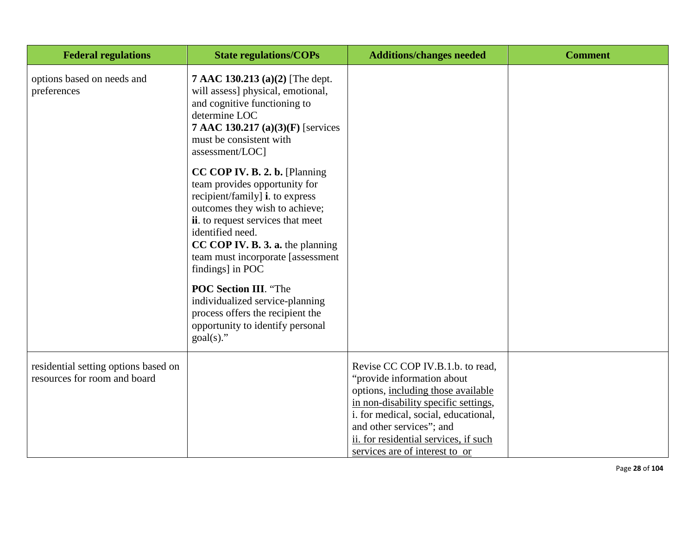| <b>Federal regulations</b>                                           | <b>State regulations/COPs</b>                                                                                                                                                                                                                                                                                                                                                                                                                                 | <b>Additions/changes needed</b>                                                                                                                                                                                                                                                             | <b>Comment</b> |
|----------------------------------------------------------------------|---------------------------------------------------------------------------------------------------------------------------------------------------------------------------------------------------------------------------------------------------------------------------------------------------------------------------------------------------------------------------------------------------------------------------------------------------------------|---------------------------------------------------------------------------------------------------------------------------------------------------------------------------------------------------------------------------------------------------------------------------------------------|----------------|
| options based on needs and<br>preferences                            | 7 AAC 130.213 (a)(2) [The dept.<br>will assess] physical, emotional,<br>and cognitive functioning to<br>determine LOC<br>7 AAC 130.217 (a)(3)(F) [services<br>must be consistent with<br>assessment/LOC]                                                                                                                                                                                                                                                      |                                                                                                                                                                                                                                                                                             |                |
|                                                                      | CC COP IV. B. 2. b. [Planning]<br>team provides opportunity for<br>recipient/family] <b>i</b> . to express<br>outcomes they wish to achieve;<br>ii. to request services that meet<br>identified need.<br>CC COP IV. B. 3. a. the planning<br>team must incorporate [assessment<br>findings] in POC<br><b>POC Section III. "The</b><br>individualized service-planning<br>process offers the recipient the<br>opportunity to identify personal<br>$goal(s)$ ." |                                                                                                                                                                                                                                                                                             |                |
| residential setting options based on<br>resources for room and board |                                                                                                                                                                                                                                                                                                                                                                                                                                                               | Revise CC COP IV.B.1.b. to read,<br>"provide information about<br>options, including those available<br>in non-disability specific settings,<br>i. for medical, social, educational,<br>and other services"; and<br>ii. for residential services, if such<br>services are of interest to or |                |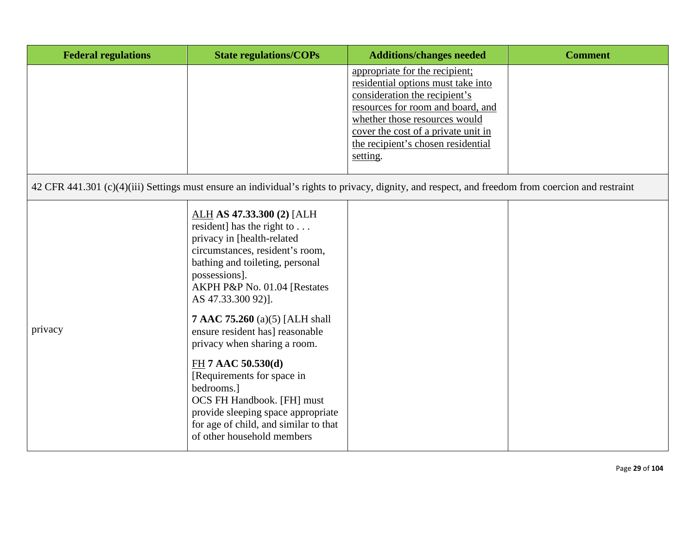| <b>Federal regulations</b> | <b>State regulations/COPs</b>                                                                                                                                                                                                                                                                                                                                                                                                                                                                                                                                         | <b>Additions/changes needed</b>                                                                                                                                                                                                                                      | <b>Comment</b> |
|----------------------------|-----------------------------------------------------------------------------------------------------------------------------------------------------------------------------------------------------------------------------------------------------------------------------------------------------------------------------------------------------------------------------------------------------------------------------------------------------------------------------------------------------------------------------------------------------------------------|----------------------------------------------------------------------------------------------------------------------------------------------------------------------------------------------------------------------------------------------------------------------|----------------|
|                            |                                                                                                                                                                                                                                                                                                                                                                                                                                                                                                                                                                       | appropriate for the recipient;<br>residential options must take into<br>consideration the recipient's<br>resources for room and board, and<br>whether those resources would<br>cover the cost of a private unit in<br>the recipient's chosen residential<br>setting. |                |
|                            | 42 CFR 441.301 (c)(4)(iii) Settings must ensure an individual's rights to privacy, dignity, and respect, and freedom from coercion and restraint                                                                                                                                                                                                                                                                                                                                                                                                                      |                                                                                                                                                                                                                                                                      |                |
| privacy                    | ALH AS 47.33.300 (2) [ALH<br>resident] has the right to $\dots$<br>privacy in [health-related<br>circumstances, resident's room,<br>bathing and toileting, personal<br>possessions].<br>AKPH P&P No. 01.04 [Restates<br>AS 47.33.300 92)].<br><b>7 AAC 75.260</b> (a)(5) [ALH shall<br>ensure resident has] reasonable<br>privacy when sharing a room.<br>$FH$ 7 AAC 50.530(d)<br>[Requirements for space in<br>bedrooms.]<br>OCS FH Handbook. [FH] must<br>provide sleeping space appropriate<br>for age of child, and similar to that<br>of other household members |                                                                                                                                                                                                                                                                      |                |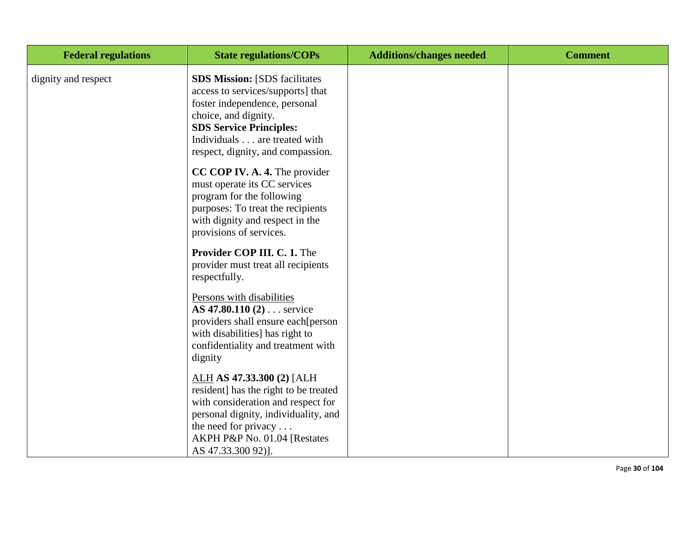| <b>Federal regulations</b> | <b>State regulations/COPs</b>                                                                                                                                                                                                             | <b>Additions/changes needed</b> | <b>Comment</b> |
|----------------------------|-------------------------------------------------------------------------------------------------------------------------------------------------------------------------------------------------------------------------------------------|---------------------------------|----------------|
| dignity and respect        | <b>SDS Mission: [SDS facilitates</b><br>access to services/supports] that<br>foster independence, personal<br>choice, and dignity.<br><b>SDS Service Principles:</b><br>Individuals are treated with<br>respect, dignity, and compassion. |                                 |                |
|                            | <b>CC COP IV. A. 4.</b> The provider<br>must operate its CC services<br>program for the following<br>purposes: To treat the recipients<br>with dignity and respect in the<br>provisions of services.                                      |                                 |                |
|                            | Provider COP III. C. 1. The<br>provider must treat all recipients<br>respectfully.                                                                                                                                                        |                                 |                |
|                            | Persons with disabilities<br>AS 47.80.110 (2) service<br>providers shall ensure each[person<br>with disabilities] has right to<br>confidentiality and treatment with<br>dignity                                                           |                                 |                |
|                            | ALH AS 47.33.300 (2) [ALH<br>resident] has the right to be treated<br>with consideration and respect for<br>personal dignity, individuality, and<br>the need for privacy $\dots$<br>AKPH P&P No. 01.04 [Restates<br>AS 47.33.300 92)].    |                                 |                |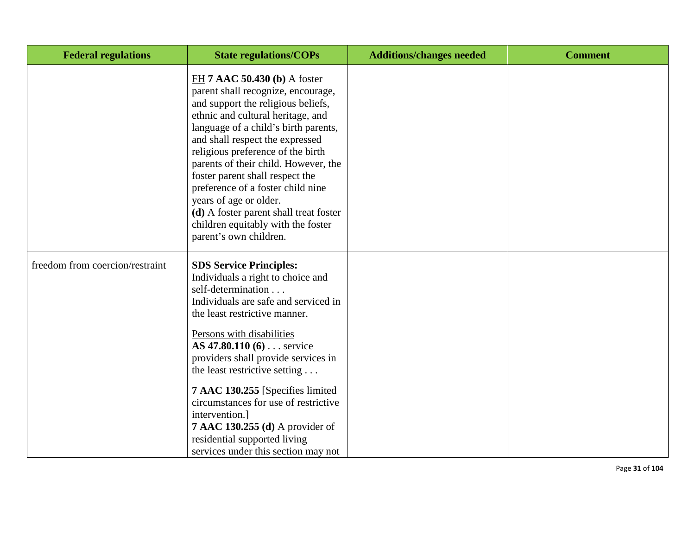| <b>Federal regulations</b>      | <b>State regulations/COPs</b>                                                                                                                                                                                                                                                                                                                                                                                                                                                                                       | <b>Additions/changes needed</b> | <b>Comment</b> |
|---------------------------------|---------------------------------------------------------------------------------------------------------------------------------------------------------------------------------------------------------------------------------------------------------------------------------------------------------------------------------------------------------------------------------------------------------------------------------------------------------------------------------------------------------------------|---------------------------------|----------------|
|                                 | FH 7 AAC 50.430 (b) A foster<br>parent shall recognize, encourage,<br>and support the religious beliefs,<br>ethnic and cultural heritage, and<br>language of a child's birth parents,<br>and shall respect the expressed<br>religious preference of the birth<br>parents of their child. However, the<br>foster parent shall respect the<br>preference of a foster child nine<br>years of age or older.<br>(d) A foster parent shall treat foster<br>children equitably with the foster<br>parent's own children.   |                                 |                |
| freedom from coercion/restraint | <b>SDS Service Principles:</b><br>Individuals a right to choice and<br>self-determination<br>Individuals are safe and serviced in<br>the least restrictive manner.<br>Persons with disabilities<br>AS 47.80.110 (6) service<br>providers shall provide services in<br>the least restrictive setting<br>7 AAC 130.255 [Specifies limited]<br>circumstances for use of restrictive<br>intervention.]<br><b>7 AAC 130.255 (d)</b> A provider of<br>residential supported living<br>services under this section may not |                                 |                |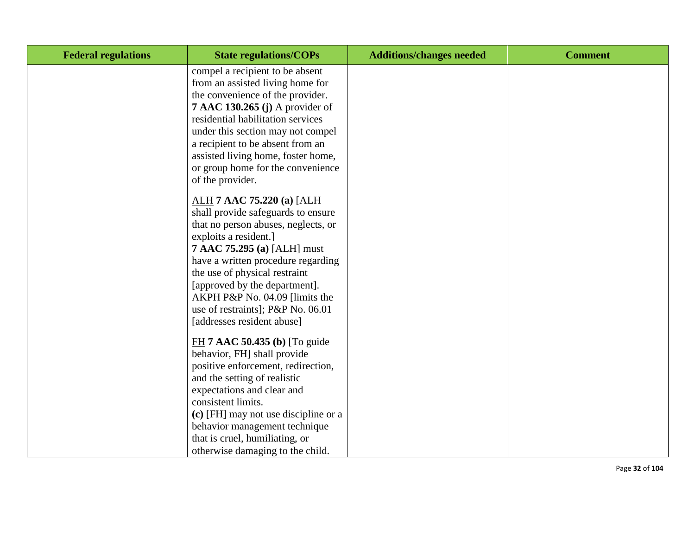| <b>Federal regulations</b> | <b>State regulations/COPs</b>                                                                                                                                                                                                                                                                                                                                               | <b>Additions/changes needed</b> | <b>Comment</b> |
|----------------------------|-----------------------------------------------------------------------------------------------------------------------------------------------------------------------------------------------------------------------------------------------------------------------------------------------------------------------------------------------------------------------------|---------------------------------|----------------|
|                            | compel a recipient to be absent<br>from an assisted living home for<br>the convenience of the provider.<br><b>7 AAC 130.265 (j)</b> A provider of<br>residential habilitation services<br>under this section may not compel<br>a recipient to be absent from an<br>assisted living home, foster home,<br>or group home for the convenience<br>of the provider.              |                                 |                |
|                            | ALH 7 AAC 75.220 (a) [ALH<br>shall provide safeguards to ensure<br>that no person abuses, neglects, or<br>exploits a resident.]<br>7 AAC 75.295 (a) [ALH] must<br>have a written procedure regarding<br>the use of physical restraint<br>[approved by the department].<br>AKPH P&P No. 04.09 [limits the<br>use of restraints]; P&P No. 06.01<br>[addresses resident abuse] |                                 |                |
|                            | $FH$ 7 AAC 50.435 (b) [To guide<br>behavior, FH] shall provide<br>positive enforcement, redirection,<br>and the setting of realistic<br>expectations and clear and<br>consistent limits.<br>(c) [FH] may not use discipline or a<br>behavior management technique<br>that is cruel, humiliating, or<br>otherwise damaging to the child.                                     |                                 |                |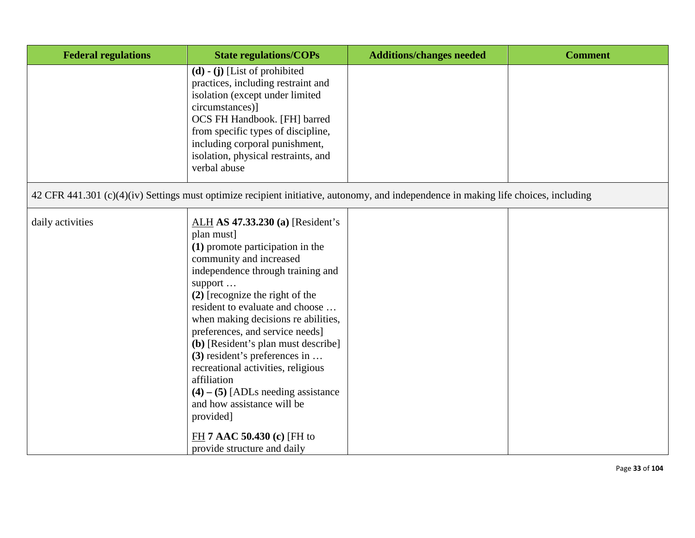| <b>Federal regulations</b>                                                                                                          | <b>State regulations/COPs</b>                                                                                                                                                                                                                                                                                                                                                                                                                                                                                                                                                                    | <b>Additions/changes needed</b> | <b>Comment</b> |
|-------------------------------------------------------------------------------------------------------------------------------------|--------------------------------------------------------------------------------------------------------------------------------------------------------------------------------------------------------------------------------------------------------------------------------------------------------------------------------------------------------------------------------------------------------------------------------------------------------------------------------------------------------------------------------------------------------------------------------------------------|---------------------------------|----------------|
|                                                                                                                                     | $(d)$ - $(j)$ [List of prohibited<br>practices, including restraint and<br>isolation (except under limited<br>circumstances)]<br>OCS FH Handbook. [FH] barred<br>from specific types of discipline,<br>including corporal punishment,<br>isolation, physical restraints, and<br>verbal abuse                                                                                                                                                                                                                                                                                                     |                                 |                |
| 42 CFR 441.301 (c)(4)(iv) Settings must optimize recipient initiative, autonomy, and independence in making life choices, including |                                                                                                                                                                                                                                                                                                                                                                                                                                                                                                                                                                                                  |                                 |                |
| daily activities                                                                                                                    | ALH AS 47.33.230 (a) [Resident's<br>plan must]<br>(1) promote participation in the<br>community and increased<br>independence through training and<br>support<br>$(2)$ [recognize the right of the<br>resident to evaluate and choose<br>when making decisions re abilities,<br>preferences, and service needs]<br>(b) [Resident's plan must describe]<br>$(3)$ resident's preferences in<br>recreational activities, religious<br>affiliation<br>$(4) - (5)$ [ADLs needing assistance<br>and how assistance will be<br>provided]<br>$FH$ 7 AAC 50.430 (c) [FH to<br>provide structure and daily |                                 |                |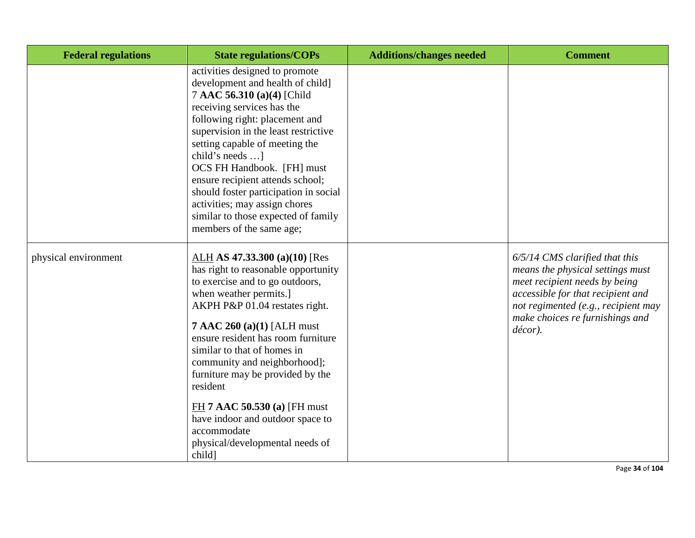| <b>Federal regulations</b> | <b>State regulations/COPs</b>                                                                                                                                                                                                                                                                                                                                                                                                                                                               | <b>Additions/changes needed</b> | <b>Comment</b>                                                                                                                                                                                                                  |
|----------------------------|---------------------------------------------------------------------------------------------------------------------------------------------------------------------------------------------------------------------------------------------------------------------------------------------------------------------------------------------------------------------------------------------------------------------------------------------------------------------------------------------|---------------------------------|---------------------------------------------------------------------------------------------------------------------------------------------------------------------------------------------------------------------------------|
|                            | activities designed to promote<br>development and health of child]<br>7 AAC 56.310 (a)(4) [Child<br>receiving services has the<br>following right: placement and<br>supervision in the least restrictive<br>setting capable of meeting the<br>child's needs ]<br>OCS FH Handbook. [FH] must<br>ensure recipient attends school;<br>should foster participation in social<br>activities; may assign chores<br>similar to those expected of family<br>members of the same age;                |                                 |                                                                                                                                                                                                                                 |
| physical environment       | ALH AS 47.33.300 (a)(10) [Res<br>has right to reasonable opportunity<br>to exercise and to go outdoors,<br>when weather permits.]<br>AKPH P&P 01.04 restates right.<br>$7$ AAC 260 (a)(1) [ALH must<br>ensure resident has room furniture<br>similar to that of homes in<br>community and neighborhood];<br>furniture may be provided by the<br>resident<br>$FH$ 7 AAC 50.530 (a) [FH must]<br>have indoor and outdoor space to<br>accommodate<br>physical/developmental needs of<br>child] |                                 | $6/5/14$ CMS clarified that this<br>means the physical settings must<br>meet recipient needs by being<br>accessible for that recipient and<br>not regimented (e.g., recipient may<br>make choices re furnishings and<br>décor). |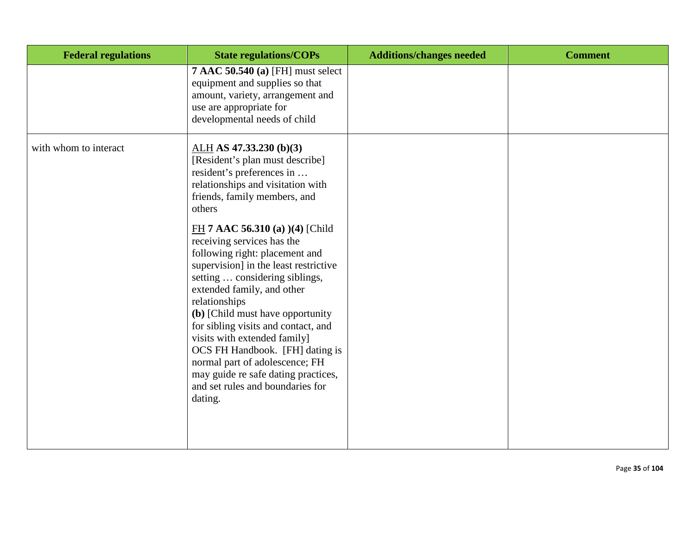| <b>Federal regulations</b> | <b>State regulations/COPs</b>                                                                                                                                                                                                                                                                                                                                                                                                                                                                                                                                                                                                                                              | <b>Additions/changes needed</b> | <b>Comment</b> |
|----------------------------|----------------------------------------------------------------------------------------------------------------------------------------------------------------------------------------------------------------------------------------------------------------------------------------------------------------------------------------------------------------------------------------------------------------------------------------------------------------------------------------------------------------------------------------------------------------------------------------------------------------------------------------------------------------------------|---------------------------------|----------------|
|                            | <b>7 AAC 50.540 (a) [FH] must select</b><br>equipment and supplies so that<br>amount, variety, arrangement and<br>use are appropriate for<br>developmental needs of child                                                                                                                                                                                                                                                                                                                                                                                                                                                                                                  |                                 |                |
| with whom to interact      | $ALH$ AS 47.33.230 (b)(3)<br>[Resident's plan must describe]<br>resident's preferences in<br>relationships and visitation with<br>friends, family members, and<br>others<br>FH 7 AAC 56.310 (a) (4) [Child<br>receiving services has the<br>following right: placement and<br>supervision] in the least restrictive<br>setting  considering siblings,<br>extended family, and other<br>relationships<br>(b) [Child must have opportunity<br>for sibling visits and contact, and<br>visits with extended family]<br>OCS FH Handbook. [FH] dating is<br>normal part of adolescence; FH<br>may guide re safe dating practices,<br>and set rules and boundaries for<br>dating. |                                 |                |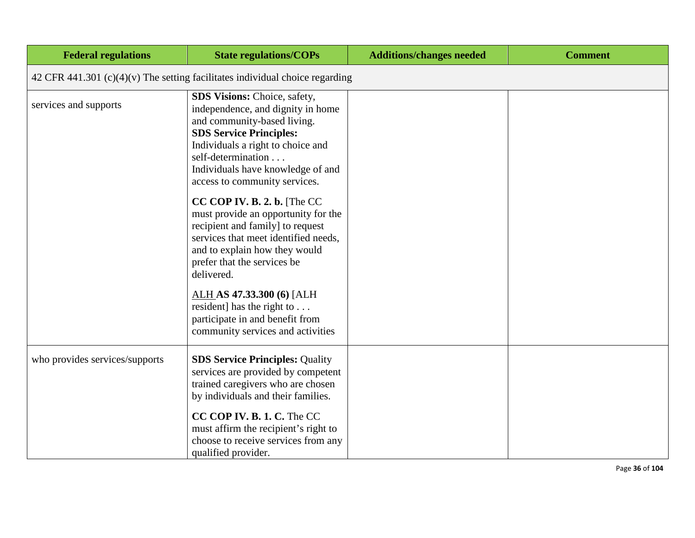| <b>Federal regulations</b>                                                     | <b>State regulations/COPs</b>                                                                                                                                                                                                                                              | <b>Additions/changes needed</b> | <b>Comment</b> |
|--------------------------------------------------------------------------------|----------------------------------------------------------------------------------------------------------------------------------------------------------------------------------------------------------------------------------------------------------------------------|---------------------------------|----------------|
| 42 CFR 441.301 $(c)(4)(v)$ The setting facilitates individual choice regarding |                                                                                                                                                                                                                                                                            |                                 |                |
| services and supports                                                          | <b>SDS Visions: Choice, safety,</b><br>independence, and dignity in home<br>and community-based living.<br><b>SDS Service Principles:</b><br>Individuals a right to choice and<br>self-determination<br>Individuals have knowledge of and<br>access to community services. |                                 |                |
|                                                                                | CC COP IV. B. 2. b. [The CC<br>must provide an opportunity for the<br>recipient and family] to request<br>services that meet identified needs,<br>and to explain how they would<br>prefer that the services be<br>delivered.                                               |                                 |                |
|                                                                                | ALH AS 47.33.300 (6) [ALH<br>resident] has the right to $\dots$<br>participate in and benefit from<br>community services and activities                                                                                                                                    |                                 |                |
| who provides services/supports                                                 | <b>SDS Service Principles: Quality</b><br>services are provided by competent<br>trained caregivers who are chosen<br>by individuals and their families.                                                                                                                    |                                 |                |
|                                                                                | CC COP IV. B. 1. C. The CC<br>must affirm the recipient's right to<br>choose to receive services from any<br>qualified provider.                                                                                                                                           |                                 |                |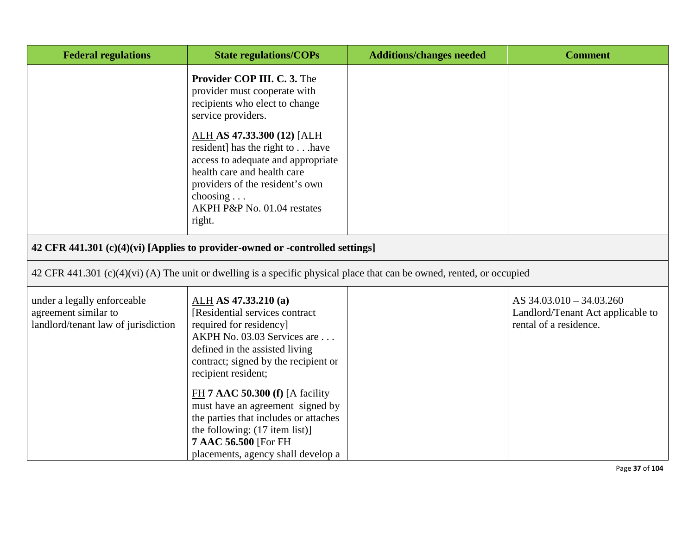| <b>Federal regulations</b>                                                                 | <b>State regulations/COPs</b>                                                                                                                                                                                                                                                                                                                                                                                                       | <b>Additions/changes needed</b> | <b>Comment</b>                                                                          |
|--------------------------------------------------------------------------------------------|-------------------------------------------------------------------------------------------------------------------------------------------------------------------------------------------------------------------------------------------------------------------------------------------------------------------------------------------------------------------------------------------------------------------------------------|---------------------------------|-----------------------------------------------------------------------------------------|
|                                                                                            | Provider COP III. C. 3. The<br>provider must cooperate with<br>recipients who elect to change<br>service providers.<br>ALH AS 47.33.300 (12) [ALH<br>resident] has the right to have<br>access to adequate and appropriate<br>health care and health care<br>providers of the resident's own<br>choosing $\ldots$<br>AKPH P&P No. 01.04 restates<br>right.                                                                          |                                 |                                                                                         |
|                                                                                            | 42 CFR 441.301 (c)(4)(vi) [Applies to provider-owned or -controlled settings]                                                                                                                                                                                                                                                                                                                                                       |                                 |                                                                                         |
|                                                                                            | 42 CFR 441.301 (c)(4)(vi) (A) The unit or dwelling is a specific physical place that can be owned, rented, or occupied                                                                                                                                                                                                                                                                                                              |                                 |                                                                                         |
| under a legally enforceable<br>agreement similar to<br>landlord/tenant law of jurisdiction | ALH AS 47.33.210 (a)<br>[Residential services contract<br>required for residency]<br>AKPH No. 03.03 Services are<br>defined in the assisted living<br>contract; signed by the recipient or<br>recipient resident;<br>$FH$ 7 AAC 50.300 (f) [A facility<br>must have an agreement signed by<br>the parties that includes or attaches<br>the following: (17 item list)]<br>7 AAC 56.500 [For FH<br>placements, agency shall develop a |                                 | AS 34.03.010 - 34.03.260<br>Landlord/Tenant Act applicable to<br>rental of a residence. |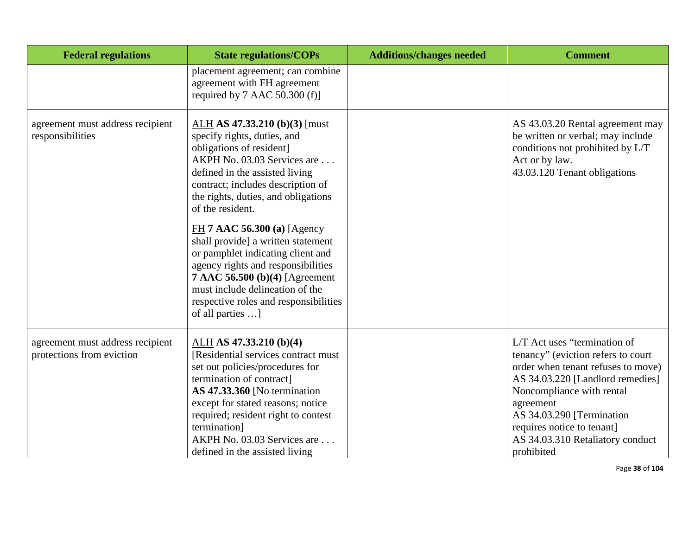| <b>Federal regulations</b>                                    | <b>State regulations/COPs</b>                                                                                                                                                                                                                                                                                                                                                                                                                                                                                                                | <b>Additions/changes needed</b> | <b>Comment</b>                                                                                                                                                                                                                                                                                      |
|---------------------------------------------------------------|----------------------------------------------------------------------------------------------------------------------------------------------------------------------------------------------------------------------------------------------------------------------------------------------------------------------------------------------------------------------------------------------------------------------------------------------------------------------------------------------------------------------------------------------|---------------------------------|-----------------------------------------------------------------------------------------------------------------------------------------------------------------------------------------------------------------------------------------------------------------------------------------------------|
|                                                               | placement agreement; can combine<br>agreement with FH agreement<br>required by $7$ AAC 50.300 (f)]                                                                                                                                                                                                                                                                                                                                                                                                                                           |                                 |                                                                                                                                                                                                                                                                                                     |
| agreement must address recipient<br>responsibilities          | $ALH$ AS 47.33.210 (b)(3) [must]<br>specify rights, duties, and<br>obligations of resident]<br>AKPH No. 03.03 Services are<br>defined in the assisted living<br>contract; includes description of<br>the rights, duties, and obligations<br>of the resident.<br>FH 7 AAC 56.300 (a) [Agency<br>shall provide] a written statement<br>or pamphlet indicating client and<br>agency rights and responsibilities<br>7 AAC 56.500 (b)(4) [Agreement<br>must include delineation of the<br>respective roles and responsibilities<br>of all parties |                                 | AS 43.03.20 Rental agreement may<br>be written or verbal; may include<br>conditions not prohibited by L/T<br>Act or by law.<br>43.03.120 Tenant obligations                                                                                                                                         |
| agreement must address recipient<br>protections from eviction | ALH AS 47.33.210 (b)(4)<br>[Residential services contract must<br>set out policies/procedures for<br>termination of contract]<br>AS 47.33.360 [No termination<br>except for stated reasons; notice<br>required; resident right to contest<br>termination]<br>AKPH No. 03.03 Services are<br>defined in the assisted living                                                                                                                                                                                                                   |                                 | L/T Act uses "termination of<br>tenancy" (eviction refers to court<br>order when tenant refuses to move)<br>AS 34.03.220 [Landlord remedies]<br>Noncompliance with rental<br>agreement<br>AS 34.03.290 [Termination<br>requires notice to tenant]<br>AS 34.03.310 Retaliatory conduct<br>prohibited |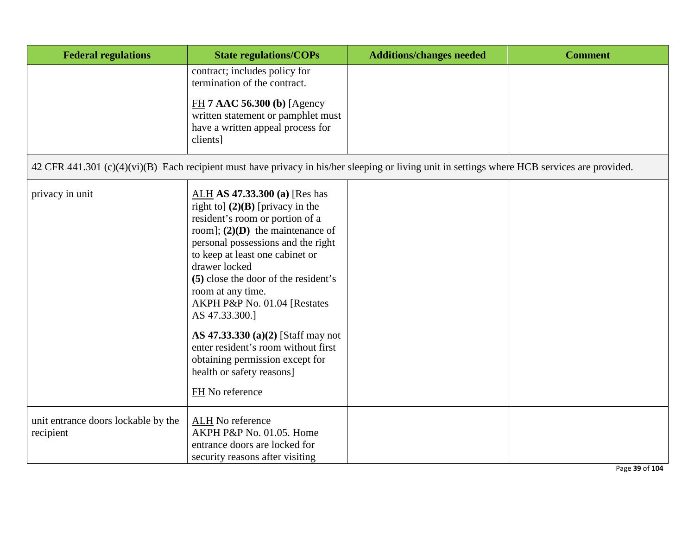| <b>Federal regulations</b>                       | <b>State regulations/COPs</b>                                                                                                                                                                                                                                                                                                                                                                                                                                                                                         | <b>Additions/changes needed</b>                                                                                                               | <b>Comment</b> |
|--------------------------------------------------|-----------------------------------------------------------------------------------------------------------------------------------------------------------------------------------------------------------------------------------------------------------------------------------------------------------------------------------------------------------------------------------------------------------------------------------------------------------------------------------------------------------------------|-----------------------------------------------------------------------------------------------------------------------------------------------|----------------|
|                                                  | contract; includes policy for<br>termination of the contract.                                                                                                                                                                                                                                                                                                                                                                                                                                                         |                                                                                                                                               |                |
|                                                  | $FH$ 7 AAC 56.300 (b) [Agency<br>written statement or pamphlet must<br>have a written appeal process for<br>clients]                                                                                                                                                                                                                                                                                                                                                                                                  |                                                                                                                                               |                |
|                                                  |                                                                                                                                                                                                                                                                                                                                                                                                                                                                                                                       | 42 CFR 441.301 (c)(4)(vi)(B) Each recipient must have privacy in his/her sleeping or living unit in settings where HCB services are provided. |                |
| privacy in unit                                  | ALH AS 47.33.300 (a) [Res has<br>right to] $(2)(B)$ [privacy in the<br>resident's room or portion of a<br>room]; $(2)(D)$ the maintenance of<br>personal possessions and the right<br>to keep at least one cabinet or<br>drawer locked<br>(5) close the door of the resident's<br>room at any time.<br>AKPH P&P No. 01.04 [Restates<br>AS 47.33.300.]<br>AS 47.33.330 (a)(2) [Staff may not<br>enter resident's room without first<br>obtaining permission except for<br>health or safety reasons]<br>FH No reference |                                                                                                                                               |                |
| unit entrance doors lockable by the<br>recipient | ALH No reference<br>AKPH P&P No. 01.05. Home<br>entrance doors are locked for                                                                                                                                                                                                                                                                                                                                                                                                                                         |                                                                                                                                               |                |
|                                                  | security reasons after visiting                                                                                                                                                                                                                                                                                                                                                                                                                                                                                       |                                                                                                                                               | Page 39 of 104 |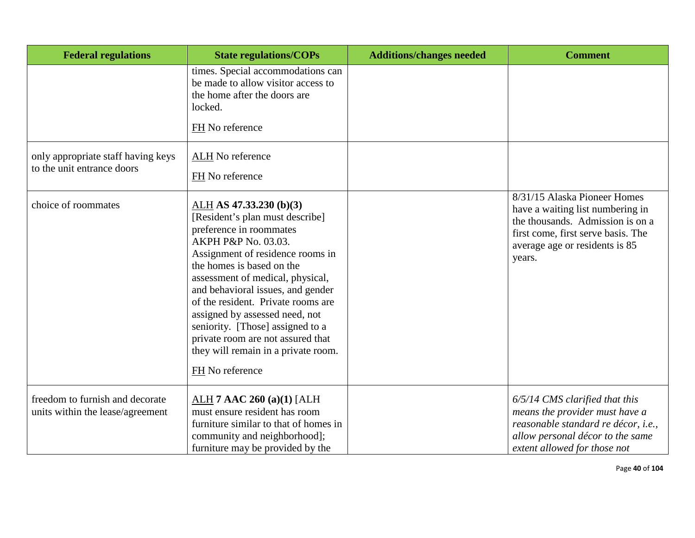| <b>Federal regulations</b>                                          | <b>State regulations/COPs</b>                                                                                                                                                                                                                                                                                                                                                                                                                                       | <b>Additions/changes needed</b> | <b>Comment</b>                                                                                                                                                                         |
|---------------------------------------------------------------------|---------------------------------------------------------------------------------------------------------------------------------------------------------------------------------------------------------------------------------------------------------------------------------------------------------------------------------------------------------------------------------------------------------------------------------------------------------------------|---------------------------------|----------------------------------------------------------------------------------------------------------------------------------------------------------------------------------------|
|                                                                     | times. Special accommodations can<br>be made to allow visitor access to<br>the home after the doors are<br>locked.<br>FH No reference                                                                                                                                                                                                                                                                                                                               |                                 |                                                                                                                                                                                        |
| only appropriate staff having keys<br>to the unit entrance doors    | ALH No reference<br>FH No reference                                                                                                                                                                                                                                                                                                                                                                                                                                 |                                 |                                                                                                                                                                                        |
| choice of roommates                                                 | ALH AS $47.33.230$ (b)(3)<br>[Resident's plan must describe]<br>preference in roommates<br>AKPH P&P No. 03.03.<br>Assignment of residence rooms in<br>the homes is based on the<br>assessment of medical, physical,<br>and behavioral issues, and gender<br>of the resident. Private rooms are<br>assigned by assessed need, not<br>seniority. [Those] assigned to a<br>private room are not assured that<br>they will remain in a private room.<br>FH No reference |                                 | 8/31/15 Alaska Pioneer Homes<br>have a waiting list numbering in<br>the thousands. Admission is on a<br>first come, first serve basis. The<br>average age or residents is 85<br>years. |
| freedom to furnish and decorate<br>units within the lease/agreement | ALH $7$ AAC 260 (a)(1) [ALH<br>must ensure resident has room<br>furniture similar to that of homes in<br>community and neighborhood];<br>furniture may be provided by the                                                                                                                                                                                                                                                                                           |                                 | 6/5/14 CMS clarified that this<br>means the provider must have a<br>reasonable standard re décor, i.e.,<br>allow personal décor to the same<br>extent allowed for those not            |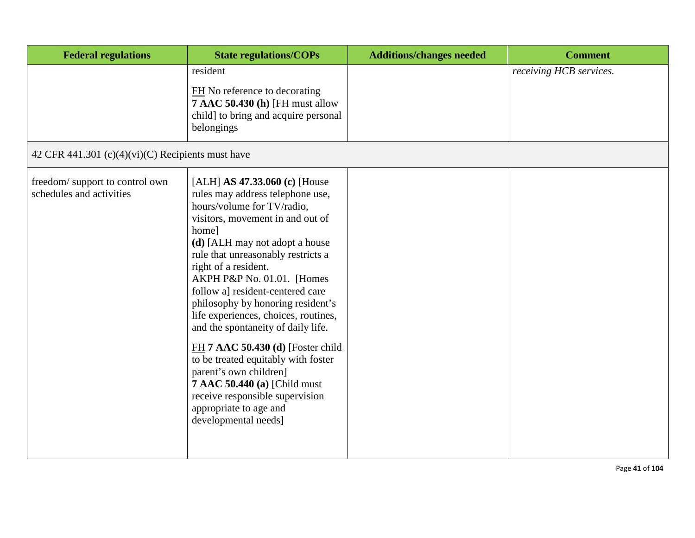| <b>Federal regulations</b>                                 | <b>State regulations/COPs</b>                                                                                                                                                                                                                                                                                                                                                                                                                                                                                                                                                                                                                                           | <b>Additions/changes needed</b> | <b>Comment</b>          |
|------------------------------------------------------------|-------------------------------------------------------------------------------------------------------------------------------------------------------------------------------------------------------------------------------------------------------------------------------------------------------------------------------------------------------------------------------------------------------------------------------------------------------------------------------------------------------------------------------------------------------------------------------------------------------------------------------------------------------------------------|---------------------------------|-------------------------|
|                                                            | resident<br>FH No reference to decorating<br><b>7 AAC 50.430 (h) [FH must allow</b><br>child] to bring and acquire personal<br>belongings                                                                                                                                                                                                                                                                                                                                                                                                                                                                                                                               |                                 | receiving HCB services. |
| 42 CFR 441.301 (c)(4)(vi)(C) Recipients must have          |                                                                                                                                                                                                                                                                                                                                                                                                                                                                                                                                                                                                                                                                         |                                 |                         |
| freedom/support to control own<br>schedules and activities | [ALH] AS $47.33.060$ (c) [House<br>rules may address telephone use,<br>hours/volume for TV/radio,<br>visitors, movement in and out of<br>home]<br>(d) [ALH may not adopt a house<br>rule that unreasonably restricts a<br>right of a resident.<br>AKPH P&P No. 01.01. [Homes<br>follow a] resident-centered care<br>philosophy by honoring resident's<br>life experiences, choices, routines,<br>and the spontaneity of daily life.<br>$FH$ 7 AAC 50.430 (d) [Foster child<br>to be treated equitably with foster<br>parent's own children]<br><b>7 AAC 50.440 (a) [Child must</b><br>receive responsible supervision<br>appropriate to age and<br>developmental needs] |                                 |                         |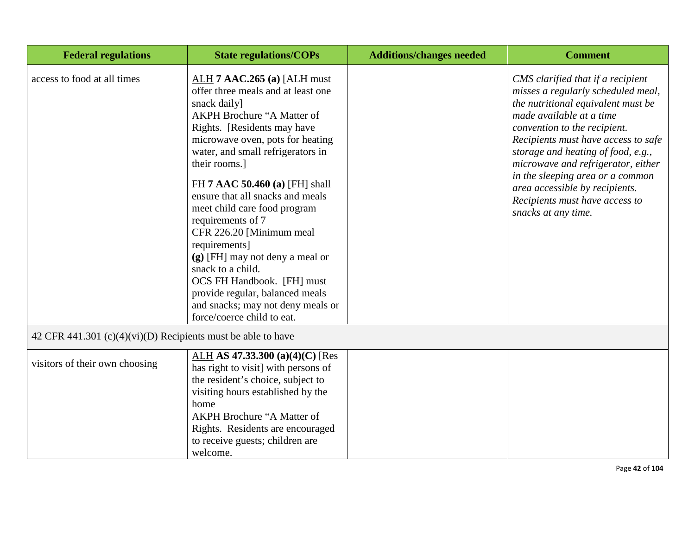| <b>Federal regulations</b>                                   | <b>State regulations/COPs</b>                                                                                                                                                                                                                                                                                                                                                                                                                                                                                                                                                                                  | <b>Additions/changes needed</b> | <b>Comment</b>                                                                                                                                                                                                                                                                                                                                                                                                              |
|--------------------------------------------------------------|----------------------------------------------------------------------------------------------------------------------------------------------------------------------------------------------------------------------------------------------------------------------------------------------------------------------------------------------------------------------------------------------------------------------------------------------------------------------------------------------------------------------------------------------------------------------------------------------------------------|---------------------------------|-----------------------------------------------------------------------------------------------------------------------------------------------------------------------------------------------------------------------------------------------------------------------------------------------------------------------------------------------------------------------------------------------------------------------------|
| access to food at all times                                  | $ALH$ 7 AAC.265 (a) [ALH must<br>offer three meals and at least one<br>snack daily]<br>AKPH Brochure "A Matter of<br>Rights. [Residents may have<br>microwave oven, pots for heating<br>water, and small refrigerators in<br>their rooms.]<br>FH 7 AAC 50.460 (a) [FH] shall<br>ensure that all snacks and meals<br>meet child care food program<br>requirements of 7<br>CFR 226.20 [Minimum meal<br>requirements]<br>(g) [FH] may not deny a meal or<br>snack to a child.<br>OCS FH Handbook. [FH] must<br>provide regular, balanced meals<br>and snacks; may not deny meals or<br>force/coerce child to eat. |                                 | CMS clarified that if a recipient<br>misses a regularly scheduled meal,<br>the nutritional equivalent must be<br>made available at a time<br>convention to the recipient.<br>Recipients must have access to safe<br>storage and heating of food, e.g.,<br>microwave and refrigerator, either<br>in the sleeping area or a common<br>area accessible by recipients.<br>Recipients must have access to<br>snacks at any time. |
| 42 CFR 441.301 (c)(4)(vi)(D) Recipients must be able to have |                                                                                                                                                                                                                                                                                                                                                                                                                                                                                                                                                                                                                |                                 |                                                                                                                                                                                                                                                                                                                                                                                                                             |
| visitors of their own choosing                               | ALH AS 47.33.300 (a)(4)(C) [Res<br>has right to visit] with persons of<br>the resident's choice, subject to<br>visiting hours established by the<br>home<br><b>AKPH Brochure "A Matter of</b><br>Rights. Residents are encouraged<br>to receive guests; children are<br>welcome.                                                                                                                                                                                                                                                                                                                               |                                 |                                                                                                                                                                                                                                                                                                                                                                                                                             |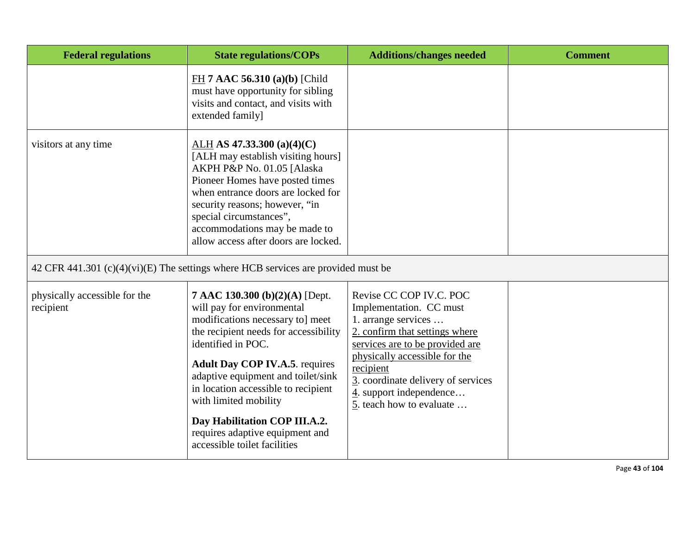| <b>Federal regulations</b>                 | <b>State regulations/COPs</b>                                                                                                                                                                                                                                                                                                                                                                                      | <b>Additions/changes needed</b>                                                                                                                                                                                                                                                                        | <b>Comment</b> |
|--------------------------------------------|--------------------------------------------------------------------------------------------------------------------------------------------------------------------------------------------------------------------------------------------------------------------------------------------------------------------------------------------------------------------------------------------------------------------|--------------------------------------------------------------------------------------------------------------------------------------------------------------------------------------------------------------------------------------------------------------------------------------------------------|----------------|
|                                            | FH 7 AAC 56.310 (a)(b) [Child<br>must have opportunity for sibling<br>visits and contact, and visits with<br>extended family]                                                                                                                                                                                                                                                                                      |                                                                                                                                                                                                                                                                                                        |                |
| visitors at any time                       | $ALH$ AS 47.33.300 (a)(4)(C)<br>[ALH may establish visiting hours]<br>AKPH P&P No. 01.05 [Alaska<br>Pioneer Homes have posted times<br>when entrance doors are locked for<br>security reasons; however, "in<br>special circumstances",<br>accommodations may be made to<br>allow access after doors are locked.                                                                                                    |                                                                                                                                                                                                                                                                                                        |                |
|                                            | 42 CFR 441.301 (c)(4)(vi)(E) The settings where HCB services are provided must be                                                                                                                                                                                                                                                                                                                                  |                                                                                                                                                                                                                                                                                                        |                |
| physically accessible for the<br>recipient | 7 AAC 130.300 (b)(2)(A) [Dept.<br>will pay for environmental<br>modifications necessary to] meet<br>the recipient needs for accessibility<br>identified in POC.<br><b>Adult Day COP IV.A.5. requires</b><br>adaptive equipment and toilet/sink<br>in location accessible to recipient<br>with limited mobility<br>Day Habilitation COP III.A.2.<br>requires adaptive equipment and<br>accessible toilet facilities | Revise CC COP IV.C. POC<br>Implementation. CC must<br>1. arrange services<br>2. confirm that settings where<br>services are to be provided are<br>physically accessible for the<br>recipient<br>3. coordinate delivery of services<br>$\frac{4}{1}$ . support independence<br>5. teach how to evaluate |                |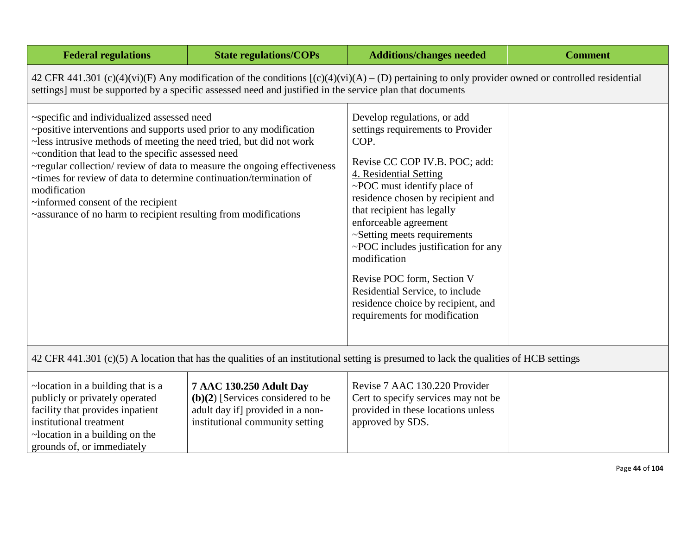| <b>Federal regulations</b>                                                                                                                                                                                                                                                                                                                                                                                                                                                                                               | <b>State regulations/COPs</b> | <b>Additions/changes needed</b>                                                                                                                                                                                                                                                                                                                                                                                                                                                              | <b>Comment</b> |  |
|--------------------------------------------------------------------------------------------------------------------------------------------------------------------------------------------------------------------------------------------------------------------------------------------------------------------------------------------------------------------------------------------------------------------------------------------------------------------------------------------------------------------------|-------------------------------|----------------------------------------------------------------------------------------------------------------------------------------------------------------------------------------------------------------------------------------------------------------------------------------------------------------------------------------------------------------------------------------------------------------------------------------------------------------------------------------------|----------------|--|
| 42 CFR 441.301 (c)(4)(vi)(F) Any modification of the conditions $[(c)(4)(vi)(A) - (D)$ pertaining to only provider owned or controlled residential<br>settings] must be supported by a specific assessed need and justified in the service plan that documents                                                                                                                                                                                                                                                           |                               |                                                                                                                                                                                                                                                                                                                                                                                                                                                                                              |                |  |
| ~specific and individualized assessed need<br>~positive interventions and supports used prior to any modification<br>~less intrusive methods of meeting the need tried, but did not work<br>~condition that lead to the specific assessed need<br>~regular collection/review of data to measure the ongoing effectiveness<br>~times for review of data to determine continuation/termination of<br>modification<br>~informed consent of the recipient<br>~assurance of no harm to recipient resulting from modifications |                               | Develop regulations, or add<br>settings requirements to Provider<br>COP.<br>Revise CC COP IV.B. POC; add:<br>4. Residential Setting<br>~POC must identify place of<br>residence chosen by recipient and<br>that recipient has legally<br>enforceable agreement<br>~Setting meets requirements<br>~POC includes justification for any<br>modification<br>Revise POC form, Section V<br>Residential Service, to include<br>residence choice by recipient, and<br>requirements for modification |                |  |
| 42 CFR 441.301 (c)(5) A location that has the qualities of an institutional setting is presumed to lack the qualities of HCB settings                                                                                                                                                                                                                                                                                                                                                                                    |                               |                                                                                                                                                                                                                                                                                                                                                                                                                                                                                              |                |  |
|                                                                                                                                                                                                                                                                                                                                                                                                                                                                                                                          |                               |                                                                                                                                                                                                                                                                                                                                                                                                                                                                                              |                |  |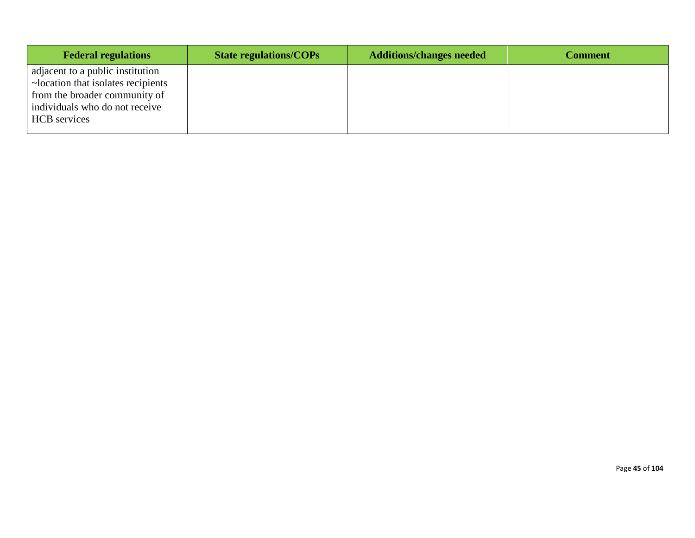| <b>Federal regulations</b>                                                                                                                                       | <b>State regulations/COPs</b> | <b>Additions/changes needed</b> | <b>Comment</b> |
|------------------------------------------------------------------------------------------------------------------------------------------------------------------|-------------------------------|---------------------------------|----------------|
| adjacent to a public institution<br>~location that isolates recipients<br>from the broader community of<br>individuals who do not receive<br><b>HCB</b> services |                               |                                 |                |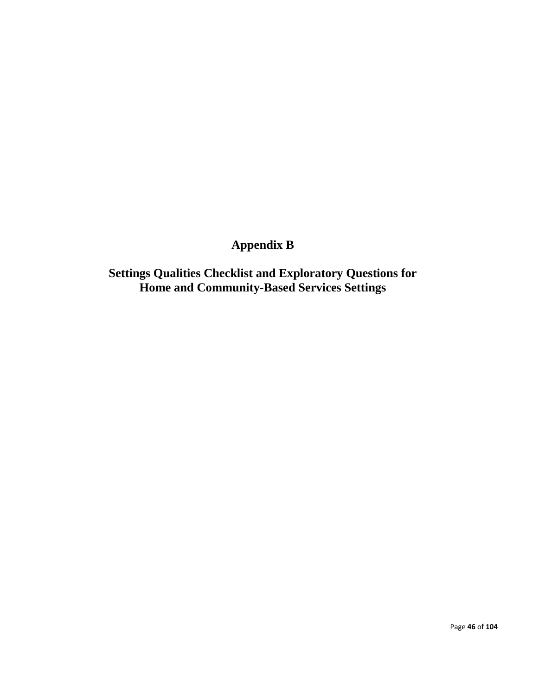# **Appendix B**

**Settings Qualities Checklist and Exploratory Questions for Home and Community-Based Services Settings**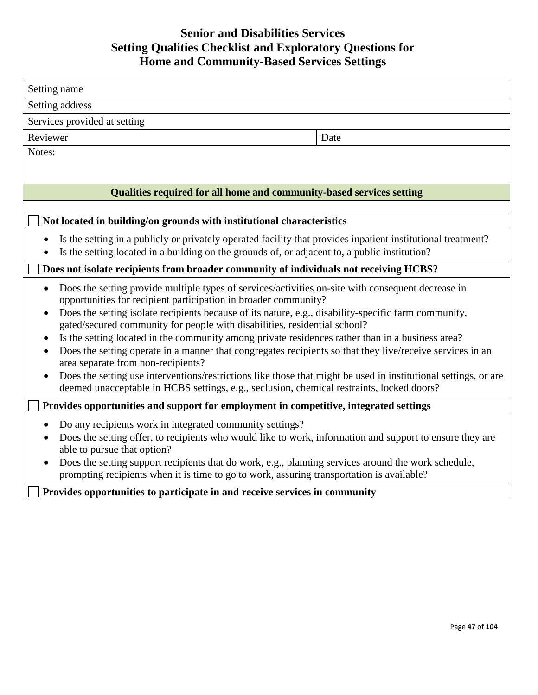# **Senior and Disabilities Services Setting Qualities Checklist and Exploratory Questions for Home and Community-Based Services Settings**

| Setting name                                                                                                                                                                                                 |      |  |  |
|--------------------------------------------------------------------------------------------------------------------------------------------------------------------------------------------------------------|------|--|--|
| Setting address                                                                                                                                                                                              |      |  |  |
| Services provided at setting                                                                                                                                                                                 |      |  |  |
| Reviewer                                                                                                                                                                                                     | Date |  |  |
| Notes:                                                                                                                                                                                                       |      |  |  |
|                                                                                                                                                                                                              |      |  |  |
| Qualities required for all home and community-based services setting                                                                                                                                         |      |  |  |
|                                                                                                                                                                                                              |      |  |  |
| Not located in building/on grounds with institutional characteristics                                                                                                                                        |      |  |  |
| Is the setting in a publicly or privately operated facility that provides inpatient institutional treatment?                                                                                                 |      |  |  |
| Is the setting located in a building on the grounds of, or adjacent to, a public institution?                                                                                                                |      |  |  |
| Does not isolate recipients from broader community of individuals not receiving HCBS?                                                                                                                        |      |  |  |
| Does the setting provide multiple types of services/activities on-site with consequent decrease in<br>opportunities for recipient participation in broader community?                                        |      |  |  |
| Does the setting isolate recipients because of its nature, e.g., disability-specific farm community,<br>gated/secured community for people with disabilities, residential school?                            |      |  |  |
| Is the setting located in the community among private residences rather than in a business area?<br>$\bullet$                                                                                                |      |  |  |
| Does the setting operate in a manner that congregates recipients so that they live/receive services in an<br>area separate from non-recipients?                                                              |      |  |  |
| Does the setting use interventions/restrictions like those that might be used in institutional settings, or are<br>deemed unacceptable in HCBS settings, e.g., seclusion, chemical restraints, locked doors? |      |  |  |
| Provides opportunities and support for employment in competitive, integrated settings                                                                                                                        |      |  |  |
| Do any recipients work in integrated community settings?                                                                                                                                                     |      |  |  |
| Does the setting offer, to recipients who would like to work, information and support to ensure they are<br>able to pursue that option?                                                                      |      |  |  |
| Does the setting support recipients that do work, e.g., planning services around the work schedule,<br>prompting recipients when it is time to go to work, assuring transportation is available?             |      |  |  |
| Provides opportunities to participate in and receive services in community                                                                                                                                   |      |  |  |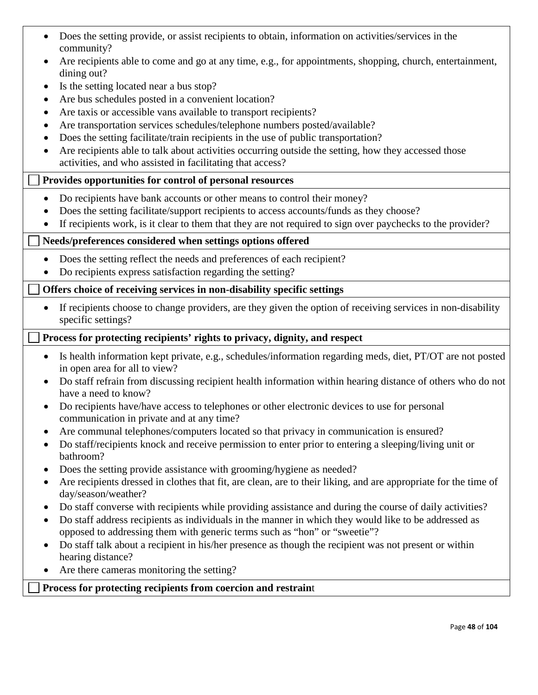- Does the setting provide, or assist recipients to obtain, information on activities/services in the community?
- Are recipients able to come and go at any time, e.g., for appointments, shopping, church, entertainment, dining out?
- Is the setting located near a bus stop?
- Are bus schedules posted in a convenient location?
- Are taxis or accessible vans available to transport recipients?
- Are transportation services schedules/telephone numbers posted/available?
- Does the setting facilitate/train recipients in the use of public transportation?
- Are recipients able to talk about activities occurring outside the setting, how they accessed those activities, and who assisted in facilitating that access?

# **Provides opportunities for control of personal resources**

- Do recipients have bank accounts or other means to control their money?
- Does the setting facilitate/support recipients to access accounts/funds as they choose?
- If recipients work, is it clear to them that they are not required to sign over paychecks to the provider?

# **Needs/preferences considered when settings options offered**

- Does the setting reflect the needs and preferences of each recipient?
- Do recipients express satisfaction regarding the setting?

# **Offers choice of receiving services in non-disability specific settings**

• If recipients choose to change providers, are they given the option of receiving services in non-disability specific settings?

## **Process for protecting recipients' rights to privacy, dignity, and respect**

- Is health information kept private, e.g., schedules/information regarding meds, diet, PT/OT are not posted in open area for all to view?
- Do staff refrain from discussing recipient health information within hearing distance of others who do not have a need to know?
- Do recipients have/have access to telephones or other electronic devices to use for personal communication in private and at any time?
- Are communal telephones/computers located so that privacy in communication is ensured?
- Do staff/recipients knock and receive permission to enter prior to entering a sleeping/living unit or bathroom?
- Does the setting provide assistance with grooming/hygiene as needed?
- Are recipients dressed in clothes that fit, are clean, are to their liking, and are appropriate for the time of day/season/weather?
- Do staff converse with recipients while providing assistance and during the course of daily activities?
- Do staff address recipients as individuals in the manner in which they would like to be addressed as opposed to addressing them with generic terms such as "hon" or "sweetie"?
- Do staff talk about a recipient in his/her presence as though the recipient was not present or within hearing distance?
- Are there cameras monitoring the setting?

## **Process for protecting recipients from coercion and restrain**t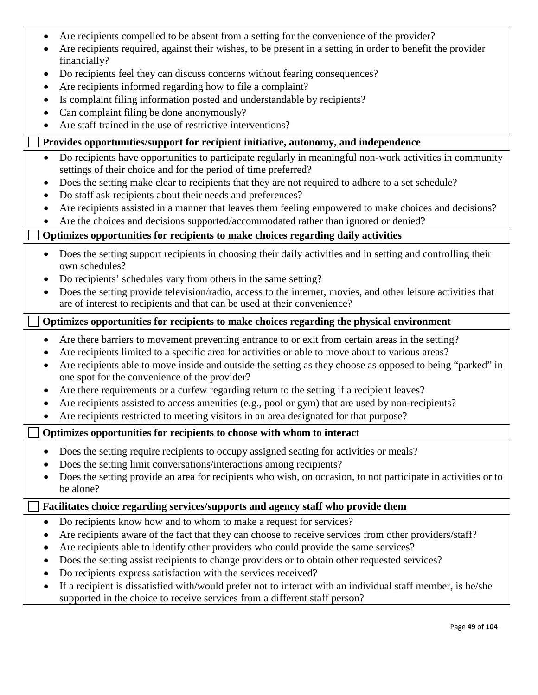| • Are recipients compelled to be absent from a setting for the convenience of the provider? |  |  |
|---------------------------------------------------------------------------------------------|--|--|
|                                                                                             |  |  |

- Are recipients required, against their wishes, to be present in a setting in order to benefit the provider financially?
- Do recipients feel they can discuss concerns without fearing consequences?
- Are recipients informed regarding how to file a complaint?
- Is complaint filing information posted and understandable by recipients?
- Can complaint filing be done anonymously?
- Are staff trained in the use of restrictive interventions?

# **Provides opportunities/support for recipient initiative, autonomy, and independence**

- Do recipients have opportunities to participate regularly in meaningful non-work activities in community settings of their choice and for the period of time preferred?
- Does the setting make clear to recipients that they are not required to adhere to a set schedule?
- Do staff ask recipients about their needs and preferences?
- Are recipients assisted in a manner that leaves them feeling empowered to make choices and decisions?
- Are the choices and decisions supported/accommodated rather than ignored or denied?

# **Optimizes opportunities for recipients to make choices regarding daily activities**

- Does the setting support recipients in choosing their daily activities and in setting and controlling their own schedules?
- Do recipients' schedules vary from others in the same setting?
- Does the setting provide television/radio, access to the internet, movies, and other leisure activities that are of interest to recipients and that can be used at their convenience?

# **Optimizes opportunities for recipients to make choices regarding the physical environment**

- Are there barriers to movement preventing entrance to or exit from certain areas in the setting?
- Are recipients limited to a specific area for activities or able to move about to various areas?
- Are recipients able to move inside and outside the setting as they choose as opposed to being "parked" in one spot for the convenience of the provider?
- Are there requirements or a curfew regarding return to the setting if a recipient leaves?
- Are recipients assisted to access amenities (e.g., pool or gym) that are used by non-recipients?
- Are recipients restricted to meeting visitors in an area designated for that purpose?

# **Optimizes opportunities for recipients to choose with whom to interac**t

- Does the setting require recipients to occupy assigned seating for activities or meals?
- Does the setting limit conversations/interactions among recipients?
- Does the setting provide an area for recipients who wish, on occasion, to not participate in activities or to be alone?

# **Facilitates choice regarding services/supports and agency staff who provide them**

- Do recipients know how and to whom to make a request for services?
- Are recipients aware of the fact that they can choose to receive services from other providers/staff?
- Are recipients able to identify other providers who could provide the same services?
- Does the setting assist recipients to change providers or to obtain other requested services?
- Do recipients express satisfaction with the services received?
- If a recipient is dissatisfied with/would prefer not to interact with an individual staff member, is he/she supported in the choice to receive services from a different staff person?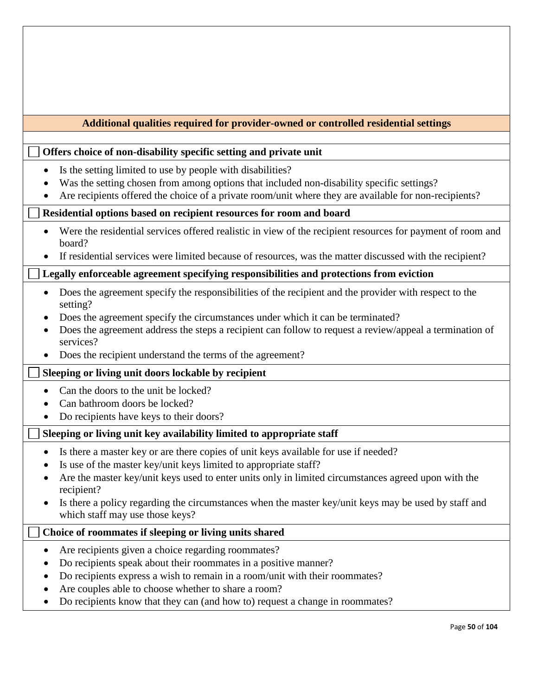| Additional qualities required for provider-owned or controlled residential settings                                                                                                                                                                                                                                                                                                                                     |  |  |  |  |  |  |  |  |
|-------------------------------------------------------------------------------------------------------------------------------------------------------------------------------------------------------------------------------------------------------------------------------------------------------------------------------------------------------------------------------------------------------------------------|--|--|--|--|--|--|--|--|
|                                                                                                                                                                                                                                                                                                                                                                                                                         |  |  |  |  |  |  |  |  |
| Offers choice of non-disability specific setting and private unit                                                                                                                                                                                                                                                                                                                                                       |  |  |  |  |  |  |  |  |
| Is the setting limited to use by people with disabilities?<br>٠<br>Was the setting chosen from among options that included non-disability specific settings?<br>Are recipients offered the choice of a private room/unit where they are available for non-recipients?                                                                                                                                                   |  |  |  |  |  |  |  |  |
| Residential options based on recipient resources for room and board                                                                                                                                                                                                                                                                                                                                                     |  |  |  |  |  |  |  |  |
| Were the residential services offered realistic in view of the recipient resources for payment of room and<br>board?<br>If residential services were limited because of resources, was the matter discussed with the recipient?                                                                                                                                                                                         |  |  |  |  |  |  |  |  |
| Legally enforceable agreement specifying responsibilities and protections from eviction                                                                                                                                                                                                                                                                                                                                 |  |  |  |  |  |  |  |  |
| Does the agreement specify the responsibilities of the recipient and the provider with respect to the<br>setting?<br>Does the agreement specify the circumstances under which it can be terminated?<br>٠<br>Does the agreement address the steps a recipient can follow to request a review/appeal a termination of<br>services?<br>Does the recipient understand the terms of the agreement?                           |  |  |  |  |  |  |  |  |
| Sleeping or living unit doors lockable by recipient                                                                                                                                                                                                                                                                                                                                                                     |  |  |  |  |  |  |  |  |
| Can the doors to the unit be locked?<br>Can bathroom doors be locked?<br>Do recipients have keys to their doors?                                                                                                                                                                                                                                                                                                        |  |  |  |  |  |  |  |  |
| Sleeping or living unit key availability limited to appropriate staff                                                                                                                                                                                                                                                                                                                                                   |  |  |  |  |  |  |  |  |
| Is there a master key or are there copies of unit keys available for use if needed?<br>Is use of the master key/unit keys limited to appropriate staff?<br>Are the master key/unit keys used to enter units only in limited circumstances agreed upon with the<br>recipient?<br>Is there a policy regarding the circumstances when the master key/unit keys may be used by staff and<br>which staff may use those keys? |  |  |  |  |  |  |  |  |
| Choice of roommates if sleeping or living units shared                                                                                                                                                                                                                                                                                                                                                                  |  |  |  |  |  |  |  |  |
| Are recipients given a choice regarding roommates?<br>Do recipients speak about their roommates in a positive manner?<br>Do recipients express a wish to remain in a room/unit with their roommates?<br>Are couples able to choose whether to share a room?<br>Do recipients know that they can (and how to) request a change in roommates?<br>٠                                                                        |  |  |  |  |  |  |  |  |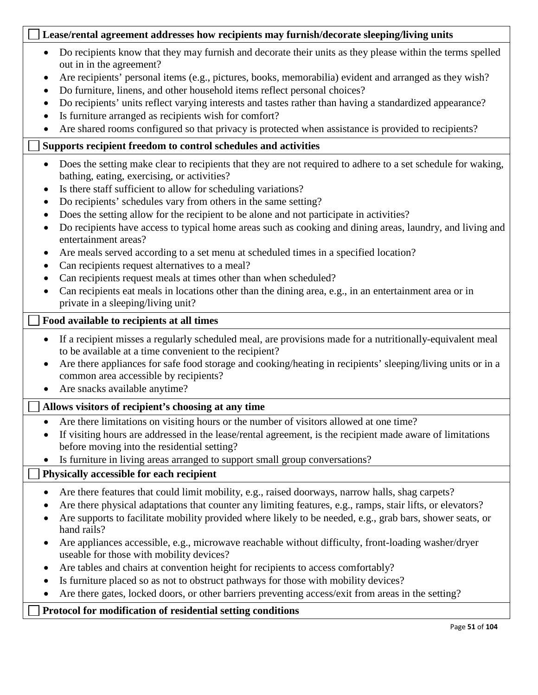## **Lease/rental agreement addresses how recipients may furnish/decorate sleeping/living units**

- Do recipients know that they may furnish and decorate their units as they please within the terms spelled out in in the agreement?
- Are recipients' personal items (e.g., pictures, books, memorabilia) evident and arranged as they wish?
- Do furniture, linens, and other household items reflect personal choices?
- Do recipients' units reflect varying interests and tastes rather than having a standardized appearance?
- Is furniture arranged as recipients wish for comfort?
- Are shared rooms configured so that privacy is protected when assistance is provided to recipients?

# **Supports recipient freedom to control schedules and activities**

- Does the setting make clear to recipients that they are not required to adhere to a set schedule for waking, bathing, eating, exercising, or activities?
- Is there staff sufficient to allow for scheduling variations?
- Do recipients' schedules vary from others in the same setting?
- Does the setting allow for the recipient to be alone and not participate in activities?
- Do recipients have access to typical home areas such as cooking and dining areas, laundry, and living and entertainment areas?
- Are meals served according to a set menu at scheduled times in a specified location?
- Can recipients request alternatives to a meal?
- Can recipients request meals at times other than when scheduled?
- Can recipients eat meals in locations other than the dining area, e.g., in an entertainment area or in private in a sleeping/living unit?

## **Food available to recipients at all times**

- If a recipient misses a regularly scheduled meal, are provisions made for a nutritionally-equivalent meal to be available at a time convenient to the recipient?
- Are there appliances for safe food storage and cooking/heating in recipients' sleeping/living units or in a common area accessible by recipients?
- Are snacks available anytime?

# **Allows visitors of recipient's choosing at any time**

- Are there limitations on visiting hours or the number of visitors allowed at one time?
- If visiting hours are addressed in the lease/rental agreement, is the recipient made aware of limitations before moving into the residential setting?
- Is furniture in living areas arranged to support small group conversations?

# **Physically accessible for each recipient**

- Are there features that could limit mobility, e.g., raised doorways, narrow halls, shag carpets?
- Are there physical adaptations that counter any limiting features, e.g., ramps, stair lifts, or elevators?
- Are supports to facilitate mobility provided where likely to be needed, e.g., grab bars, shower seats, or hand rails?
- Are appliances accessible, e.g., microwave reachable without difficulty, front-loading washer/dryer useable for those with mobility devices?
- Are tables and chairs at convention height for recipients to access comfortably?
- Is furniture placed so as not to obstruct pathways for those with mobility devices?
- Are there gates, locked doors, or other barriers preventing access/exit from areas in the setting?

# **Protocol for modification of residential setting conditions**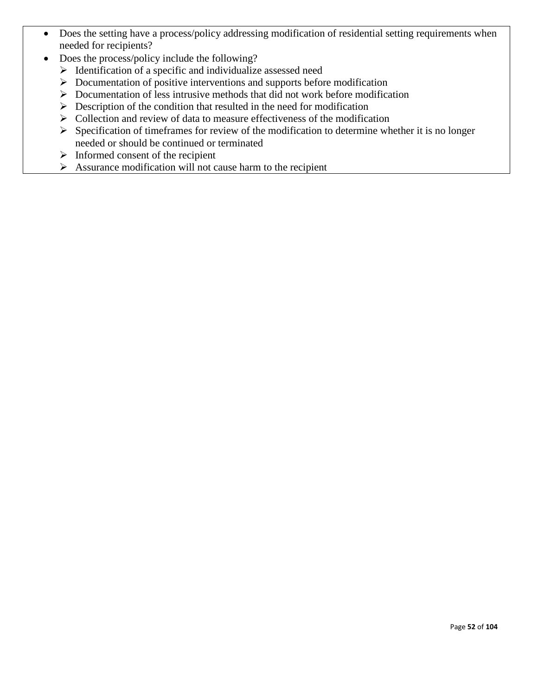- Does the setting have a process/policy addressing modification of residential setting requirements when needed for recipients?
- Does the process/policy include the following?
	- $\triangleright$  Identification of a specific and individualize assessed need
	- $\triangleright$  Documentation of positive interventions and supports before modification
	- $\triangleright$  Documentation of less intrusive methods that did not work before modification
	- $\triangleright$  Description of the condition that resulted in the need for modification
	- $\triangleright$  Collection and review of data to measure effectiveness of the modification
	- $\triangleright$  Specification of timeframes for review of the modification to determine whether it is no longer needed or should be continued or terminated
	- $\triangleright$  Informed consent of the recipient
	- $\triangleright$  Assurance modification will not cause harm to the recipient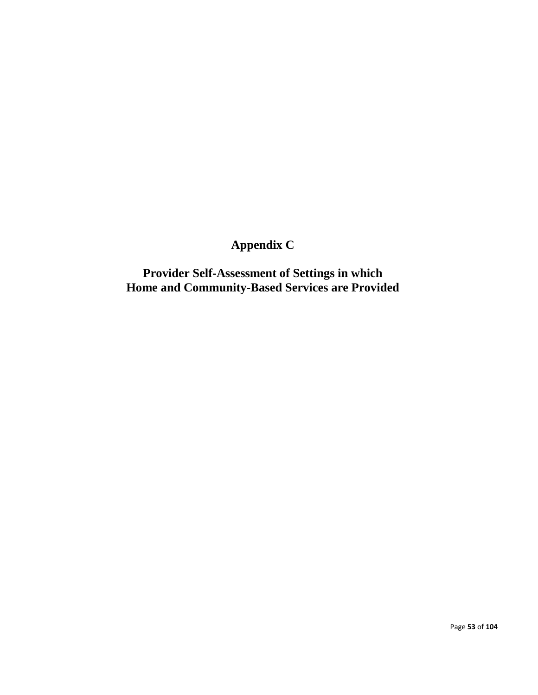# **Appendix C**

**Provider Self-Assessment of Settings in which Home and Community-Based Services are Provided**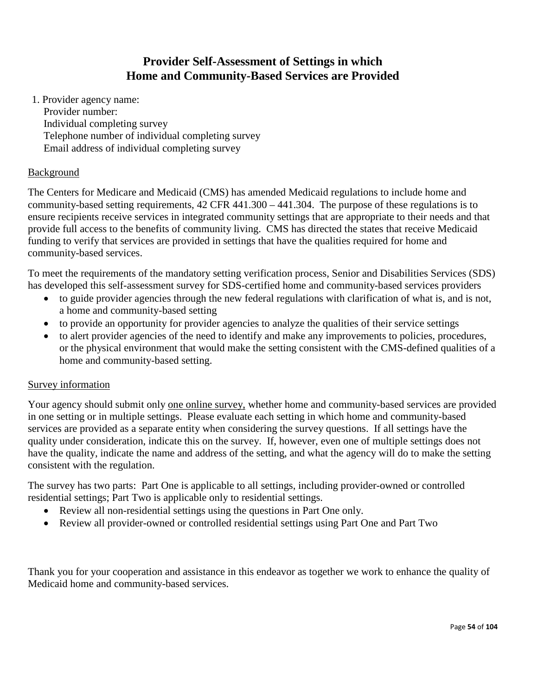# **Provider Self-Assessment of Settings in which Home and Community-Based Services are Provided**

1. Provider agency name: Provider number: Individual completing survey Telephone number of individual completing survey Email address of individual completing survey

## **Background**

The Centers for Medicare and Medicaid (CMS) has amended Medicaid regulations to include home and community-based setting requirements,  $42$  CFR  $441.300 - 441.304$ . The purpose of these regulations is to ensure recipients receive services in integrated community settings that are appropriate to their needs and that provide full access to the benefits of community living. CMS has directed the states that receive Medicaid funding to verify that services are provided in settings that have the qualities required for home and community-based services.

To meet the requirements of the mandatory setting verification process, Senior and Disabilities Services (SDS) has developed this self-assessment survey for SDS-certified home and community-based services providers

- to guide provider agencies through the new federal regulations with clarification of what is, and is not, a home and community-based setting
- to provide an opportunity for provider agencies to analyze the qualities of their service settings
- to alert provider agencies of the need to identify and make any improvements to policies, procedures, or the physical environment that would make the setting consistent with the CMS-defined qualities of a home and community-based setting.

## Survey information

Your agency should submit only one online survey, whether home and community-based services are provided in one setting or in multiple settings. Please evaluate each setting in which home and community-based services are provided as a separate entity when considering the survey questions. If all settings have the quality under consideration, indicate this on the survey. If, however, even one of multiple settings does not have the quality, indicate the name and address of the setting, and what the agency will do to make the setting consistent with the regulation.

The survey has two parts: Part One is applicable to all settings, including provider-owned or controlled residential settings; Part Two is applicable only to residential settings.

- Review all non-residential settings using the questions in Part One only.
- Review all provider-owned or controlled residential settings using Part One and Part Two

Thank you for your cooperation and assistance in this endeavor as together we work to enhance the quality of Medicaid home and community-based services.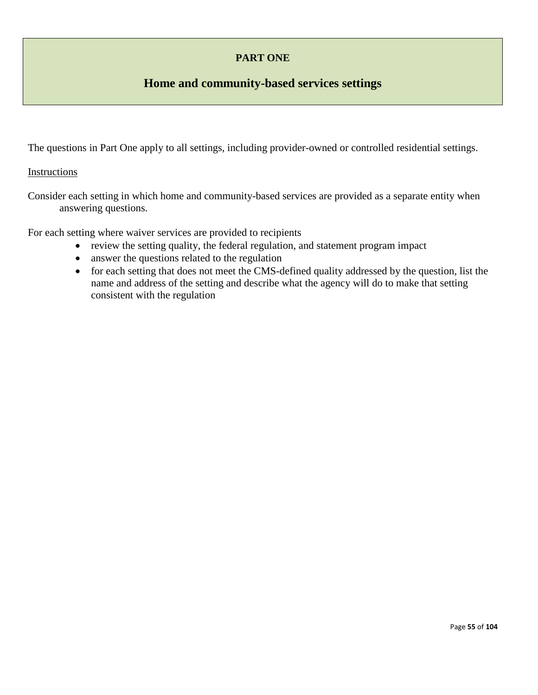# **PART ONE**

# **Home and community-based services settings**

The questions in Part One apply to all settings, including provider-owned or controlled residential settings.

## Instructions

Consider each setting in which home and community-based services are provided as a separate entity when answering questions.

For each setting where waiver services are provided to recipients

- review the setting quality, the federal regulation, and statement program impact
- answer the questions related to the regulation
- for each setting that does not meet the CMS-defined quality addressed by the question, list the name and address of the setting and describe what the agency will do to make that setting consistent with the regulation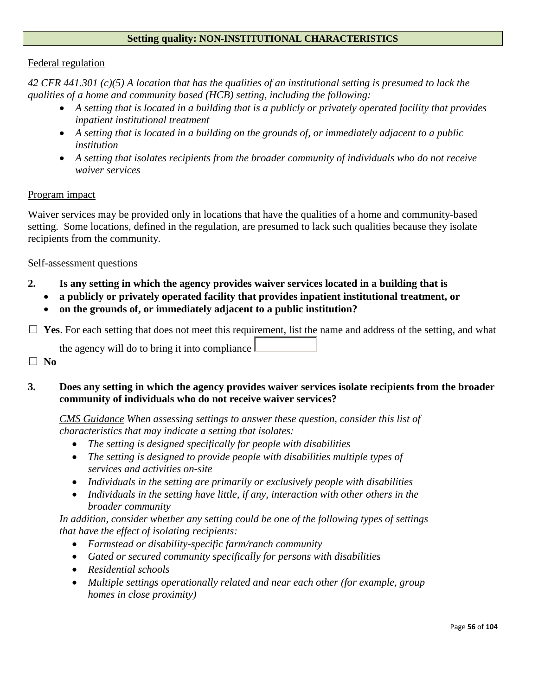## **Setting quality: NON-INSTITUTIONAL CHARACTERISTICS**

#### Federal regulation

*42 CFR 441.301 (c)(5) A location that has the qualities of an institutional setting is presumed to lack the qualities of a home and community based (HCB) setting, including the following:*

- *A setting that is located in a building that is a publicly or privately operated facility that provides inpatient institutional treatment*
- *A setting that is located in a building on the grounds of, or immediately adjacent to a public institution*
- *A setting that isolates recipients from the broader community of individuals who do not receive waiver services*

#### Program impact

Waiver services may be provided only in locations that have the qualities of a home and community-based setting. Some locations, defined in the regulation, are presumed to lack such qualities because they isolate recipients from the community.

#### Self-assessment questions

- **2. Is any setting in which the agency provides waiver services located in a building that is**
	- **a publicly or privately operated facility that provides inpatient institutional treatment, or**
	- **on the grounds of, or immediately adjacent to a public institution?**

□ Yes. For each setting that does not meet this requirement, list the name and address of the setting, and what

the agency will do to bring it into compliance

☐ **No**

## **3. Does any setting in which the agency provides waiver services isolate recipients from the broader community of individuals who do not receive waiver services?**

*CMS Guidance When assessing settings to answer these question, consider this list of characteristics that may indicate a setting that isolates:*

- *The setting is designed specifically for people with disabilities*
- *The setting is designed to provide people with disabilities multiple types of services and activities on-site*
- *Individuals in the setting are primarily or exclusively people with disabilities*
- *Individuals in the setting have little, if any, interaction with other others in the broader community*

*In addition, consider whether any setting could be one of the following types of settings that have the effect of isolating recipients:*

- *Farmstead or disability-specific farm/ranch community*
- *Gated or secured community specifically for persons with disabilities*
- *Residential schools*
- *Multiple settings operationally related and near each other (for example, group homes in close proximity)*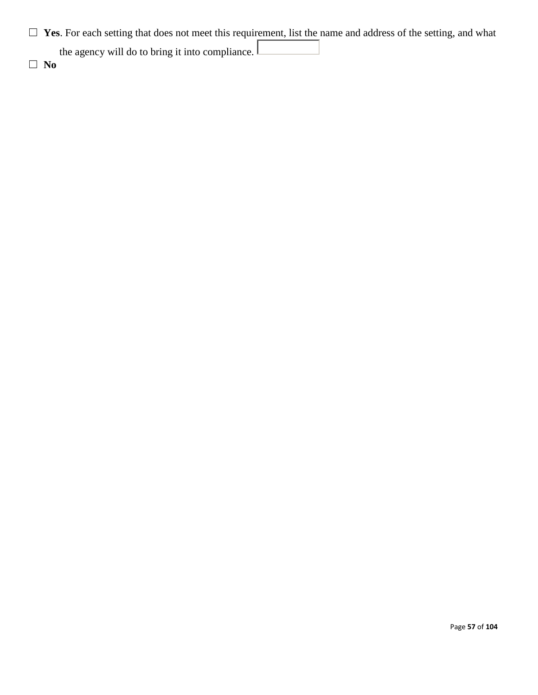□ Yes. For each setting that does not meet this requirement, list the name and address of the setting, and what

the agency will do to bring it into compliance.

☐ **No**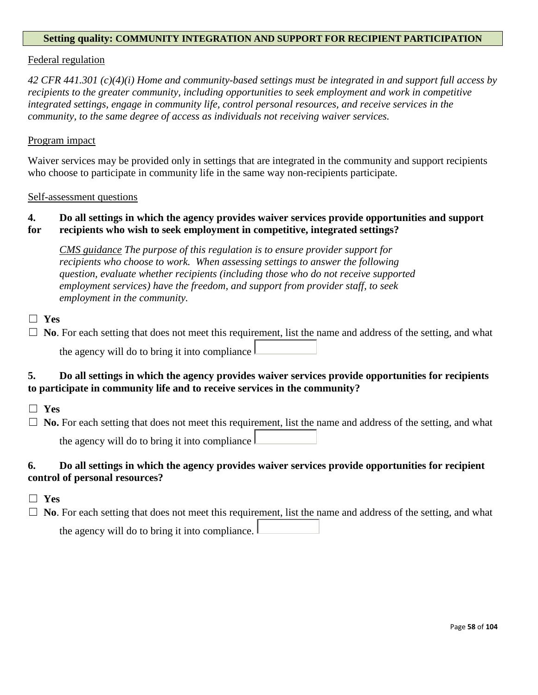#### **Setting quality: COMMUNITY INTEGRATION AND SUPPORT FOR RECIPIENT PARTICIPATION**

#### Federal regulation

*42 CFR 441.301 (c)(4)(i) Home and community-based settings must be integrated in and support full access by recipients to the greater community, including opportunities to seek employment and work in competitive integrated settings, engage in community life, control personal resources, and receive services in the community, to the same degree of access as individuals not receiving waiver services.* 

#### Program impact

Waiver services may be provided only in settings that are integrated in the community and support recipients who choose to participate in community life in the same way non-recipients participate.

Self-assessment questions

## **4. Do all settings in which the agency provides waiver services provide opportunities and support**

#### **for recipients who wish to seek employment in competitive, integrated settings?**

*CMS guidance The purpose of this regulation is to ensure provider support for recipients who choose to work. When assessing settings to answer the following question, evaluate whether recipients (including those who do not receive supported employment services) have the freedom, and support from provider staff, to seek employment in the community.*

## ☐ **Yes**

□ **No**. For each setting that does not meet this requirement, list the name and address of the setting, and what the agency will do to bring it into compliance

## **5. Do all settings in which the agency provides waiver services provide opportunities for recipients to participate in community life and to receive services in the community?**

- ☐ **Yes**
- □ **No.** For each setting that does not meet this requirement, list the name and address of the setting, and what the agency will do to bring it into compliance

## **6. Do all settings in which the agency provides waiver services provide opportunities for recipient control of personal resources?**

- ☐ **Yes**
- ☐ **No**. For each setting that does not meet this requirement, list the name and address of the setting, and what

| the agency will do to bring it into compliance. $\mathsf{\mathsf{L}}$ |  |  |  |  |  |
|-----------------------------------------------------------------------|--|--|--|--|--|
|                                                                       |  |  |  |  |  |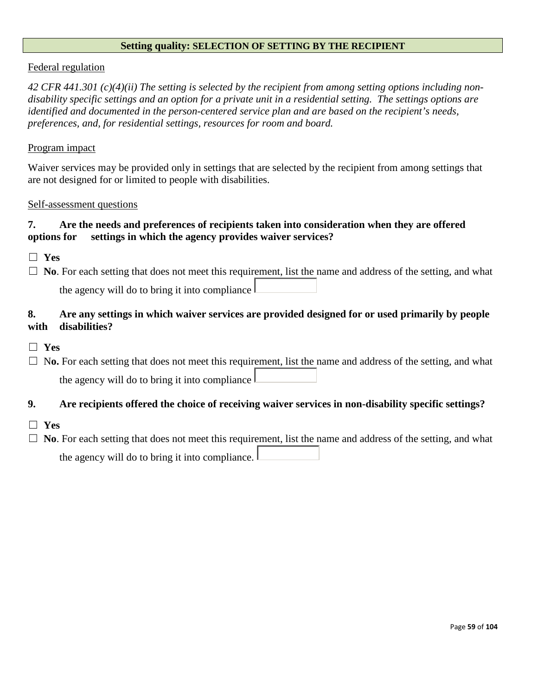#### **Setting quality: SELECTION OF SETTING BY THE RECIPIENT**

#### Federal regulation

*42 CFR 441.301 (c)(4)(ii) The setting is selected by the recipient from among setting options including nondisability specific settings and an option for a private unit in a residential setting. The settings options are identified and documented in the person-centered service plan and are based on the recipient's needs, preferences, and, for residential settings, resources for room and board.*

#### Program impact

Waiver services may be provided only in settings that are selected by the recipient from among settings that are not designed for or limited to people with disabilities.

#### Self-assessment questions

## **7. Are the needs and preferences of recipients taken into consideration when they are offered options for settings in which the agency provides waiver services?**

☐ **Yes**

□ **No**. For each setting that does not meet this requirement, list the name and address of the setting, and what the agency will do to bring it into compliance

## **8. Are any settings in which waiver services are provided designed for or used primarily by people with disabilities?**

- ☐ **Yes**
- □ No. For each setting that does not meet this requirement, list the name and address of the setting, and what the agency will do to bring it into compliance

## **9. Are recipients offered the choice of receiving waiver services in non-disability specific settings?**

- ☐ **Yes**
- □ **No**. For each setting that does not meet this requirement, list the name and address of the setting, and what the agency will do to bring it into compliance.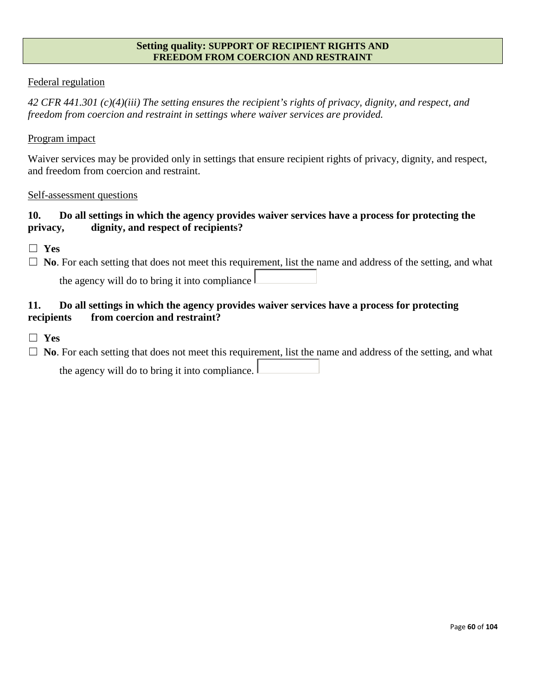#### **Setting quality: SUPPORT OF RECIPIENT RIGHTS AND FREEDOM FROM COERCION AND RESTRAINT**

## Federal regulation

*42 CFR 441.301 (c)(4)(iii) The setting ensures the recipient's rights of privacy, dignity, and respect, and freedom from coercion and restraint in settings where waiver services are provided.*

#### Program impact

Waiver services may be provided only in settings that ensure recipient rights of privacy, dignity, and respect, and freedom from coercion and restraint.

#### Self-assessment questions

## **10. Do all settings in which the agency provides waiver services have a process for protecting the privacy, dignity, and respect of recipients?**

- ☐ **Yes**
- □ **No**. For each setting that does not meet this requirement, list the name and address of the setting, and what the agency will do to bring it into compliance  $\mathbf \mathbf 1$

## **11. Do all settings in which the agency provides waiver services have a process for protecting recipients from coercion and restraint?**

- ☐ **Yes**
- □ **No**. For each setting that does not meet this requirement, list the name and address of the setting, and what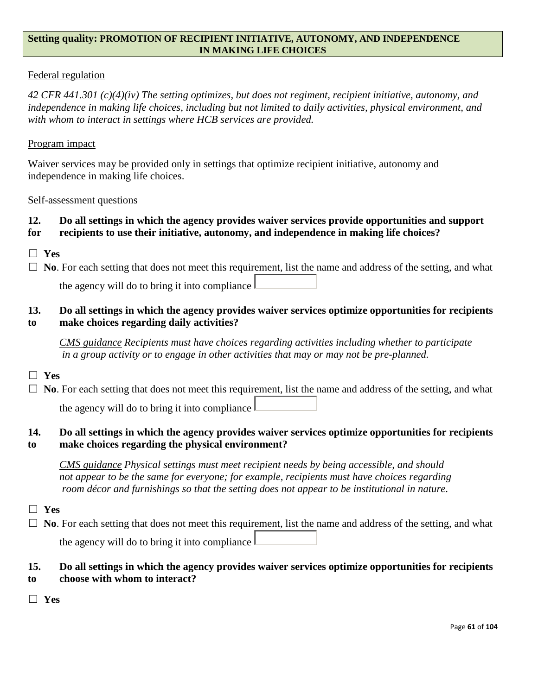### **Setting quality: PROMOTION OF RECIPIENT INITIATIVE, AUTONOMY, AND INDEPENDENCE IN MAKING LIFE CHOICES**

## Federal regulation

*42 CFR 441.301 (c)(4)(iv) The setting optimizes, but does not regiment, recipient initiative, autonomy, and independence in making life choices, including but not limited to daily activities, physical environment, and with whom to interact in settings where HCB services are provided.*

### Program impact

Waiver services may be provided only in settings that optimize recipient initiative, autonomy and independence in making life choices.

#### Self-assessment questions

# **12. Do all settings in which the agency provides waiver services provide opportunities and support**

## **for recipients to use their initiative, autonomy, and independence in making life choices?**

☐ **Yes**

□ **No**. For each setting that does not meet this requirement, list the name and address of the setting, and what the agency will do to bring it into compliance

## **13. Do all settings in which the agency provides waiver services optimize opportunities for recipients to make choices regarding daily activities?**

*CMS guidance Recipients must have choices regarding activities including whether to participate in a group activity or to engage in other activities that may or may not be pre-planned.*

## ☐ **Yes**

□ **No**. For each setting that does not meet this requirement, list the name and address of the setting, and what the agency will do to bring it into compliance

## **14. Do all settings in which the agency provides waiver services optimize opportunities for recipients to make choices regarding the physical environment?**

*CMS guidance Physical settings must meet recipient needs by being accessible, and should not appear to be the same for everyone; for example, recipients must have choices regarding room décor and furnishings so that the setting does not appear to be institutional in nature*.

## ☐ **Yes**

□ **No**. For each setting that does not meet this requirement, list the name and address of the setting, and what the agency will do to bring it into compliance

# **15. Do all settings in which the agency provides waiver services optimize opportunities for recipients**

- **to choose with whom to interact?**
- ☐ **Yes**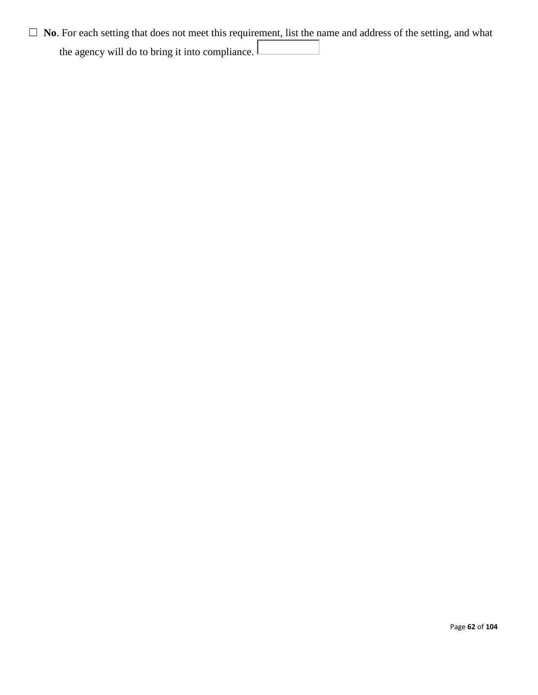□ **No**. For each setting that does not meet this requirement, list the name and address of the setting, and what the agency will do to bring it into compliance.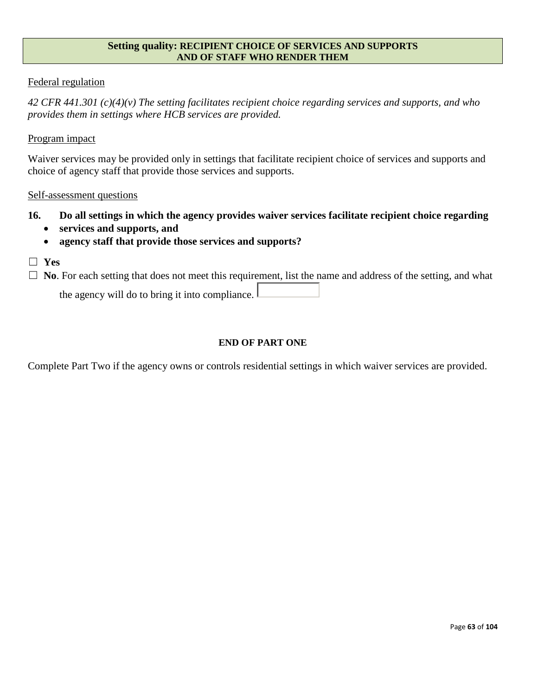#### **Setting quality: RECIPIENT CHOICE OF SERVICES AND SUPPORTS AND OF STAFF WHO RENDER THEM**

## Federal regulation

*42 CFR 441.301 (c)(4)(v) The setting facilitates recipient choice regarding services and supports, and who provides them in settings where HCB services are provided.*

#### Program impact

Waiver services may be provided only in settings that facilitate recipient choice of services and supports and choice of agency staff that provide those services and supports.

#### Self-assessment questions

- **16. Do all settings in which the agency provides waiver services facilitate recipient choice regarding** 
	- **services and supports, and**
	- **agency staff that provide those services and supports?**
- ☐ **Yes**

□ **No**. For each setting that does not meet this requirement, list the name and address of the setting, and what

the agency will do to bring it into compliance.

#### **END OF PART ONE**

Complete Part Two if the agency owns or controls residential settings in which waiver services are provided.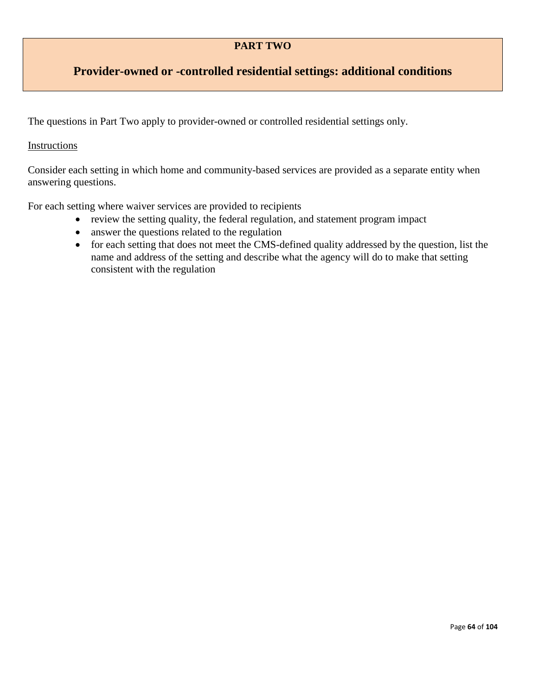## **PART TWO**

# **Provider-owned or -controlled residential settings: additional conditions**

The questions in Part Two apply to provider-owned or controlled residential settings only.

## Instructions

Consider each setting in which home and community-based services are provided as a separate entity when answering questions.

For each setting where waiver services are provided to recipients

- review the setting quality, the federal regulation, and statement program impact
- answer the questions related to the regulation
- for each setting that does not meet the CMS-defined quality addressed by the question, list the name and address of the setting and describe what the agency will do to make that setting consistent with the regulation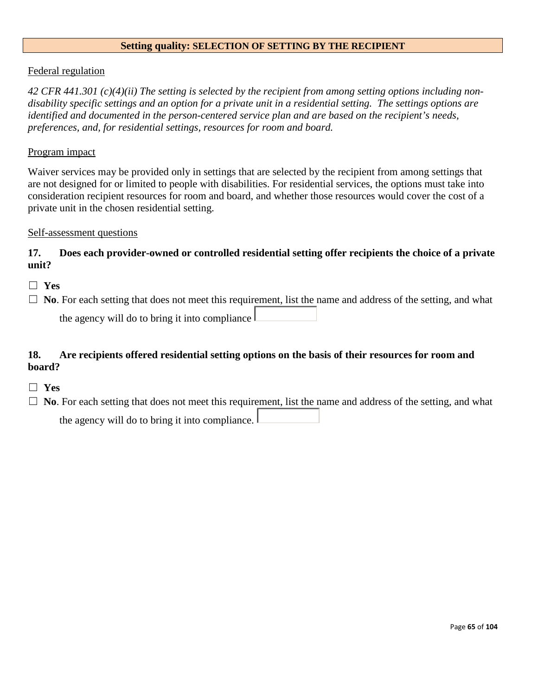#### **Setting quality: SELECTION OF SETTING BY THE RECIPIENT**

#### Federal regulation

*42 CFR 441.301 (c)(4)(ii) The setting is selected by the recipient from among setting options including nondisability specific settings and an option for a private unit in a residential setting. The settings options are identified and documented in the person-centered service plan and are based on the recipient's needs, preferences, and, for residential settings, resources for room and board.*

#### Program impact

Waiver services may be provided only in settings that are selected by the recipient from among settings that are not designed for or limited to people with disabilities. For residential services, the options must take into consideration recipient resources for room and board, and whether those resources would cover the cost of a private unit in the chosen residential setting.

#### Self-assessment questions

## **17. Does each provider-owned or controlled residential setting offer recipients the choice of a private unit?**

- ☐ **Yes**
- □ **No**. For each setting that does not meet this requirement, list the name and address of the setting, and what

the agency will do to bring it into compliance

## **18. Are recipients offered residential setting options on the basis of their resources for room and board?**

- ☐ **Yes**
- □ **No**. For each setting that does not meet this requirement, list the name and address of the setting, and what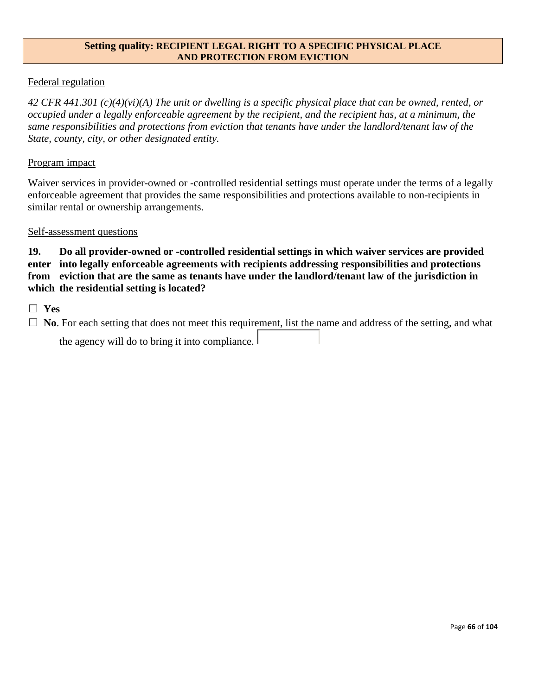#### **Setting quality: RECIPIENT LEGAL RIGHT TO A SPECIFIC PHYSICAL PLACE AND PROTECTION FROM EVICTION**

## Federal regulation

*42 CFR 441.301 (c)(4)(vi)(A) The unit or dwelling is a specific physical place that can be owned, rented, or occupied under a legally enforceable agreement by the recipient, and the recipient has, at a minimum, the same responsibilities and protections from eviction that tenants have under the landlord/tenant law of the State, county, city, or other designated entity.*

#### Program impact

Waiver services in provider-owned or -controlled residential settings must operate under the terms of a legally enforceable agreement that provides the same responsibilities and protections available to non-recipients in similar rental or ownership arrangements.

#### Self-assessment questions

**19. Do all provider-owned or -controlled residential settings in which waiver services are provided enter into legally enforceable agreements with recipients addressing responsibilities and protections from eviction that are the same as tenants have under the landlord/tenant law of the jurisdiction in which the residential setting is located?**

☐ **Yes**

 $\Box$  **No**. For each setting that does not meet this requirement, list the name and address of the setting, and what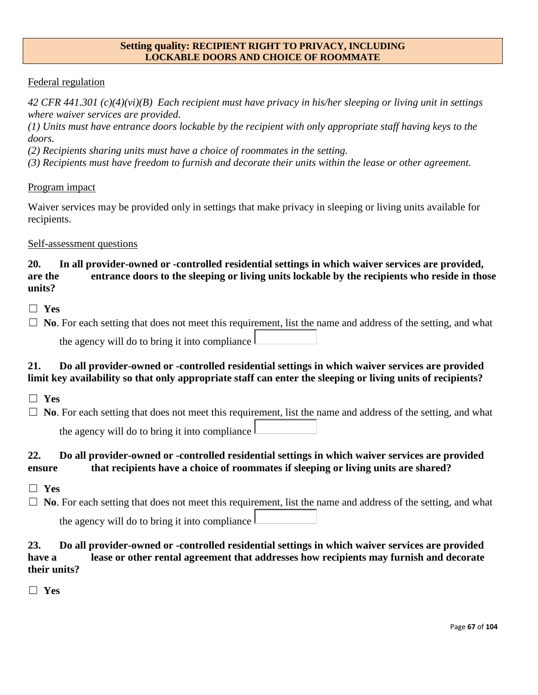#### **Setting quality: RECIPIENT RIGHT TO PRIVACY, INCLUDING LOCKABLE DOORS AND CHOICE OF ROOMMATE**

## Federal regulation

*42 CFR 441.301 (c)(4)(vi)(B) Each recipient must have privacy in his/her sleeping or living unit in settings where waiver services are provided.*

*(1) Units must have entrance doors lockable by the recipient with only appropriate staff having keys to the doors.*

*(2) Recipients sharing units must have a choice of roommates in the setting.*

*(3) Recipients must have freedom to furnish and decorate their units within the lease or other agreement.*

## Program impact

Waiver services may be provided only in settings that make privacy in sleeping or living units available for recipients.

## Self-assessment questions

## **20. In all provider-owned or -controlled residential settings in which waiver services are provided, are the entrance doors to the sleeping or living units lockable by the recipients who reside in those units?**

☐ **Yes**

□ **No**. For each setting that does not meet this requirement, list the name and address of the setting, and what the agency will do to bring it into compliance

## **21. Do all provider-owned or -controlled residential settings in which waiver services are provided limit key availability so that only appropriate staff can enter the sleeping or living units of recipients?**

- ☐ **Yes**
- □ **No**. For each setting that does not meet this requirement, list the name and address of the setting, and what the agency will do to bring it into compliance

## **22. Do all provider-owned or -controlled residential settings in which waiver services are provided ensure that recipients have a choice of roommates if sleeping or living units are shared?**

- ☐ **Yes**
- □ **No**. For each setting that does not meet this requirement, list the name and address of the setting, and what the agency will do to bring it into compliance

## **23. Do all provider-owned or -controlled residential settings in which waiver services are provided have a lease or other rental agreement that addresses how recipients may furnish and decorate their units?**

☐ **Yes**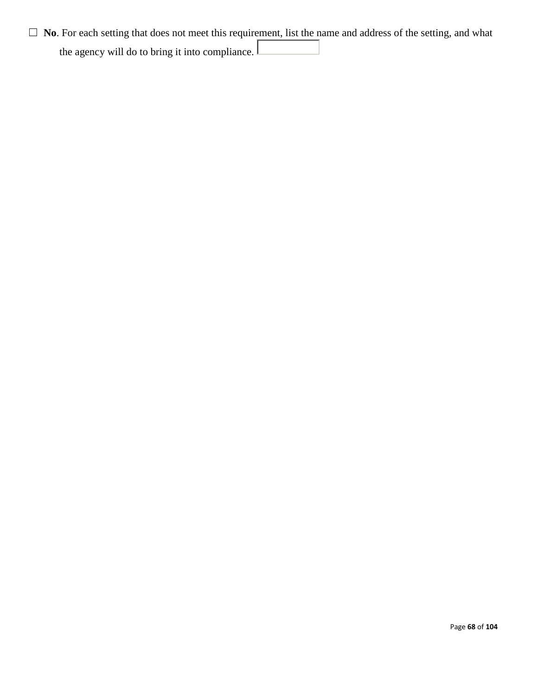□ **No**. For each setting that does not meet this requirement, list the name and address of the setting, and what the agency will do to bring it into compliance.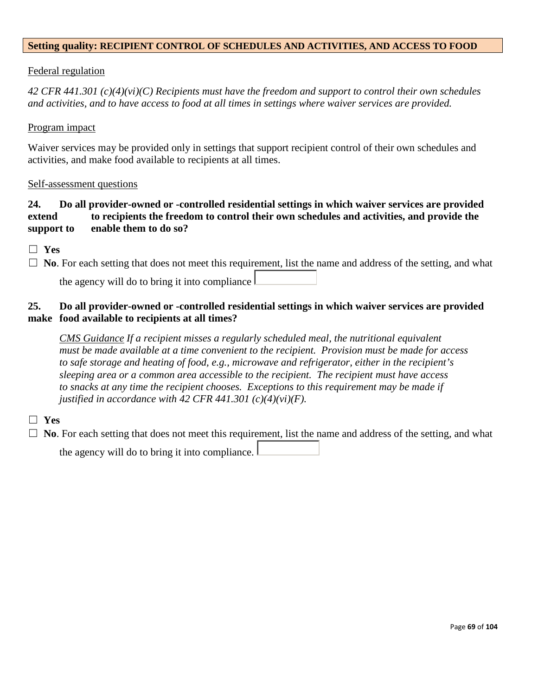### **Setting quality: RECIPIENT CONTROL OF SCHEDULES AND ACTIVITIES, AND ACCESS TO FOOD**

#### Federal regulation

*42 CFR 441.301 (c)(4)(vi)(C) Recipients must have the freedom and support to control their own schedules and activities, and to have access to food at all times in settings where waiver services are provided.*

#### Program impact

Waiver services may be provided only in settings that support recipient control of their own schedules and activities, and make food available to recipients at all times.

#### Self-assessment questions

## **24. Do all provider-owned or -controlled residential settings in which waiver services are provided extend to recipients the freedom to control their own schedules and activities, and provide the support to enable them to do so?**

☐ **Yes**

□ **No**. For each setting that does not meet this requirement, list the name and address of the setting, and what

the agency will do to bring it into compliance

## **25. Do all provider-owned or -controlled residential settings in which waiver services are provided make food available to recipients at all times?**

*CMS Guidance If a recipient misses a regularly scheduled meal, the nutritional equivalent must be made available at a time convenient to the recipient. Provision must be made for access to safe storage and heating of food, e.g., microwave and refrigerator, either in the recipient's sleeping area or a common area accessible to the recipient. The recipient must have access to snacks at any time the recipient chooses. Exceptions to this requirement may be made if justified in accordance with 42 CFR 441.301 (c)(4)(vi)(F).*

## ☐ **Yes**

□ **No**. For each setting that does not meet this requirement, list the name and address of the setting, and what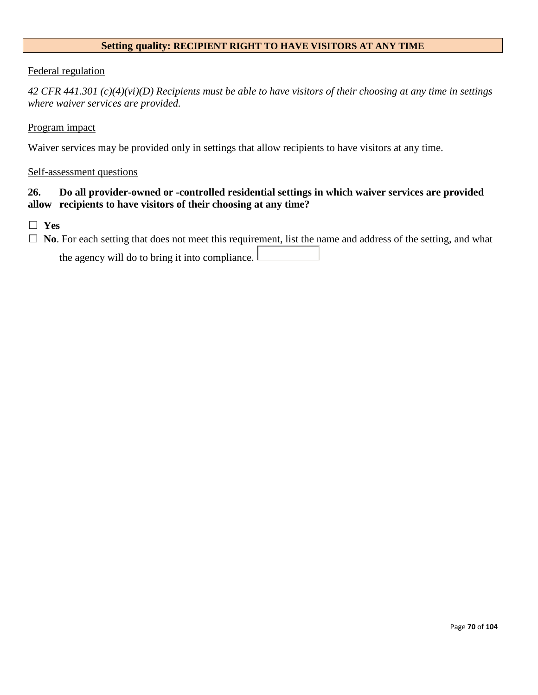### **Setting quality: RECIPIENT RIGHT TO HAVE VISITORS AT ANY TIME**

#### Federal regulation

*42 CFR 441.301 (c)(4)(vi)(D) Recipients must be able to have visitors of their choosing at any time in settings where waiver services are provided.*

#### Program impact

Waiver services may be provided only in settings that allow recipients to have visitors at any time.

#### Self-assessment questions

## **26. Do all provider-owned or -controlled residential settings in which waiver services are provided allow recipients to have visitors of their choosing at any time?**

☐ **Yes**

□ **No**. For each setting that does not meet this requirement, list the name and address of the setting, and what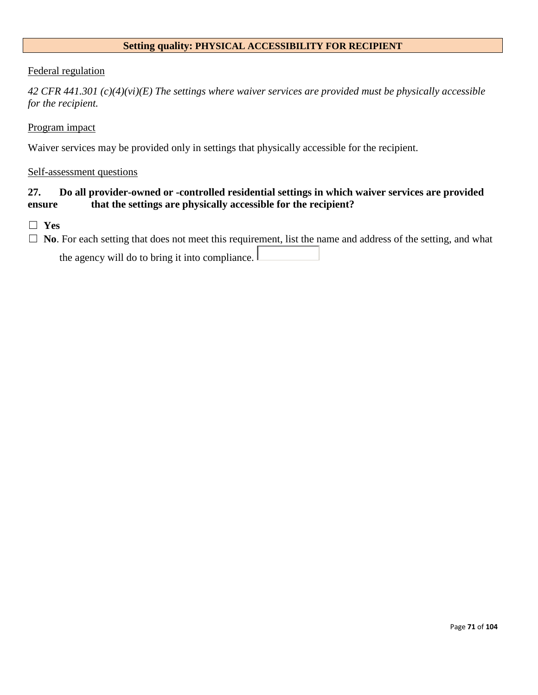# **Setting quality: PHYSICAL ACCESSIBILITY FOR RECIPIENT**

#### Federal regulation

*42 CFR 441.301 (c)(4)(vi)(E) The settings where waiver services are provided must be physically accessible for the recipient.*

#### Program impact

Waiver services may be provided only in settings that physically accessible for the recipient.

#### Self-assessment questions

## **27. Do all provider-owned or -controlled residential settings in which waiver services are provided ensure that the settings are physically accessible for the recipient?**

☐ **Yes**

□ **No**. For each setting that does not meet this requirement, list the name and address of the setting, and what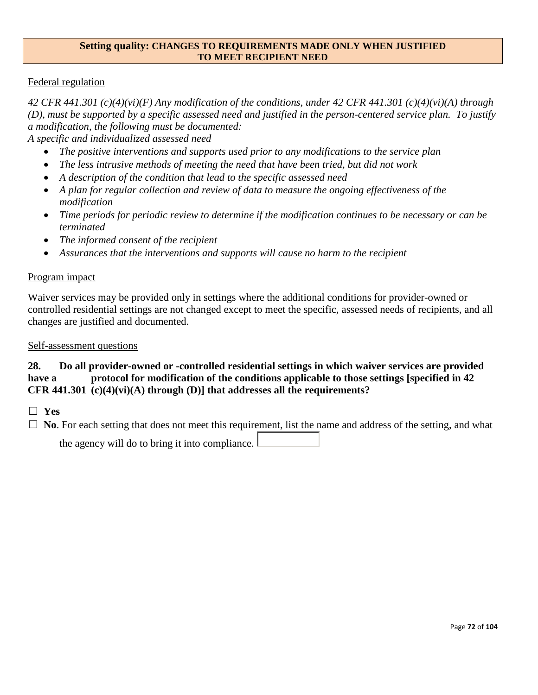#### **Setting quality: CHANGES TO REQUIREMENTS MADE ONLY WHEN JUSTIFIED TO MEET RECIPIENT NEED**

## Federal regulation

*42 CFR 441.301 (c)(4)(vi)(F) Any modification of the conditions, under 42 CFR 441.301 (c)(4)(vi)(A) through (D), must be supported by a specific assessed need and justified in the person-centered service plan. To justify a modification, the following must be documented:*

*A specific and individualized assessed need*

- *The positive interventions and supports used prior to any modifications to the service plan*
- *The less intrusive methods of meeting the need that have been tried, but did not work*
- *A description of the condition that lead to the specific assessed need*
- *A plan for regular collection and review of data to measure the ongoing effectiveness of the modification*
- *Time periods for periodic review to determine if the modification continues to be necessary or can be terminated*
- *The informed consent of the recipient*
- *Assurances that the interventions and supports will cause no harm to the recipient*

#### Program impact

Waiver services may be provided only in settings where the additional conditions for provider-owned or controlled residential settings are not changed except to meet the specific, assessed needs of recipients, and all changes are justified and documented.

#### Self-assessment questions

## **28. Do all provider-owned or -controlled residential settings in which waiver services are provided have a protocol for modification of the conditions applicable to those settings [specified in 42 CFR 441.301 (c)(4)(vi)(A) through (D)] that addresses all the requirements?**

☐ **Yes**

□ **No**. For each setting that does not meet this requirement, list the name and address of the setting, and what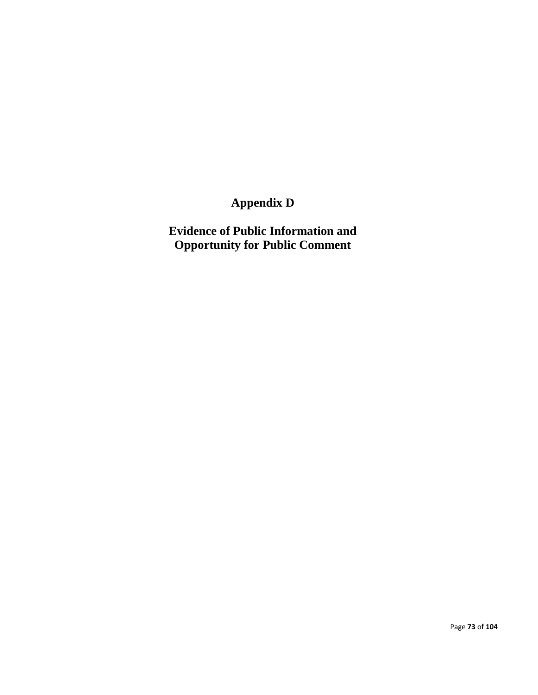## **Appendix D**

**Evidence of Public Information and Opportunity for Public Comment**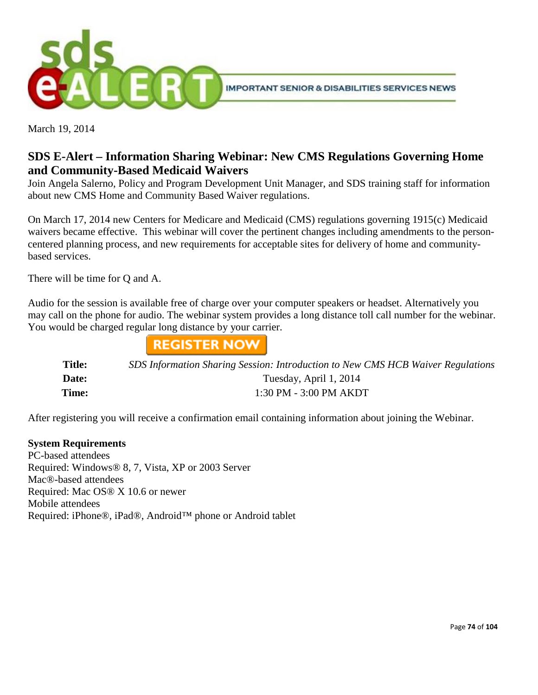

March 19, 2014

### **SDS E-Alert – Information Sharing Webinar: New CMS Regulations Governing Home and Community-Based Medicaid Waivers**

Join Angela Salerno, Policy and Program Development Unit Manager, and SDS training staff for information about new CMS Home and Community Based Waiver regulations.

On March 17, 2014 new Centers for Medicare and Medicaid (CMS) regulations governing 1915(c) Medicaid waivers became effective. This webinar will cover the pertinent changes including amendments to the personcentered planning process, and new requirements for acceptable sites for delivery of home and communitybased services.

There will be time for Q and A.

Audio for the session is available free of charge over your computer speakers or headset. Alternatively you may call on the phone for audio. The webinar system provides a long distance toll call number for the webinar. You would be charged regular long distance by your carrier.



| <b>Title:</b> | SDS Information Sharing Session: Introduction to New CMS HCB Waiver Regulations |
|---------------|---------------------------------------------------------------------------------|
| Date:         | Tuesday, April 1, 2014                                                          |
| Time:         | 1:30 PM - 3:00 PM AKDT                                                          |

After registering you will receive a confirmation email containing information about joining the Webinar.

#### **System Requirements**

PC-based attendees Required: Windows® 8, 7, Vista, XP or 2003 Server Mac®-based attendees Required: Mac OS® X 10.6 or newer Mobile attendees Required: iPhone®, iPad®, Android™ phone or Android tablet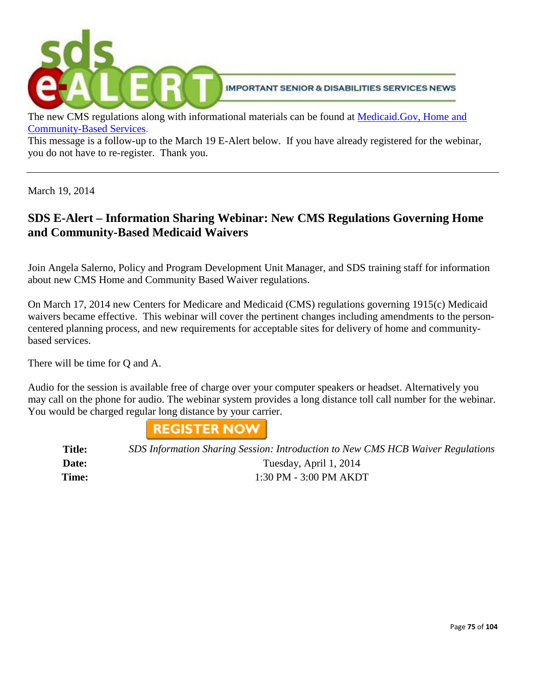

The new CMS regulations along with informational materials can be found at [Medicaid.Gov, Home and](http://www.medicaid.gov/Medicaid-CHIP-Program-Information/By-Topics/Long-Term-Services-and-Support/Home-and-Community-Based-Services/Home-and-Community-Based-Services.html)  [Community-Based Services.](http://www.medicaid.gov/Medicaid-CHIP-Program-Information/By-Topics/Long-Term-Services-and-Support/Home-and-Community-Based-Services/Home-and-Community-Based-Services.html)

This message is a follow-up to the March 19 E-Alert below. If you have already registered for the webinar, you do not have to re-register. Thank you.

March 19, 2014

### **SDS E-Alert – Information Sharing Webinar: New CMS Regulations Governing Home and Community-Based Medicaid Waivers**

Join Angela Salerno, Policy and Program Development Unit Manager, and SDS training staff for information about new CMS Home and Community Based Waiver regulations.

On March 17, 2014 new Centers for Medicare and Medicaid (CMS) regulations governing 1915(c) Medicaid waivers became effective. This webinar will cover the pertinent changes including amendments to the personcentered planning process, and new requirements for acceptable sites for delivery of home and communitybased services.

There will be time for Q and A.

Audio for the session is available free of charge over your computer speakers or headset. Alternatively you may call on the phone for audio. The webinar system provides a long distance toll call number for the webinar. You would be charged regular long distance by your carrier.



**Title:** *SDS Information Sharing Session: Introduction to New CMS HCB Waiver Regulations* Date: Tuesday, April 1, 2014 **Time:** 1:30 PM - 3:00 PM AKDT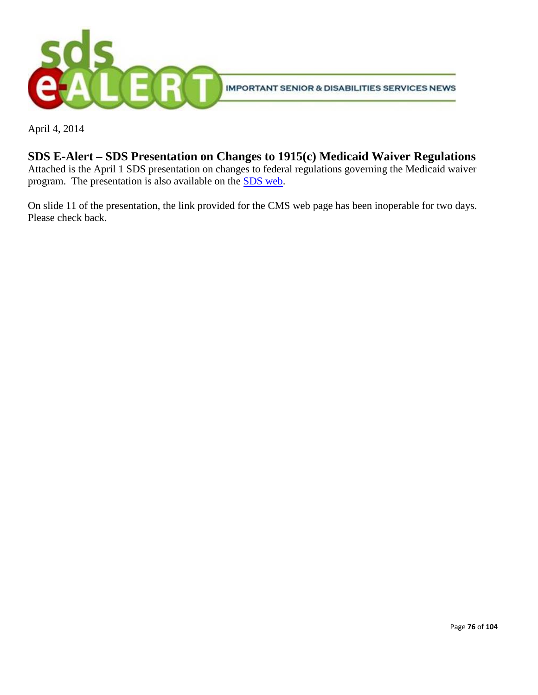

April 4, 2014

### **SDS E-Alert – SDS Presentation on Changes to 1915(c) Medicaid Waiver Regulations**

Attached is the April 1 SDS presentation on changes to federal regulations governing the Medicaid waiver program. The presentation is also available on the [SDS web.](http://dhss.alaska.gov/dsds/Pages/default.aspx)

On slide 11 of the presentation, the link provided for the CMS web page has been inoperable for two days. Please check back.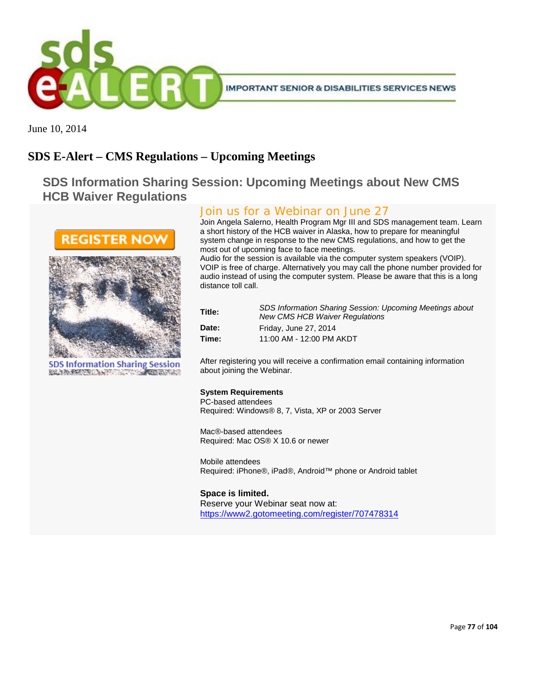

June 10, 2014

### **SDS E-Alert – CMS Regulations – Upcoming Meetings**

**SDS Information Sharing Session: Upcoming Meetings about New CMS HCB Waiver Regulations**



**SDS Information Sharing Session** BELIEVE PRETER THE REPORT OF THE PRETERBED

### Join us for a Webinar on June 27

Join Angela Salerno, Health Program Mgr III and SDS management team. Learn a short history of the HCB waiver in Alaska, how to prepare for meaningful system change in response to the new CMS regulations, and how to get the most out of upcoming face to face meetings.

Audio for the session is available via the computer system speakers (VOIP). VOIP is free of charge. Alternatively you may call the phone number provided for audio instead of using the computer system. Please be aware that this is a long distance toll call.

| Title: | <b>SDS Information Sharing Session: Upcoming Meetings about</b><br><b>New CMS HCB Waiver Regulations</b> |
|--------|----------------------------------------------------------------------------------------------------------|
| Date:  | Friday, June 27, 2014                                                                                    |
| Time:  | 11:00 AM - 12:00 PM AKDT                                                                                 |

After registering you will receive a confirmation email containing information about joining the Webinar.

#### **System Requirements**

PC-based attendees Required: Windows® 8, 7, Vista, XP or 2003 Server

Mac®-based attendees Required: Mac OS® X 10.6 or newer

Mobile attendees Required: iPhone®, iPad®, Android™ phone or Android tablet

#### **Space is limited.**

Reserve your Webinar seat now at: <https://www2.gotomeeting.com/register/707478314>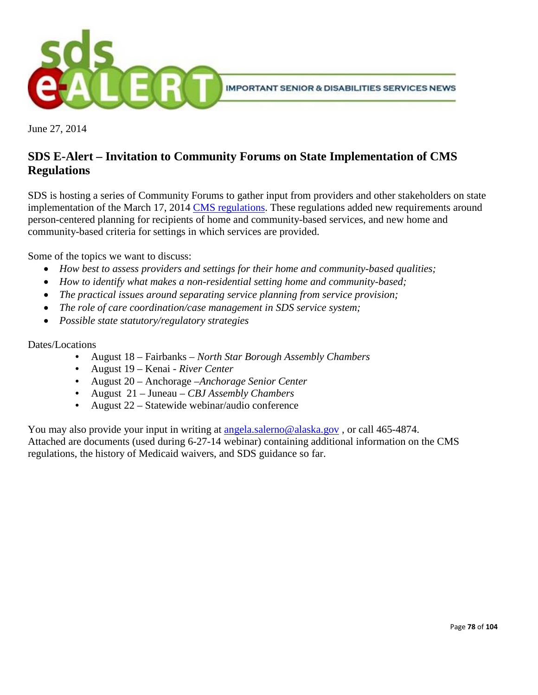

June 27, 2014

### **SDS E-Alert – Invitation to Community Forums on State Implementation of CMS Regulations**

SDS is hosting a series of Community Forums to gather input from providers and other stakeholders on state implementation of the March 17, 2014 [CMS regulations.](http://www.medicaid.gov/Medicaid-CHIP-Program-Information/By-Topics/Long-Term-Services-and-SupportS/Home-and-Community-Based-Services/Home-and-Community-Based-Services.html) These regulations added new requirements around person-centered planning for recipients of home and community-based services, and new home and community-based criteria for settings in which services are provided.

Some of the topics we want to discuss:

- *How best to assess providers and settings for their home and community-based qualities;*
- *How to identify what makes a non-residential setting home and community-based;*
- *The practical issues around separating service planning from service provision;*
- *The role of care coordination/case management in SDS service system;*
- *Possible state statutory/regulatory strategies*

#### Dates/Locations

- August 18 Fairbanks *North Star Borough Assembly Chambers*
- August 19 Kenai *River Center*
- August 20 Anchorage –*Anchorage Senior Center*
- August 21 Juneau *CBJ Assembly Chambers*
- August 22 Statewide webinar/audio conference

You may also provide your input in writing at [angela.salerno@alaska.gov](mailto:angela.salerno@alaska.gov), or call 465-4874. Attached are documents (used during 6-27-14 webinar) containing additional information on the CMS regulations, the history of Medicaid waivers, and SDS guidance so far.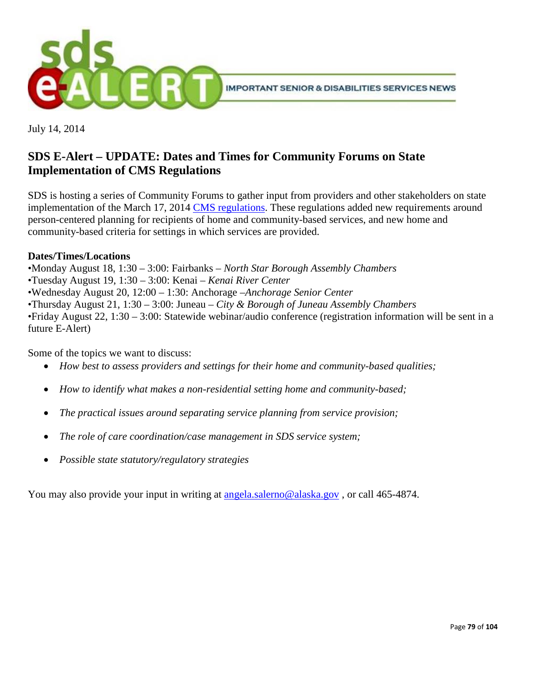

July 14, 2014

### **SDS E-Alert – UPDATE: Dates and Times for Community Forums on State Implementation of CMS Regulations**

SDS is hosting a series of Community Forums to gather input from providers and other stakeholders on state implementation of the March 17, 2014 [CMS regulations.](http://www.medicaid.gov/Medicaid-CHIP-Program-Information/By-Topics/Long-Term-Services-and-SupportS/Home-and-Community-Based-Services/Home-and-Community-Based-Services.html) These regulations added new requirements around person-centered planning for recipients of home and community-based services, and new home and community-based criteria for settings in which services are provided.

### **Dates/Times/Locations**

•Monday August 18, 1:30 – 3:00: Fairbanks – *North Star Borough Assembly Chambers*

- •Tuesday August 19, 1:30 3:00: Kenai *Kenai River Center*
- •Wednesday August 20, 12:00 1:30: Anchorage –*Anchorage Senior Center*

•Thursday August 21, 1:30 – 3:00: Juneau – *City & Borough of Juneau Assembly Chambers*

•Friday August 22, 1:30 – 3:00: Statewide webinar/audio conference (registration information will be sent in a future E-Alert)

Some of the topics we want to discuss:

- *How best to assess providers and settings for their home and community-based qualities;*
- *How to identify what makes a non-residential setting home and community-based;*
- *The practical issues around separating service planning from service provision;*
- *The role of care coordination/case management in SDS service system;*
- *Possible state statutory/regulatory strategies*

You may also provide your input in writing at [angela.salerno@alaska.gov](mailto:angela.salerno@alaska.gov), or call 465-4874.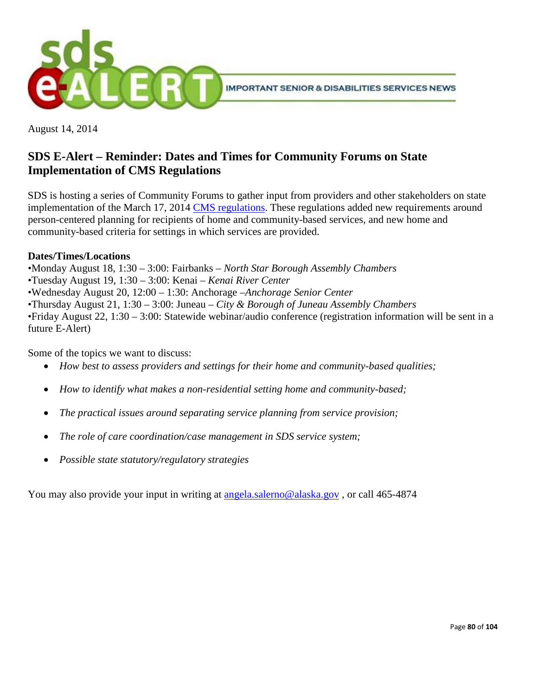

August 14, 2014

### **SDS E-Alert – Reminder: Dates and Times for Community Forums on State Implementation of CMS Regulations**

SDS is hosting a series of Community Forums to gather input from providers and other stakeholders on state implementation of the March 17, 2014 [CMS regulations.](http://www.medicaid.gov/Medicaid-CHIP-Program-Information/By-Topics/Long-Term-Services-and-SupportS/Home-and-Community-Based-Services/Home-and-Community-Based-Services.html) These regulations added new requirements around person-centered planning for recipients of home and community-based services, and new home and community-based criteria for settings in which services are provided.

### **Dates/Times/Locations**

•Monday August 18, 1:30 – 3:00: Fairbanks – *North Star Borough Assembly Chambers*

- •Tuesday August 19, 1:30 3:00: Kenai *Kenai River Center*
- •Wednesday August 20, 12:00 1:30: Anchorage –*Anchorage Senior Center*

•Thursday August 21, 1:30 – 3:00: Juneau – *City & Borough of Juneau Assembly Chambers*

•Friday August 22, 1:30 – 3:00: Statewide webinar/audio conference (registration information will be sent in a future E-Alert)

Some of the topics we want to discuss:

- *How best to assess providers and settings for their home and community-based qualities;*
- *How to identify what makes a non-residential setting home and community-based;*
- *The practical issues around separating service planning from service provision;*
- *The role of care coordination/case management in SDS service system;*
- *Possible state statutory/regulatory strategies*

You may also provide your input in writing at [angela.salerno@alaska.gov](mailto:angela.salerno@alaska.gov) , or call 465-4874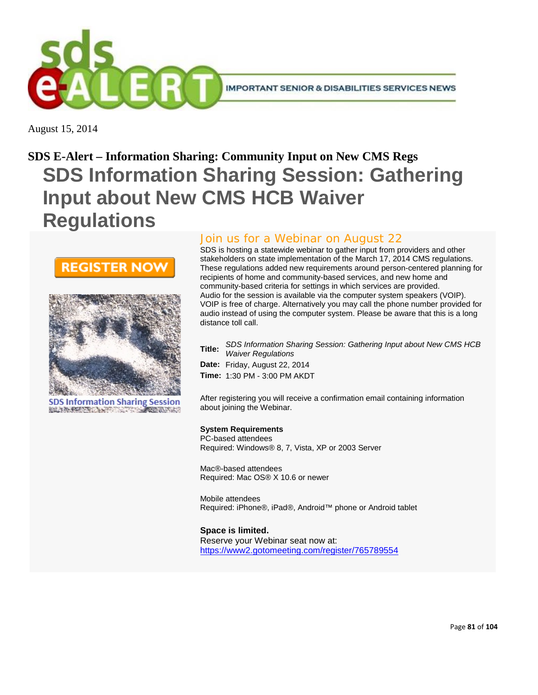

August 15, 2014

# **SDS E-Alert – Information Sharing: Community Input on New CMS Regs SDS Information Sharing Session: Gathering Input about New CMS HCB Waiver Regulations**





**SDS Information Sharing Session** BELIEVE PRESENTED AND THE CONTRACTORS

### Join us for a Webinar on August 22

SDS is hosting a statewide webinar to gather input from providers and other stakeholders on state implementation of the March 17, 2014 CMS regulations. These regulations added new requirements around person-centered planning for recipients of home and community-based services, and new home and community-based criteria for settings in which services are provided. Audio for the session is available via the computer system speakers (VOIP). VOIP is free of charge. Alternatively you may call the phone number provided for audio instead of using the computer system. Please be aware that this is a long distance toll call.

**Title:** *SDS Information Sharing Session: Gathering Input about New CMS HCB Waiver Regulations*

**Date:** Friday, August 22, 2014 **Time:** 1:30 PM - 3:00 PM AKDT

After registering you will receive a confirmation email containing information about joining the Webinar.

#### **System Requirements**

PC-based attendees Required: Windows® 8, 7, Vista, XP or 2003 Server

Mac®-based attendees Required: Mac OS® X 10.6 or newer

Mobile attendees Required: iPhone®, iPad®, Android™ phone or Android tablet

**Space is limited.** Reserve your Webinar seat now at: <https://www2.gotomeeting.com/register/765789554>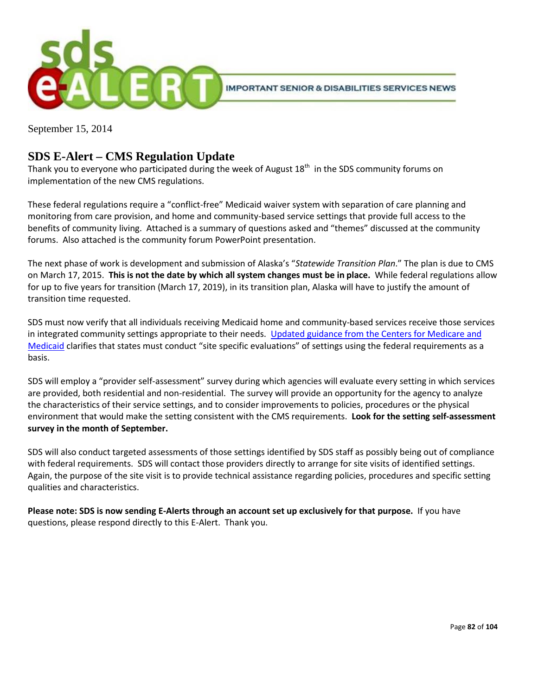

September 15, 2014

### **SDS E-Alert – CMS Regulation Update**

Thank you to everyone who participated during the week of August  $18<sup>th</sup>$  in the SDS community forums on implementation of the new CMS regulations.

These federal regulations require a "conflict-free" Medicaid waiver system with separation of care planning and monitoring from care provision, and home and community-based service settings that provide full access to the benefits of community living. Attached is a summary of questions asked and "themes" discussed at the community forums. Also attached is the community forum PowerPoint presentation.

The next phase of work is development and submission of Alaska's "*Statewide Transition Plan*." The plan is due to CMS on March 17, 2015. **This is not the date by which all system changes must be in place.** While federal regulations allow for up to five years for transition (March 17, 2019), in its transition plan, Alaska will have to justify the amount of transition time requested.

SDS must now verify that all individuals receiving Medicaid home and community-based services receive those services in integrated community settings appropriate to their needs. [Updated guidance from the Centers for Medicare and](http://www.medicaid.gov/Medicaid-CHIP-Program-Information/By-Topics/Long-Term-Services-and-Supports/Statewide-Transition-Plan-Toolkit-.pdf.)  [Medicaid](http://www.medicaid.gov/Medicaid-CHIP-Program-Information/By-Topics/Long-Term-Services-and-Supports/Statewide-Transition-Plan-Toolkit-.pdf.) clarifies that states must conduct "site specific evaluations" of settings using the federal requirements as a basis.

SDS will employ a "provider self-assessment" survey during which agencies will evaluate every setting in which services are provided, both residential and non-residential. The survey will provide an opportunity for the agency to analyze the characteristics of their service settings, and to consider improvements to policies, procedures or the physical environment that would make the setting consistent with the CMS requirements. **Look for the setting self-assessment survey in the month of September.**

SDS will also conduct targeted assessments of those settings identified by SDS staff as possibly being out of compliance with federal requirements. SDS will contact those providers directly to arrange for site visits of identified settings. Again, the purpose of the site visit is to provide technical assistance regarding policies, procedures and specific setting qualities and characteristics.

**Please note: SDS is now sending E-Alerts through an account set up exclusively for that purpose.** If you have questions, please respond directly to this E-Alert. Thank you.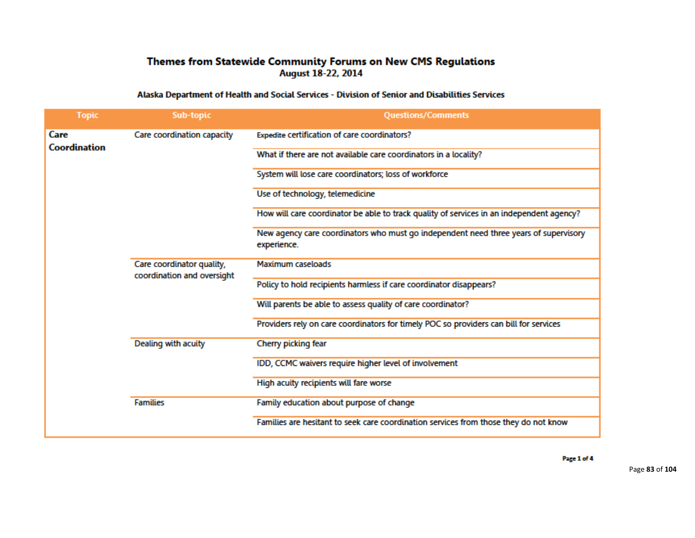### Themes from Statewide Community Forums on New CMS Regulations August 18-22, 2014

#### Alaska Department of Health and Social Services - Division of Senior and Disabilities Services

| <b>Topic</b>                | <b>Sub-topic</b>                                        | <b>Questions/Comments</b>                                                                           |
|-----------------------------|---------------------------------------------------------|-----------------------------------------------------------------------------------------------------|
| Care<br><b>Coordination</b> | Care coordination capacity                              | Expedite certification of care coordinators?                                                        |
|                             |                                                         | What if there are not available care coordinators in a locality?                                    |
|                             |                                                         | System will lose care coordinators; loss of workforce                                               |
|                             |                                                         | Use of technology, telemedicine                                                                     |
|                             |                                                         | How will care coordinator be able to track quality of services in an independent agency?            |
|                             |                                                         | New agency care coordinators who must go independent need three years of supervisory<br>experience. |
|                             | Care coordinator quality,<br>coordination and oversight | Maximum caseloads                                                                                   |
|                             |                                                         | Policy to hold recipients harmless if care coordinator disappears?                                  |
|                             |                                                         | Will parents be able to assess quality of care coordinator?                                         |
|                             |                                                         | Providers rely on care coordinators for timely POC so providers can bill for services               |
|                             | Dealing with acuity                                     | Cherry picking fear                                                                                 |
|                             |                                                         | IDD, CCMC waivers require higher level of involvement                                               |
|                             |                                                         | High acuity recipients will fare worse                                                              |
|                             | <b>Families</b>                                         | Family education about purpose of change                                                            |
|                             |                                                         | Families are hesitant to seek care coordination services from those they do not know                |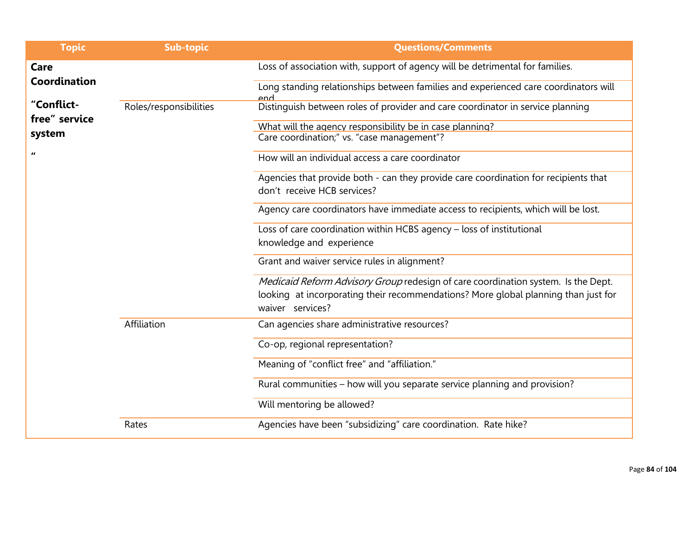| <b>Topic</b>                | <b>Sub-topic</b>       | <b>Questions/Comments</b>                                                                  |
|-----------------------------|------------------------|--------------------------------------------------------------------------------------------|
| Care                        |                        | Loss of association with, support of agency will be detrimental for families.              |
| Coordination                |                        | Long standing relationships between families and experienced care coordinators will<br>and |
| "Conflict-<br>free" service | Roles/responsibilities | Distinguish between roles of provider and care coordinator in service planning             |
|                             |                        | What will the agency responsibility be in case planning?                                   |
| system                      |                        | Care coordination;" vs. "case management"?                                                 |
| $\pmb{\mathit{u}}$          |                        | How will an individual access a care coordinator                                           |
|                             |                        | Agencies that provide both - can they provide care coordination for recipients that        |
|                             |                        | don't receive HCB services?                                                                |
|                             |                        | Agency care coordinators have immediate access to recipients, which will be lost.          |
|                             |                        | Loss of care coordination within HCBS agency - loss of institutional                       |
|                             |                        | knowledge and experience                                                                   |
|                             |                        | Grant and waiver service rules in alignment?                                               |
|                             |                        | Medicaid Reform Advisory Group redesign of care coordination system. Is the Dept.          |
|                             |                        | looking at incorporating their recommendations? More global planning than just for         |
|                             |                        | waiver services?                                                                           |
|                             | Affiliation            | Can agencies share administrative resources?                                               |
|                             |                        | Co-op, regional representation?                                                            |
|                             |                        | Meaning of "conflict free" and "affiliation."                                              |
|                             |                        | Rural communities – how will you separate service planning and provision?                  |
|                             |                        | Will mentoring be allowed?                                                                 |
|                             | Rates                  | Agencies have been "subsidizing" care coordination. Rate hike?                             |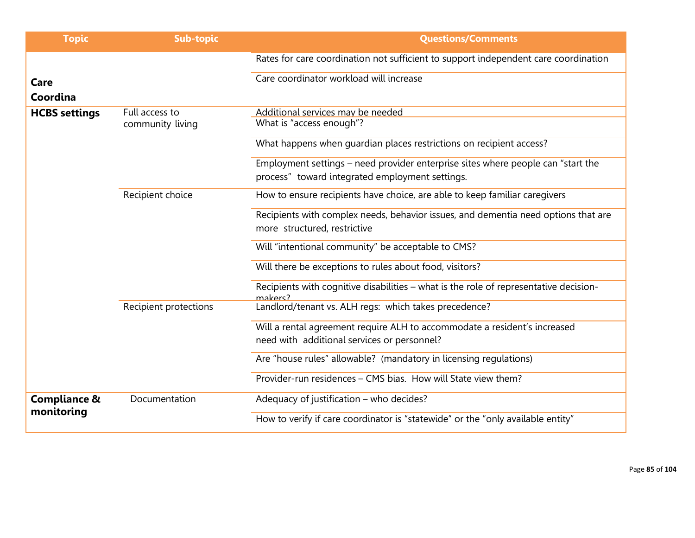| <b>Topic</b>                          | <b>Sub-topic</b>      | <b>Questions/Comments</b>                                                                                                           |
|---------------------------------------|-----------------------|-------------------------------------------------------------------------------------------------------------------------------------|
|                                       |                       | Rates for care coordination not sufficient to support independent care coordination                                                 |
| Care<br>Coordina                      |                       | Care coordinator workload will increase                                                                                             |
| <b>HCBS settings</b>                  | Full access to        | Additional services may be needed                                                                                                   |
|                                       | community living      | What is "access enough"?                                                                                                            |
|                                       |                       | What happens when quardian places restrictions on recipient access?                                                                 |
|                                       |                       | Employment settings - need provider enterprise sites where people can "start the<br>process" toward integrated employment settings. |
|                                       | Recipient choice      | How to ensure recipients have choice, are able to keep familiar caregivers                                                          |
|                                       |                       | Recipients with complex needs, behavior issues, and dementia need options that are<br>more structured, restrictive                  |
|                                       |                       | Will "intentional community" be acceptable to CMS?                                                                                  |
|                                       |                       | Will there be exceptions to rules about food, visitors?                                                                             |
|                                       |                       | Recipients with cognitive disabilities - what is the role of representative decision-<br>makers?                                    |
|                                       | Recipient protections | Landlord/tenant vs. ALH regs: which takes precedence?                                                                               |
|                                       |                       | Will a rental agreement require ALH to accommodate a resident's increased                                                           |
|                                       |                       | need with additional services or personnel?                                                                                         |
|                                       |                       | Are "house rules" allowable? (mandatory in licensing regulations)                                                                   |
|                                       |                       | Provider-run residences - CMS bias. How will State view them?                                                                       |
| <b>Compliance &amp;</b><br>monitoring | Documentation         | Adequacy of justification - who decides?                                                                                            |
|                                       |                       | How to verify if care coordinator is "statewide" or the "only available entity"                                                     |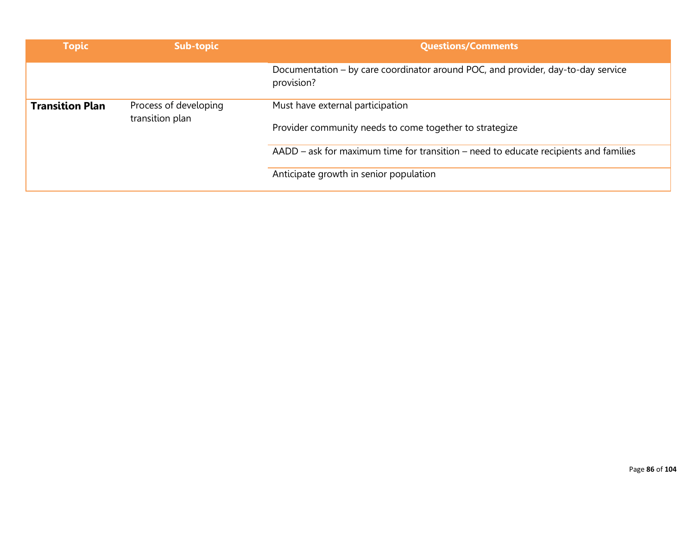| <b>Topic</b>           | Sub-topic                                | <b>Questions/Comments</b>                                                                      |
|------------------------|------------------------------------------|------------------------------------------------------------------------------------------------|
|                        |                                          | Documentation – by care coordinator around POC, and provider, day-to-day service<br>provision? |
| <b>Transition Plan</b> | Process of developing<br>transition plan | Must have external participation                                                               |
|                        |                                          | Provider community needs to come together to strategize                                        |
|                        |                                          | AADD – ask for maximum time for transition – need to educate recipients and families           |
|                        |                                          | Anticipate growth in senior population                                                         |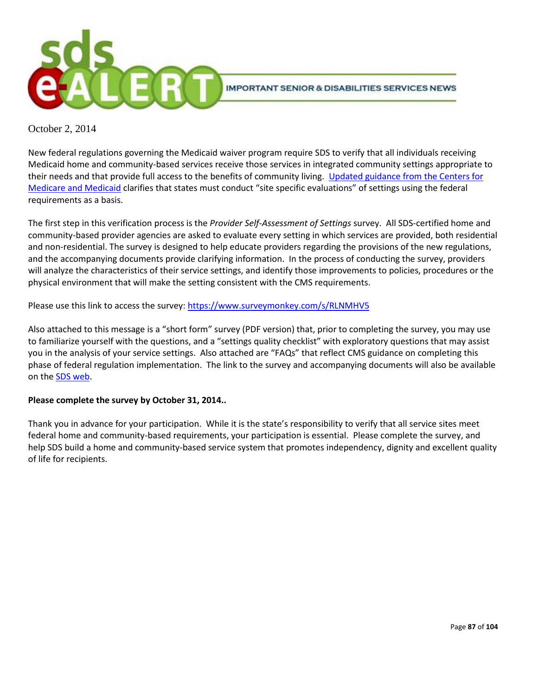

October 2, 2014

New federal regulations governing the Medicaid waiver program require SDS to verify that all individuals receiving Medicaid home and community-based services receive those services in integrated community settings appropriate to their needs and that provide full access to the benefits of community living. Updated guidance from the Centers for [Medicare and Medicaid](http://www.medicaid.gov/Medicaid-CHIP-Program-Information/By-Topics/Long-Term-Services-and-Supports/Statewide-Transition-Plan-Toolkit-.pdf.) clarifies that states must conduct "site specific evaluations" of settings using the federal requirements as a basis.

The first step in this verification process is the *Provider Self-Assessment of Settings* survey. All SDS-certified home and community-based provider agencies are asked to evaluate every setting in which services are provided, both residential and non-residential. The survey is designed to help educate providers regarding the provisions of the new regulations, and the accompanying documents provide clarifying information. In the process of conducting the survey, providers will analyze the characteristics of their service settings, and identify those improvements to policies, procedures or the physical environment that will make the setting consistent with the CMS requirements.

Please use this link to access the survey[: https://www.surveymonkey.com/s/RLNMHV5](https://www.surveymonkey.com/s/RLNMHV5)

Also attached to this message is a "short form" survey (PDF version) that, prior to completing the survey, you may use to familiarize yourself with the questions, and a "settings quality checklist" with exploratory questions that may assist you in the analysis of your service settings. Also attached are "FAQs" that reflect CMS guidance on completing this phase of federal regulation implementation. The link to the survey and accompanying documents will also be available on th[e SDS web.](http://dhss.alaska.gov/dsds/Pages/default.aspx)

#### **Please complete the survey by October 31, 2014..**

Thank you in advance for your participation. While it is the state's responsibility to verify that all service sites meet federal home and community-based requirements, your participation is essential. Please complete the survey, and help SDS build a home and community-based service system that promotes independency, dignity and excellent quality of life for recipients.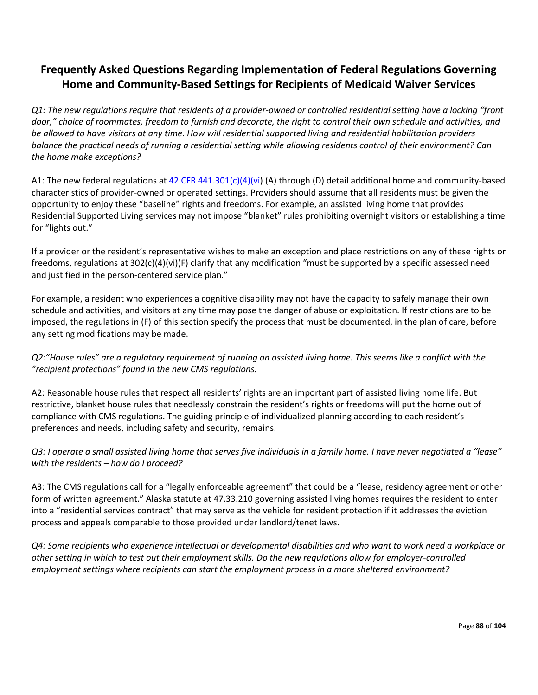### **Frequently Asked Questions Regarding Implementation of Federal Regulations Governing Home and Community-Based Settings for Recipients of Medicaid Waiver Services**

*Q1: The new regulations require that residents of a provider-owned or controlled residential setting have a locking "front door," choice of roommates, freedom to furnish and decorate, the right to control their own schedule and activities, and be allowed to have visitors at any time. How will residential supported living and residential habilitation providers balance the practical needs of running a residential setting while allowing residents control of their environment? Can the home make exceptions?* 

A1: The new federal regulations at 42 CFR 441.301(c)(4)(vi) (A) through (D) detail additional home and community-based characteristics of provider-owned or operated settings. Providers should assume that all residents must be given the opportunity to enjoy these "baseline" rights and freedoms. For example, an assisted living home that provides Residential Supported Living services may not impose "blanket" rules prohibiting overnight visitors or establishing a time for "lights out."

If a provider or the resident's representative wishes to make an exception and place restrictions on any of these rights or freedoms, regulations at 302(c)(4)(vi)(F) clarify that any modification "must be supported by a specific assessed need and justified in the person-centered service plan."

For example, a resident who experiences a cognitive disability may not have the capacity to safely manage their own schedule and activities, and visitors at any time may pose the danger of abuse or exploitation. If restrictions are to be imposed, the regulations in (F) of this section specify the process that must be documented, in the plan of care, before any setting modifications may be made.

*Q2:"House rules" are a regulatory requirement of running an assisted living home. This seems like a conflict with the "recipient protections" found in the new CMS regulations.* 

A2: Reasonable house rules that respect all residents' rights are an important part of assisted living home life. But restrictive, blanket house rules that needlessly constrain the resident's rights or freedoms will put the home out of compliance with CMS regulations. The guiding principle of individualized planning according to each resident's preferences and needs, including safety and security, remains.

*Q3: I operate a small assisted living home that serves five individuals in a family home. I have never negotiated a "lease" with the residents – how do I proceed?* 

A3: The CMS regulations call for a "legally enforceable agreement" that could be a "lease, residency agreement or other form of written agreement." Alaska statute at 47.33.210 governing assisted living homes requires the resident to enter into a "residential services contract" that may serve as the vehicle for resident protection if it addresses the eviction process and appeals comparable to those provided under landlord/tenet laws.

*Q4: Some recipients who experience intellectual or developmental disabilities and who want to work need a workplace or other setting in which to test out their employment skills. Do the new regulations allow for employer-controlled employment settings where recipients can start the employment process in a more sheltered environment?*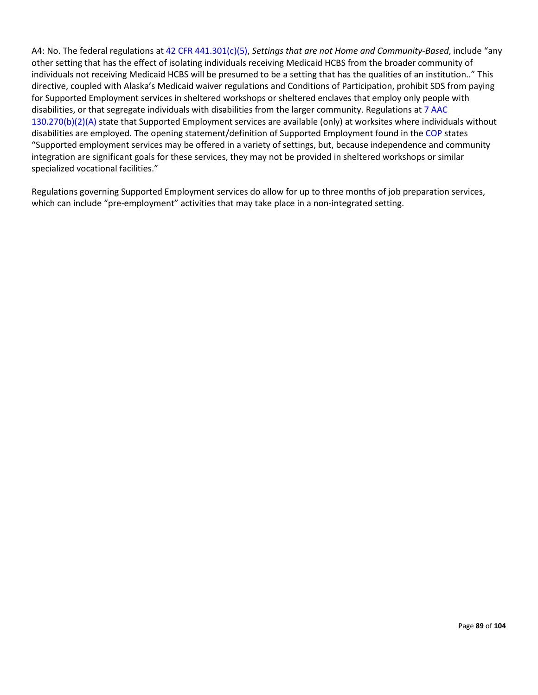A4: No. The federal regulations at 42 CFR 441.301(c)(5), *Settings that are not Home and Community-Based*, include "any other setting that has the effect of isolating individuals receiving Medicaid HCBS from the broader community of individuals not receiving Medicaid HCBS will be presumed to be a setting that has the qualities of an institution.." This directive, coupled with Alaska's Medicaid waiver regulations and Conditions of Participation, prohibit SDS from paying for Supported Employment services in sheltered workshops or sheltered enclaves that employ only people with disabilities, or that segregate individuals with disabilities from the larger community. Regulations at 7 AAC 130.270(b)(2)(A) state that Supported Employment services are available (only) at worksites where individuals without disabilities are employed. The opening statement/definition of Supported Employment found in the COP states "Supported employment services may be offered in a variety of settings, but, because independence and community integration are significant goals for these services, they may not be provided in sheltered workshops or similar specialized vocational facilities."

Regulations governing Supported Employment services do allow for up to three months of job preparation services, which can include "pre-employment" activities that may take place in a non-integrated setting.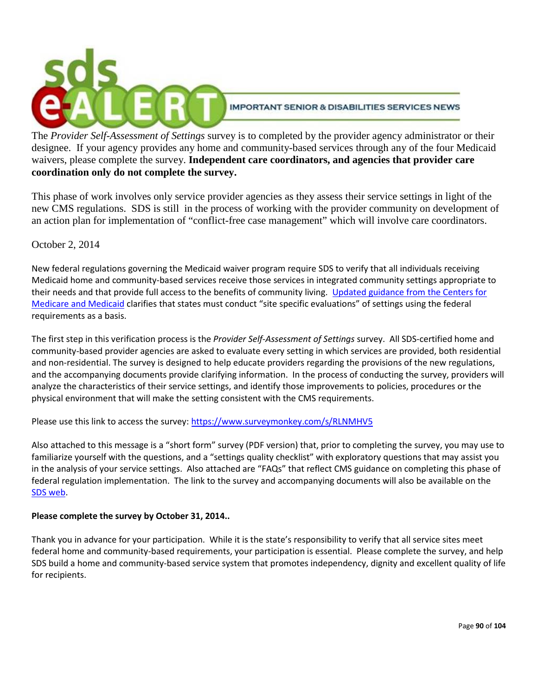

The *Provider Self-Assessment of Settings* survey is to completed by the provider agency administrator or their designee. If your agency provides any home and community-based services through any of the four Medicaid waivers, please complete the survey. **Independent care coordinators, and agencies that provider care coordination only do not complete the survey.**

This phase of work involves only service provider agencies as they assess their service settings in light of the new CMS regulations. SDS is still in the process of working with the provider community on development of an action plan for implementation of "conflict-free case management" which will involve care coordinators.

### October 2, 2014

New federal regulations governing the Medicaid waiver program require SDS to verify that all individuals receiving Medicaid home and community-based services receive those services in integrated community settings appropriate to their needs and that provide full access to the benefits of community living. [Updated guidance from the Centers for](http://www.medicaid.gov/Medicaid-CHIP-Program-Information/By-Topics/Long-Term-Services-and-Supports/Statewide-Transition-Plan-Toolkit-.pdf.)  [Medicare and Medicaid](http://www.medicaid.gov/Medicaid-CHIP-Program-Information/By-Topics/Long-Term-Services-and-Supports/Statewide-Transition-Plan-Toolkit-.pdf.) clarifies that states must conduct "site specific evaluations" of settings using the federal requirements as a basis.

The first step in this verification process is the *Provider Self-Assessment of Settings* survey. All SDS-certified home and community-based provider agencies are asked to evaluate every setting in which services are provided, both residential and non-residential. The survey is designed to help educate providers regarding the provisions of the new regulations, and the accompanying documents provide clarifying information. In the process of conducting the survey, providers will analyze the characteristics of their service settings, and identify those improvements to policies, procedures or the physical environment that will make the setting consistent with the CMS requirements.

Please use this link to access the survey[: https://www.surveymonkey.com/s/RLNMHV5](https://www.surveymonkey.com/s/RLNMHV5)

Also attached to this message is a "short form" survey (PDF version) that, prior to completing the survey, you may use to familiarize yourself with the questions, and a "settings quality checklist" with exploratory questions that may assist you in the analysis of your service settings. Also attached are "FAQs" that reflect CMS guidance on completing this phase of federal regulation implementation. The link to the survey and accompanying documents will also be available on the [SDS web.](http://dhss.alaska.gov/dsds/Pages/default.aspx)

#### **Please complete the survey by October 31, 2014..**

Thank you in advance for your participation. While it is the state's responsibility to verify that all service sites meet federal home and community-based requirements, your participation is essential. Please complete the survey, and help SDS build a home and community-based service system that promotes independency, dignity and excellent quality of life for recipients.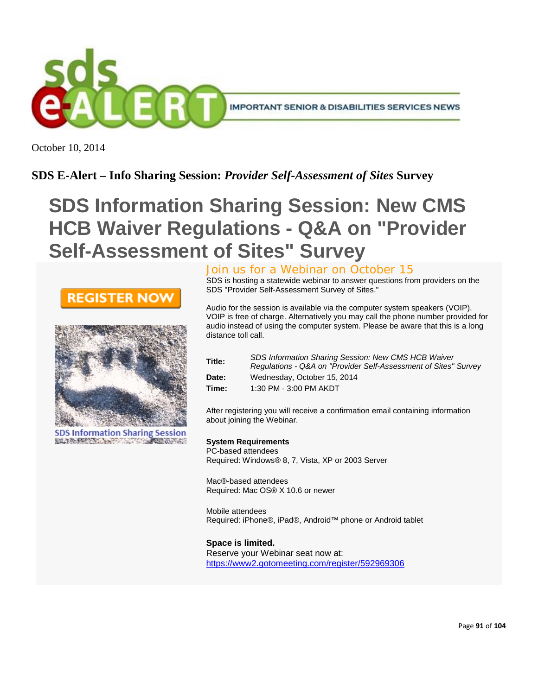

October 10, 2014

### **SDS E-Alert – Info Sharing Session:** *Provider Self-Assessment of Sites* **Survey**

# **SDS Information Sharing Session: New CMS HCB Waiver Regulations - Q&A on "Provider Self-Assessment of Sites" Survey**



**SDS Information Sharing Session** BELOW PROTECTION **CONFERENCE** 

### Join us for a Webinar on October 15

SDS is hosting a statewide webinar to answer questions from providers on the SDS "Provider Self-Assessment Survey of Sites."

Audio for the session is available via the computer system speakers (VOIP). VOIP is free of charge. Alternatively you may call the phone number provided for audio instead of using the computer system. Please be aware that this is a long distance toll call.

| Title: | <b>SDS Information Sharing Session: New CMS HCB Waiver</b><br>Regulations - Q&A on "Provider Self-Assessment of Sites" Survey |
|--------|-------------------------------------------------------------------------------------------------------------------------------|
| Date:  | Wednesday, October 15, 2014                                                                                                   |
| Time:  | 1:30 PM - 3:00 PM AKDT                                                                                                        |

After registering you will receive a confirmation email containing information about joining the Webinar.

#### **System Requirements**

PC-based attendees Required: Windows® 8, 7, Vista, XP or 2003 Server

Mac®-based attendees Required: Mac OS® X 10.6 or newer

Mobile attendees Required: iPhone®, iPad®, Android™ phone or Android tablet

**Space is limited.** Reserve your Webinar seat now at: <https://www2.gotomeeting.com/register/592969306>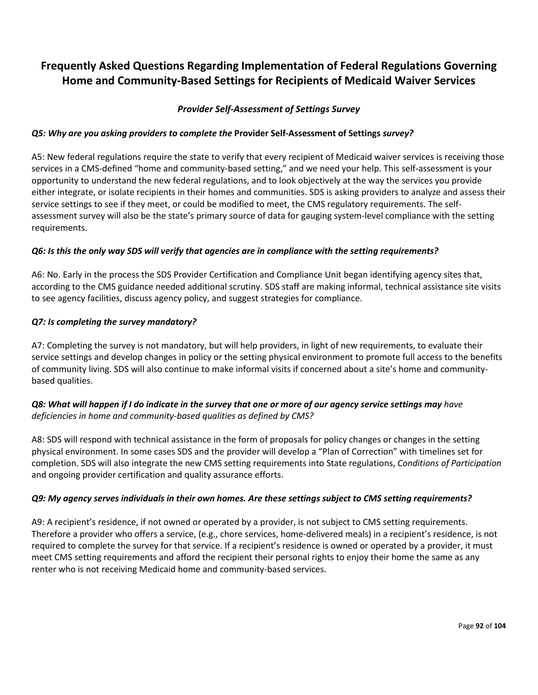### **Frequently Asked Questions Regarding Implementation of Federal Regulations Governing Home and Community-Based Settings for Recipients of Medicaid Waiver Services**

### *Provider Self-Assessment of Settings Survey*

### *Q5: Why are you asking providers to complete the* **Provider Self-Assessment of Settings** *survey?*

A5: New federal regulations require the state to verify that every recipient of Medicaid waiver services is receiving those services in a CMS-defined "home and community-based setting," and we need your help. This self-assessment is your opportunity to understand the new federal regulations, and to look objectively at the way the services you provide either integrate, or isolate recipients in their homes and communities. SDS is asking providers to analyze and assess their service settings to see if they meet, or could be modified to meet, the CMS regulatory requirements. The selfassessment survey will also be the state's primary source of data for gauging system-level compliance with the setting requirements.

#### *Q6: Is this the only way SDS will verify that agencies are in compliance with the setting requirements?*

A6: No. Early in the process the SDS Provider Certification and Compliance Unit began identifying agency sites that, according to the CMS guidance needed additional scrutiny. SDS staff are making informal, technical assistance site visits to see agency facilities, discuss agency policy, and suggest strategies for compliance.

#### *Q7: Is completing the survey mandatory?*

A7: Completing the survey is not mandatory, but will help providers, in light of new requirements, to evaluate their service settings and develop changes in policy or the setting physical environment to promote full access to the benefits of community living. SDS will also continue to make informal visits if concerned about a site's home and communitybased qualities.

### *Q8: What will happen if I do indicate in the survey that one or more of our agency service settings may have deficiencies in home and community-based qualities as defined by CMS?*

A8: SDS will respond with technical assistance in the form of proposals for policy changes or changes in the setting physical environment. In some cases SDS and the provider will develop a "Plan of Correction" with timelines set for completion. SDS will also integrate the new CMS setting requirements into State regulations, *Conditions of Participation*  and ongoing provider certification and quality assurance efforts.

#### *Q9: My agency serves individuals in their own homes. Are these settings subject to CMS setting requirements?*

A9: A recipient's residence, if not owned or operated by a provider, is not subject to CMS setting requirements. Therefore a provider who offers a service, (e.g., chore services, home-delivered meals) in a recipient's residence, is not required to complete the survey for that service. If a recipient's residence is owned or operated by a provider, it must meet CMS setting requirements and afford the recipient their personal rights to enjoy their home the same as any renter who is not receiving Medicaid home and community-based services.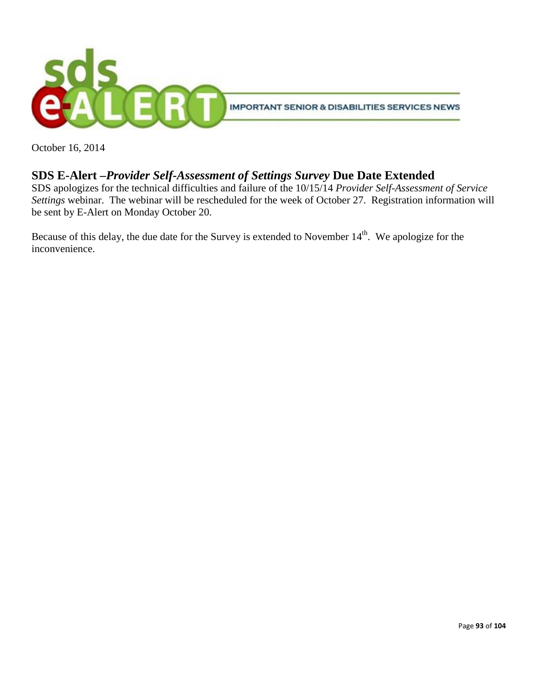

October 16, 2014

### **SDS E-Alert –***Provider Self-Assessment of Settings Survey* **Due Date Extended**

SDS apologizes for the technical difficulties and failure of the 10/15/14 *Provider Self-Assessment of Service Settings* webinar. The webinar will be rescheduled for the week of October 27. Registration information will be sent by E-Alert on Monday October 20.

Because of this delay, the due date for the Survey is extended to November  $14<sup>th</sup>$ . We apologize for the inconvenience.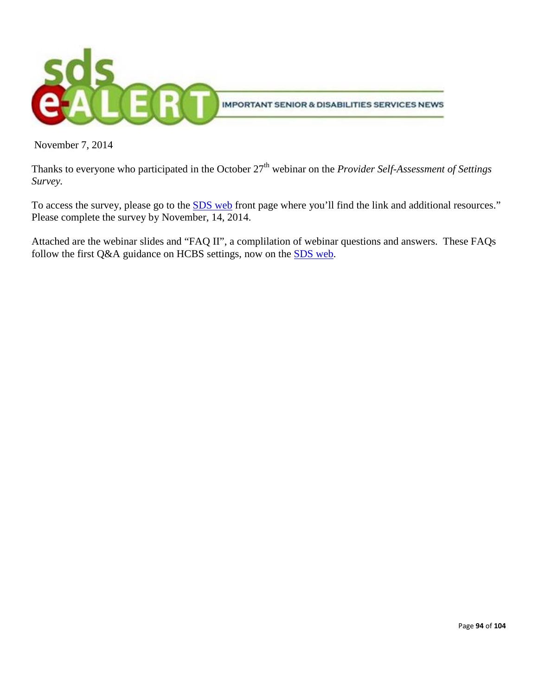

November 7, 2014

Thanks to everyone who participated in the October 27<sup>th</sup> webinar on the *Provider Self-Assessment of Settings Survey.*

To access the survey, please go to the [SDS web](http://dhss.alaska.gov/dsds/Pages/default.aspx) front page where you'll find the link and additional resources." Please complete the survey by November, 14, 2014.

Attached are the webinar slides and "FAQ II", a complilation of webinar questions and answers. These FAQs follow the first Q&A guidance on HCBS settings, now on the **SDS** web.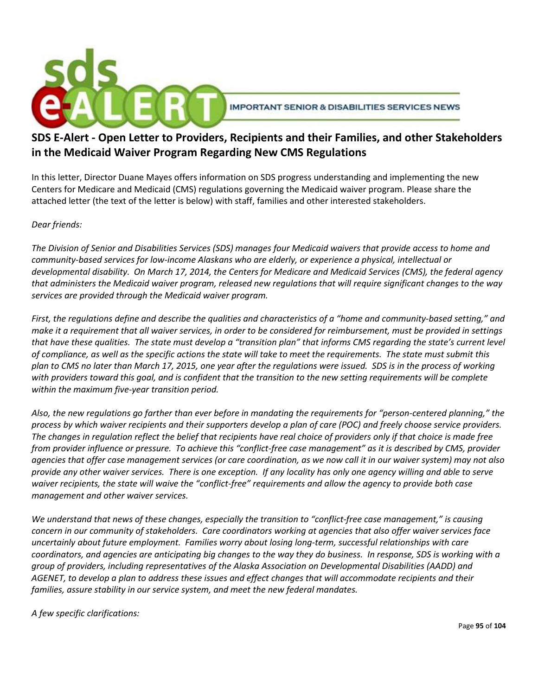

### **SDS E-Alert - Open Letter to Providers, Recipients and their Families, and other Stakeholders in the Medicaid Waiver Program Regarding New CMS Regulations**

In this letter, Director Duane Mayes offers information on SDS progress understanding and implementing the new Centers for Medicare and Medicaid (CMS) regulations governing the Medicaid waiver program. Please share the attached letter (the text of the letter is below) with staff, families and other interested stakeholders.

### *Dear friends:*

*The Division of Senior and Disabilities Services (SDS) manages four Medicaid waivers that provide access to home and community-based services for low-income Alaskans who are elderly, or experience a physical, intellectual or developmental disability. On March 17, 2014, the Centers for Medicare and Medicaid Services (CMS), the federal agency that administers the Medicaid waiver program, released new regulations that will require significant changes to the way services are provided through the Medicaid waiver program.*

*First, the regulations define and describe the qualities and characteristics of a "home and community-based setting," and make it a requirement that all waiver services, in order to be considered for reimbursement, must be provided in settings that have these qualities. The state must develop a "transition plan" that informs CMS regarding the state's current level of compliance, as well as the specific actions the state will take to meet the requirements. The state must submit this plan to CMS no later than March 17, 2015, one year after the regulations were issued. SDS is in the process of working with providers toward this goal, and is confident that the transition to the new setting requirements will be complete within the maximum five-year transition period.*

*Also, the new regulations go farther than ever before in mandating the requirements for "person-centered planning," the process by which waiver recipients and their supporters develop a plan of care (POC) and freely choose service providers. The changes in regulation reflect the belief that recipients have real choice of providers only if that choice is made free from provider influence or pressure. To achieve this "conflict-free case management" as it is described by CMS, provider agencies that offer case management services (or care coordination, as we now call it in our waiver system) may not also provide any other waiver services. There is one exception. If any locality has only one agency willing and able to serve waiver recipients, the state will waive the "conflict-free" requirements and allow the agency to provide both case management and other waiver services.*

*We understand that news of these changes, especially the transition to "conflict-free case management," is causing concern in our community of stakeholders. Care coordinators working at agencies that also offer waiver services face uncertainly about future employment. Families worry about losing long-term, successful relationships with care coordinators, and agencies are anticipating big changes to the way they do business. In response, SDS is working with a group of providers, including representatives of the Alaska Association on Developmental Disabilities (AADD) and AGENET, to develop a plan to address these issues and effect changes that will accommodate recipients and their families, assure stability in our service system, and meet the new federal mandates.*

*A few specific clarifications:*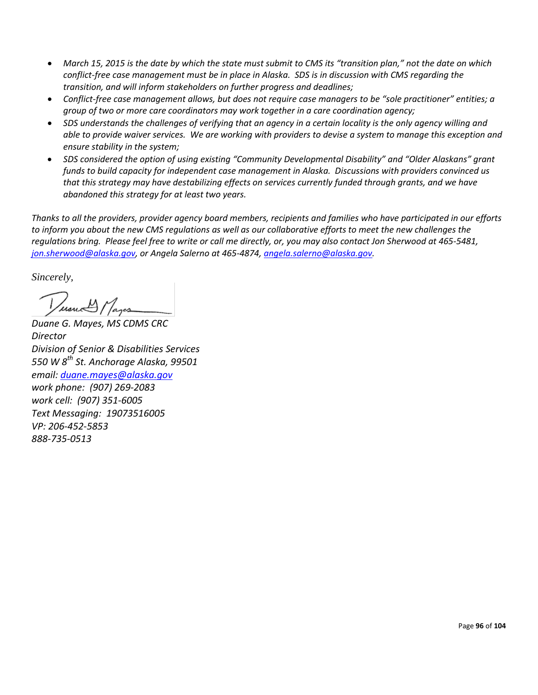- *March 15, 2015 is the date by which the state must submit to CMS its "transition plan," not the date on which conflict-free case management must be in place in Alaska. SDS is in discussion with CMS regarding the transition, and will inform stakeholders on further progress and deadlines;*
- *Conflict-free case management allows, but does not require case managers to be "sole practitioner" entities; a group of two or more care coordinators may work together in a care coordination agency;*
- *SDS understands the challenges of verifying that an agency in a certain locality is the only agency willing and able to provide waiver services. We are working with providers to devise a system to manage this exception and ensure stability in the system;*
- *SDS considered the option of using existing "Community Developmental Disability" and "Older Alaskans" grant funds to build capacity for independent case management in Alaska. Discussions with providers convinced us that this strategy may have destabilizing effects on services currently funded through grants, and we have abandoned this strategy for at least two years.*

*Thanks to all the providers, provider agency board members, recipients and families who have participated in our efforts to inform you about the new CMS regulations as well as our collaborative efforts to meet the new challenges the regulations bring. Please feel free to write or call me directly, or, you may also contact Jon Sherwood at 465-5481, [jon.sherwood@alaska.gov,](mailto:jon.sherwood@alaska.gov) or Angela Salerno at 465-4874, [angela.salerno@alaska.gov.](mailto:angela.salerno@alaska.gov)* 

*Sincerely,*

Versuch Mayon

*Duane G. Mayes, MS CDMS CRC Director Division of Senior & Disabilities Services 550 W 8th St. Anchorage Alaska, 99501 email: [duane.mayes@alaska.gov](mailto:duane.mayes@alaska.gov) work phone: (907) 269-2083 work cell: (907) 351-6005 Text Messaging: 19073516005 VP: 206-452-5853 888-735-0513*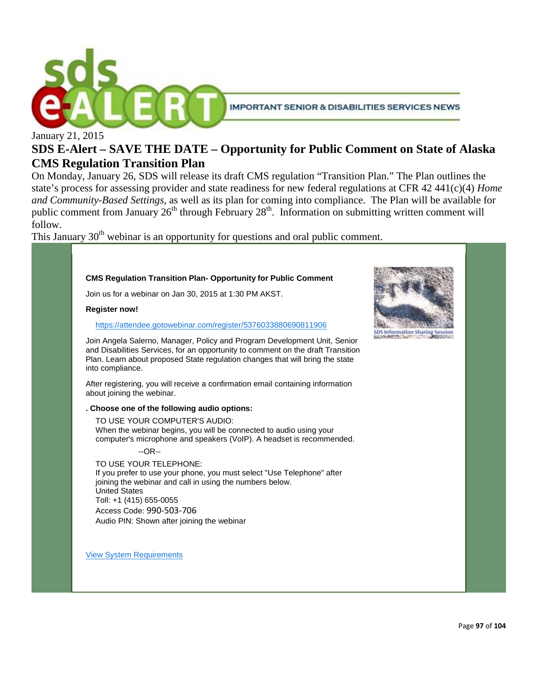

### **SDS E-Alert – SAVE THE DATE – Opportunity for Public Comment on State of Alaska CMS Regulation Transition Plan**

On Monday, January 26, SDS will release its draft CMS regulation "Transition Plan." The Plan outlines the state's process for assessing provider and state readiness for new federal regulations at CFR 42 441(c)(4) *Home and Community-Based Settings*, as well as its plan for coming into compliance. The Plan will be available for public comment from January 26<sup>th</sup> through February 28<sup>th</sup>. Information on submitting written comment will follow.

This January  $30<sup>th</sup>$  webinar is an opportunity for questions and oral public comment.

### **CMS Regulation Transition Plan- Opportunity for Public Comment** Join us for a webinar on Jan 30, 2015 at 1:30 PM AKST. **Register now!** <https://attendee.gotowebinar.com/register/5376033880690811906> Join Angela Salerno, Manager, Policy and Program Development Unit, Senior and Disabilities Services, for an opportunity to comment on the draft Transition Plan. Learn about proposed State regulation changes that will bring the state into compliance. After registering, you will receive a confirmation email containing information about joining the webinar. **. Choose one of the following audio options:** TO USE YOUR COMPUTER'S AUDIO: When the webinar begins, you will be connected to audio using your computer's microphone and speakers (VoIP). A headset is recommended. --OR-- TO USE YOUR TELEPHONE: If you prefer to use your phone, you must select "Use Telephone" after joining the webinar and call in using the numbers below. United States Toll: +1 (415) 655-0055 Access Code: 990-503-706 Audio PIN: Shown after joining the webinar

[View System Requirements](http://support.citrixonline.com/s/G2W/Help/SystemRequirements)

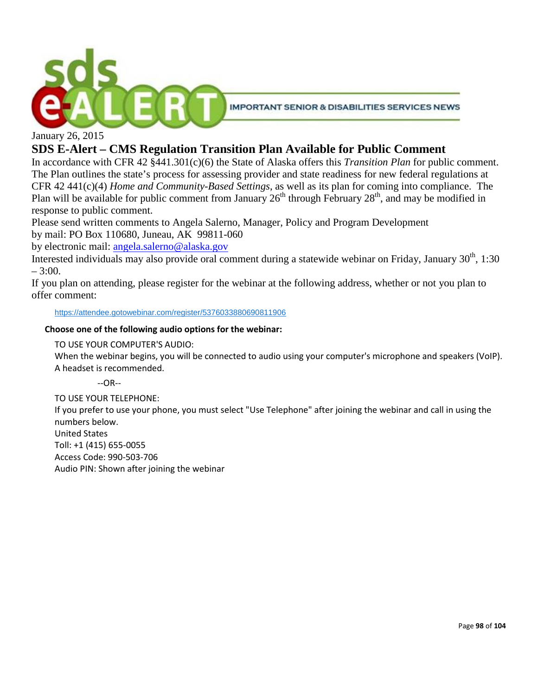

January 26, 2015

### **SDS E-Alert – CMS Regulation Transition Plan Available for Public Comment**

In accordance with CFR 42 §441.301(c)(6) the State of Alaska offers this *Transition Plan* for public comment. The Plan outlines the state's process for assessing provider and state readiness for new federal regulations at CFR 42 441(c)(4) *Home and Community-Based Settings*, as well as its plan for coming into compliance. The Plan will be available for public comment from January  $26^{th}$  through February  $28^{th}$ , and may be modified in response to public comment.

Please send written comments to Angela Salerno, Manager, Policy and Program Development by mail: PO Box 110680, Juneau, AK 99811-060

by electronic mail: [angela.salerno@alaska.gov](mailto:angela.salerno@alaska.gov)

Interested individuals may also provide oral comment during a statewide webinar on Friday, January  $30<sup>th</sup>$ , 1:30  $-3:00.$ 

If you plan on attending, please register for the webinar at the following address, whether or not you plan to offer comment:

<https://attendee.gotowebinar.com/register/5376033880690811906>

### **Choose one of the following audio options for the webinar:**

TO USE YOUR COMPUTER'S AUDIO:

When the webinar begins, you will be connected to audio using your computer's microphone and speakers (VoIP). A headset is recommended.

--OR--

TO USE YOUR TELEPHONE:

If you prefer to use your phone, you must select "Use Telephone" after joining the webinar and call in using the numbers below. United States

Toll: +1 (415) 655-0055 Access Code: 990-503-706 Audio PIN: Shown after joining the webinar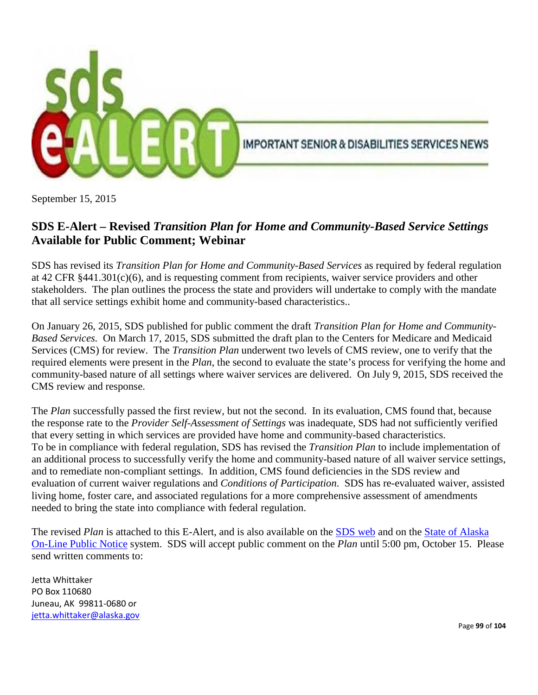

September 15, 2015

### **SDS E-Alert – Revised** *Transition Plan for Home and Community-Based Service Settings* **Available for Public Comment; Webinar**

SDS has revised its *Transition Plan for Home and Community-Based Services* as required by federal regulation at 42 CFR §441.301(c)(6), and is requesting comment from recipients, waiver service providers and other stakeholders. The plan outlines the process the state and providers will undertake to comply with the mandate that all service settings exhibit home and community-based characteristics..

On January 26, 2015, SDS published for public comment the draft *Transition Plan for Home and Community-Based Services.* On March 17, 2015, SDS submitted the draft plan to the Centers for Medicare and Medicaid Services (CMS) for review. The *Transition Plan* underwent two levels of CMS review, one to verify that the required elements were present in the *Plan*, the second to evaluate the state's process for verifying the home and community-based nature of all settings where waiver services are delivered. On July 9, 2015, SDS received the CMS review and response.

The *Plan* successfully passed the first review, but not the second. In its evaluation, CMS found that, because the response rate to the *Provider Self-Assessment of Settings* was inadequate, SDS had not sufficiently verified that every setting in which services are provided have home and community-based characteristics. To be in compliance with federal regulation, SDS has revised the *Transition Plan* to include implementation of an additional process to successfully verify the home and community-based nature of all waiver service settings, and to remediate non-compliant settings. In addition, CMS found deficiencies in the SDS review and evaluation of current waiver regulations and *Conditions of Participation*. SDS has re-evaluated waiver, assisted living home, foster care, and associated regulations for a more comprehensive assessment of amendments needed to bring the state into compliance with federal regulation.

The revised *Plan* is attached to this E-Alert, and is also available on the [SDS web](http://dhss.alaska.gov/dsds/Pages/default.aspx) and on the [State of Alaska](https://aws.state.ak.us/OnlinePublicNotices/Notices/View.aspx?id=178272)  [On-Line Public Notice](https://aws.state.ak.us/OnlinePublicNotices/Notices/View.aspx?id=178272) system. SDS will accept public comment on the *Plan* until 5:00 pm, October 15. Please send written comments to:

Jetta Whittaker PO Box 110680 Juneau, AK 99811-0680 or [jetta.whittaker@alaska.gov](mailto:jetta.whittaker@alaska.gov)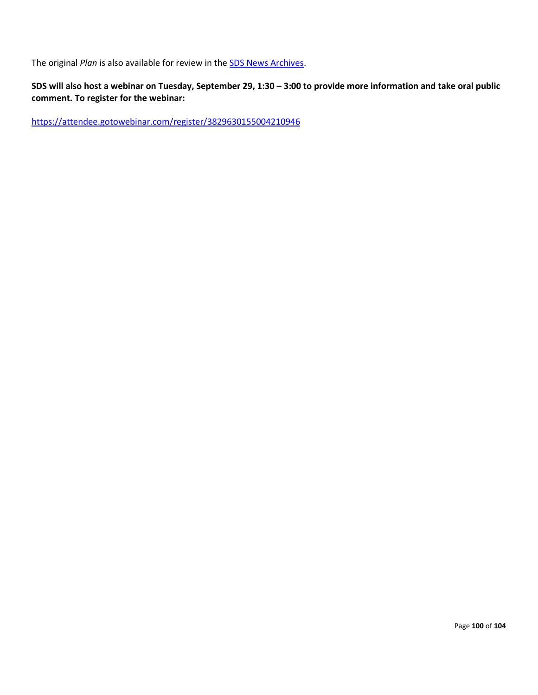The original *Plan* is also available for review in the [SDS News Archives.](http://dhss.alaska.gov/dsds/Pages/newsarchive.aspx)

### **SDS will also host a webinar on Tuesday, September 29, 1:30 – 3:00 to provide more information and take oral public comment. To register for the webinar:**

<https://attendee.gotowebinar.com/register/3829630155004210946>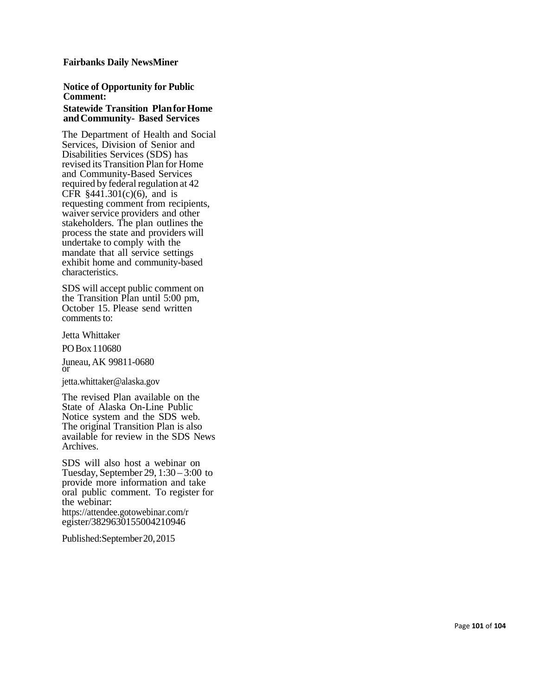#### **Fairbanks Daily NewsMiner**

#### **Not ice o f Oppo r t u n ity fo r P u bli c Comment:** Statewide Transition Planfor Home

#### **andCommuni t y - Based Services** The Department of Health and Social Services, Division of Senior and Disabiliti e s Service s (SDS) has r evis e d its Transition Plan for Home and Community - Bas e d Service s r equir e d by fe d eral r egulation at 42 CFR  $§441.301(c)(6)$ , and is requesting comment from recipients, waiver service providers and other stakeholders. The plan outlines the process the state and provid ers will und ertake to comply with the mandat e that all s ervice s ettings exhibit hom e and community - base d c h aracterist ics .

S D S will accept publi c comm ent on the Transition Plan until 5:00 pm, October 15. Please send written comments to:

Jetta Whittake r

POBo x 110680

Juneau, A K 99811 -0680 or<br>or<br>jetta.wh[ittaker@a](mailto:jetta.whittaker@alaska.gov)laska.gov

Th e r evis e d Plan availabl e on the State of Alaska On-Line Public Notice syst e m and th e S D S web. Th e original Transition Plan is also availabl e for r eview in the S D S News A r chives .

S D S will also host a webinar on Tu esday, Sept emb e r 29, 1:30 – 3:00 to provid e mor e information and take oral public comment. To register for the webinar:<br>https://attendee.gotowebinar.com/r egister/3829630155004210946

Published:September20,2015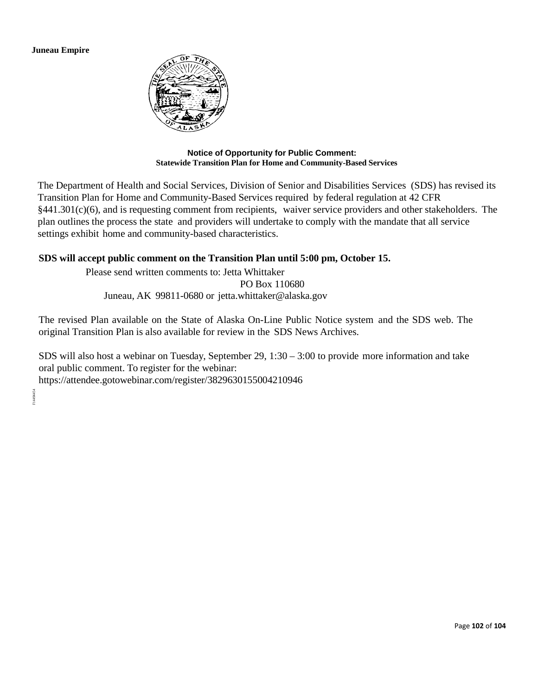**Juneau Empire**



#### **Notice of Opportunity for Public Comment: Statewide Transition Plan for Home and Community-Based Services**

The Department of Health and Social Services, Division of Senior and Disabilities Services (SDS) has revised its Transition Plan for Home and Community-Based Services required by federal regulation at 42 CFR §441.301(c)(6), and is requesting comment from recipients, waiver service providers and other stakeholders. The plan outlines the process the state and providers will undertake to comply with the mandate that all service settings exhibit home and community-based characteristics.

### **SDS will accept public comment on the Transition Plan until 5:00 pm, October 15.**

Please send written comments to: Jetta Whittaker

PO Box 110680 Juneau, AK 99811-0680 or [jetta.whittaker@alaska.gov](mailto:jetta.whittaker@alaska.gov)

The revised Plan available on the State of Alaska On-Line Public Notice system and the SDS web. The original Transition Plan is also available for review in the SDS News Archives.

SDS will also host a webinar on Tuesday, September 29, 1:30 – 3:00 to provide more information and take oral public comment. To register for the webinar:

https://attendee.gotowebinar.com/register/3829630155004210946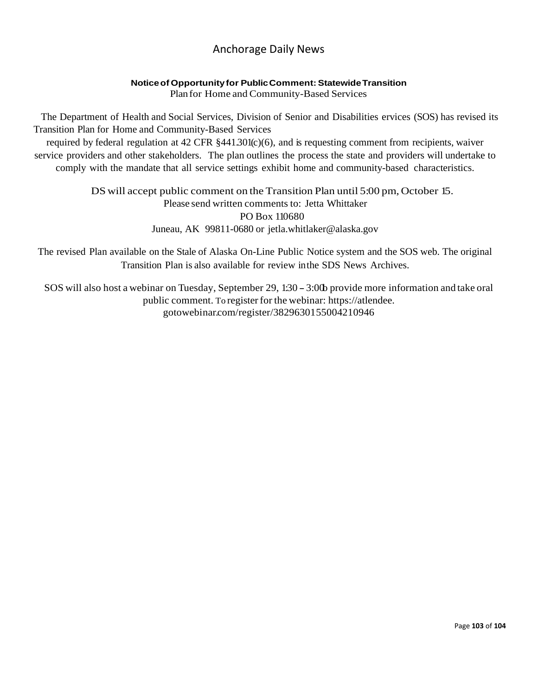### Anchorage Daily News

### **Noticeof Opportunityfor PublicComment:StatewideTransition**

Plan for Home and Community-Based Services

The Department of Health and Social Services, Division of Senior and Disabilities ervices (SOS) has revised its Transition Plan for Home and Community-Based Services

required by federal regulation at 42 CFR §441.301(c)(6), and is requesting comment from recipients, waiver service providers and other stakeholders. The plan outlines the process the state and providers will undertake to comply with the mandate that all service settings exhibit home and community-based characteristics.

> DS will accept public comment on the Transition Plan until 5:00 pm, October 15. Please send written comments to: Jetta Whittaker PO Box 110680 Juneau, AK 99811-0680 or [jetla.whitlaker@alaska.gov](mailto:jetla.whitlaker@alaska.gov)

The revised Plan available on the Stale of Alaska On-Line Public Notice system and the SOS web. The original Transition Plan is also available for review inthe SDS News Archives.

SOS will also host a webinar on Tuesday, September 29, 1:30 - 3:00 provide more information and take oral public comment. To register for the webinar: https://atlendee. gotowebinar.com/register/3829630155004210946